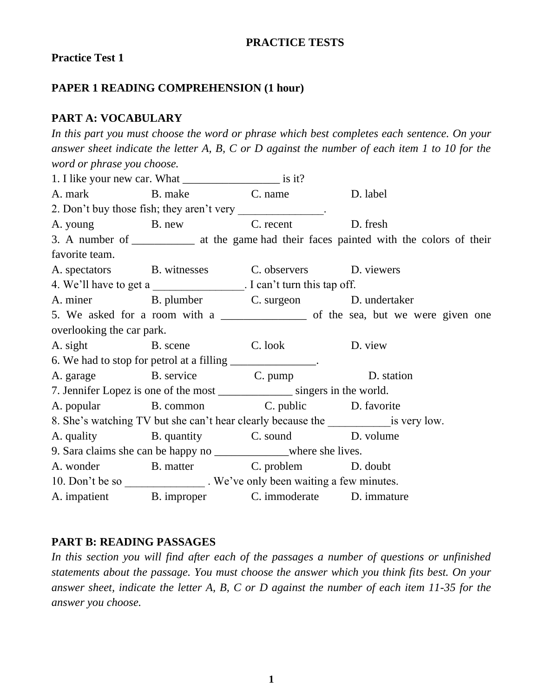#### **PRACTICE TESTS**

#### **Practice Test 1**

### **PAPER 1 READING COMPREHENSION (1 hour)**

#### **PART A: VOCABULARY**

*In this part you must choose the word or phrase which best completes each sentence. On your answer sheet indicate the letter A, B, C or D against the number of each item 1 to 10 for the word or phrase you choose.* 1. I like your new car. What is it? A. mark B. make C. name D. label 2. Don't buy those fish; they aren't very . A. young B. new C. recent D. fresh 3. A number of *\_\_\_\_\_\_\_\_\_\_\_* at the game had their faces painted with the colors of their favorite team. A. spectators B. witnesses C. observers D. viewers 4. We'll have to get a  $\blacksquare$  . I can't turn this tap off. A. miner B. plumber C. surgeon D. undertaker 5. We asked for a room with a \_\_\_\_\_\_\_\_\_\_\_\_\_ of the sea, but we were given one overlooking the car park. A. sight B. scene C. look D. view 6. We had to stop for petrol at a filling \_\_\_\_\_\_\_\_\_\_\_\_\_\_\_. A. garage B. service C. pump D. station 7. Jennifer Lopez is one of the most \_\_\_\_\_\_\_\_\_\_\_\_\_ singers in the world. A. popular B. common C. public D. favorite 8. She's watching TV but she can't hear clearly because the is very low. A. quality B. quantity B. sound D. volume 9. Sara claims she can be happy no \_\_\_\_\_\_\_\_\_\_\_\_\_where she lives. A. wonder B. matter C. problem D. doubt 10. Don't be so \_\_\_\_\_\_\_\_\_\_\_\_\_\_. We've only been waiting a few minutes. A. impatient B. improper C. immoderate D. immature

#### **PART B: READING PASSAGES**

*In this section you will find after each of the passages a number of questions or unfinished statements about the passage. You must choose the answer which you think fits best. On your answer sheet, indicate the letter A, B, C or D against the number of each item 11-35 for the answer you choose.*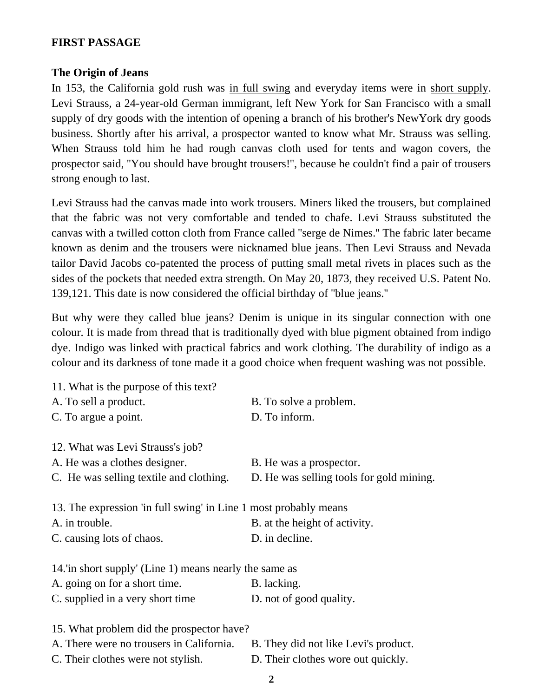### **FIRST PASSAGE**

#### **The Origin of Jeans**

In 153, the California gold rush was in full swing and everyday items were in short supply. Levi Strauss, a 24-year-old German immigrant, left New York for San Francisco with a small supply of dry goods with the intention of opening a branch of his brother's NewYork dry goods business. Shortly after his arrival, a prospector wanted to know what Mr. Strauss was selling. When Strauss told him he had rough canvas cloth used for tents and wagon covers, the prospector said, ''You should have brought trousers!'', because he couldn't find a pair of trousers strong enough to last.

Levi Strauss had the canvas made into work trousers. Miners liked the trousers, but complained that the fabric was not very comfortable and tended to chafe. Levi Strauss substituted the canvas with a twilled cotton cloth from France called ''serge de Nimes.'' The fabric later became known as denim and the trousers were nicknamed blue jeans. Then Levi Strauss and Nevada tailor David Jacobs co-patented the process of putting small metal rivets in places such as the sides of the pockets that needed extra strength. On May 20, 1873, they received U.S. Patent No. 139,121. This date is now considered the official birthday of ''blue jeans.''

But why were they called blue jeans? Denim is unique in its singular connection with one colour. It is made from thread that is traditionally dyed with blue pigment obtained from indigo dye. Indigo was linked with practical fabrics and work clothing. The durability of indigo as a colour and its darkness of tone made it a good choice when frequent washing was not possible.

| 11. What is the purpose of this text?                            |                                          |
|------------------------------------------------------------------|------------------------------------------|
| A. To sell a product.                                            | B. To solve a problem.                   |
| C. To argue a point.                                             | D. To inform.                            |
|                                                                  |                                          |
| 12. What was Levi Strauss's job?                                 |                                          |
| A. He was a clothes designer.                                    | B. He was a prospector.                  |
| C. He was selling textile and clothing.                          | D. He was selling tools for gold mining. |
|                                                                  |                                          |
| 13. The expression 'in full swing' in Line 1 most probably means |                                          |
| A. in trouble.                                                   | B. at the height of activity.            |
| C. causing lots of chaos.                                        | D. in decline.                           |
| 14. In short supply' (Line 1) means nearly the same as           |                                          |
|                                                                  |                                          |
| A. going on for a short time.                                    | B. lacking.                              |
| C. supplied in a very short time                                 | D. not of good quality.                  |
| 15. What problem did the prospector have?                        |                                          |
| A. There were no trousers in California.                         | B. They did not like Levi's product.     |
|                                                                  |                                          |
| C. Their clothes were not stylish.                               | D. Their clothes wore out quickly.       |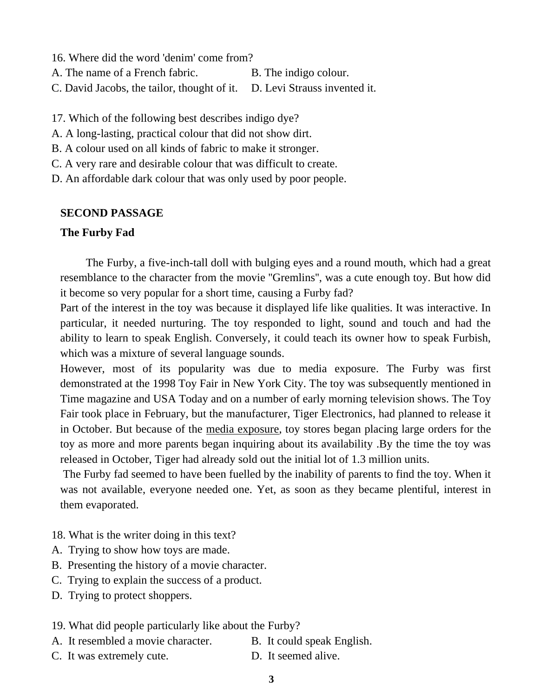16. Where did the word 'denim' come from? A. The name of a French fabric. B. The indigo colour. C. David Jacobs, the tailor, thought of it. D. Levi Strauss invented it.

17. Which of the following best describes indigo dye?

- A. A long-lasting, practical colour that did not show dirt.
- B. A colour used on all kinds of fabric to make it stronger.
- C. A very rare and desirable colour that was difficult to create.

D. An affordable dark colour that was only used by poor people.

#### **SECOND PASSAGE**

#### **The Furby Fad**

 The Furby, a five-inch-tall doll with bulging eyes and a round mouth, which had a great resemblance to the character from the movie ''Gremlins'', was a cute enough toy. But how did it become so very popular for a short time, causing a Furby fad?

Part of the interest in the toy was because it displayed life like qualities. It was interactive. In particular, it needed nurturing. The toy responded to light, sound and touch and had the ability to learn to speak English. Conversely, it could teach its owner how to speak Furbish, which was a mixture of several language sounds.

However, most of its popularity was due to media exposure. The Furby was first demonstrated at the 1998 Toy Fair in New York City. The toy was subsequently mentioned in Time magazine and USA Today and on a number of early morning television shows. The Toy Fair took place in February, but the manufacturer, Tiger Electronics, had planned to release it in October. But because of the media exposure, toy stores began placing large orders for the toy as more and more parents began inquiring about its availability .By the time the toy was released in October, Tiger had already sold out the initial lot of 1.3 million units.

The Furby fad seemed to have been fuelled by the inability of parents to find the toy. When it was not available, everyone needed one. Yet, as soon as they became plentiful, interest in them evaporated.

- 18. What is the writer doing in this text?
- A. Trying to show how toys are made.
- B. Presenting the history of a movie character.
- C. Trying to explain the success of a product.
- D. Trying to protect shoppers.
- 19. What did people particularly like about the Furby?
- A. It resembled a movie character. B. It could speak English.
- C. It was extremely cute. D. It seemed alive.
- - **3**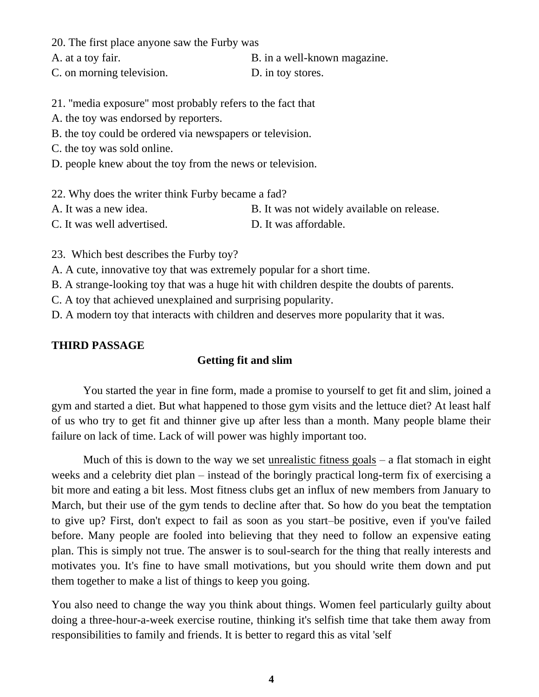20. The first place anyone saw the Furby was

A. at a toy fair.  $\qquad \qquad B.$  in a well-known magazine. C. on morning television. D. in toy stores.

21. ''media exposure'' most probably refers to the fact that

A. the toy was endorsed by reporters.

B. the toy could be ordered via newspapers or television.

C. the toy was sold online.

D. people knew about the toy from the news or television.

22. Why does the writer think Furby became a fad?

A. It was a new idea. B. It was not widely available on release.

C. It was well advertised. D. It was affordable.

23. Which best describes the Furby toy?

A. A cute, innovative toy that was extremely popular for a short time.

B. A strange-looking toy that was a huge hit with children despite the doubts of parents.

C. A toy that achieved unexplained and surprising popularity.

D. A modern toy that interacts with children and deserves more popularity that it was.

#### **THIRD PASSAGE**

#### **Getting fit and slim**

You started the year in fine form, made a promise to yourself to get fit and slim, joined a gym and started a diet. But what happened to those gym visits and the lettuce diet? At least half of us who try to get fit and thinner give up after less than a month. Many people blame their failure on lack of time. Lack of will power was highly important too.

Much of this is down to the way we set unrealistic fitness goals  $-$  a flat stomach in eight weeks and a celebrity diet plan – instead of the boringly practical long-term fix of exercising a bit more and eating a bit less. Most fitness clubs get an influx of new members from January to March, but their use of the gym tends to decline after that. So how do you beat the temptation to give up? First, don't expect to fail as soon as you start–be positive, even if you've failed before. Many people are fooled into believing that they need to follow an expensive eating plan. This is simply not true. The answer is to soul-search for the thing that really interests and motivates you. It's fine to have small motivations, but you should write them down and put them together to make a list of things to keep you going.

You also need to change the way you think about things. Women feel particularly guilty about doing a three-hour-a-week exercise routine, thinking it's selfish time that take them away from responsibilities to family and friends. It is better to regard this as vital 'self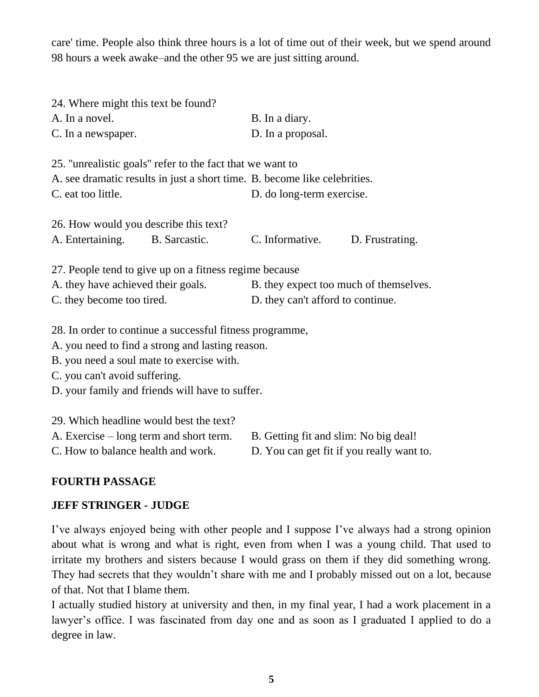care' time. People also think three hours is a lot of time out of their week, but we spend around 98 hours a week awake–and the other 95 we are just sitting around.

| 24. Where might this text be found?                                       |                                        |  |  |
|---------------------------------------------------------------------------|----------------------------------------|--|--|
| A. In a novel.                                                            | B. In a diary.                         |  |  |
| C. In a newspaper.                                                        | D. In a proposal.                      |  |  |
|                                                                           |                                        |  |  |
| 25. "unrealistic goals" refer to the fact that we want to                 |                                        |  |  |
| A. see dramatic results in just a short time. B. become like celebrities. |                                        |  |  |
| C. eat too little.                                                        | D. do long-term exercise.              |  |  |
|                                                                           |                                        |  |  |
| 26. How would you describe this text?                                     |                                        |  |  |
| A. Entertaining. B. Sarcastic.                                            | C. Informative.<br>D. Frustrating.     |  |  |
|                                                                           |                                        |  |  |
| 27. People tend to give up on a fitness regime because                    |                                        |  |  |
| A. they have achieved their goals.                                        | B. they expect too much of themselves. |  |  |
| C. they become too tired.                                                 | D. they can't afford to continue.      |  |  |
|                                                                           |                                        |  |  |
| 28. In order to continue a successful fitness programme,                  |                                        |  |  |
| A. you need to find a strong and lasting reason.                          |                                        |  |  |
| B. you need a soul mate to exercise with.                                 |                                        |  |  |
| C. you can't avoid suffering.                                             |                                        |  |  |
| D. your family and friends will have to suffer.                           |                                        |  |  |

| 29. Which headline would best the text? |                                           |
|-----------------------------------------|-------------------------------------------|
| A. Exercise – long term and short term. | B. Getting fit and slim: No big deal!     |
| C. How to balance health and work.      | D. You can get fit if you really want to. |

# **FOURTH PASSAGE**

### **JEFF STRINGER - JUDGE**

I've always enjoyed being with other people and I suppose I've always had a strong opinion about what is wrong and what is right, even from when I was a young child. That used to irritate my brothers and sisters because I would grass on them if they did something wrong. They had secrets that they wouldn't share with me and I probably missed out on a lot, because of that. Not that I blame them.

I actually studied history at university and then, in my final year, I had a work placement in a lawyer's office. I was fascinated from day one and as soon as I graduated I applied to do a degree in law.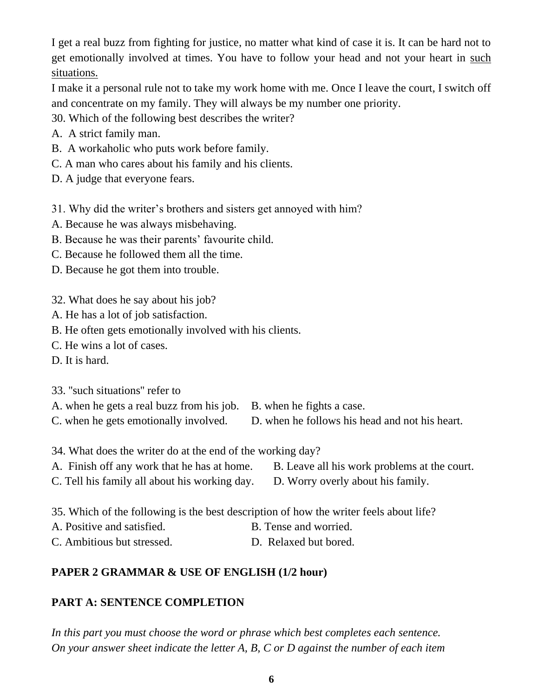I get a real buzz from fighting for justice, no matter what kind of case it is. It can be hard not to get emotionally involved at times. You have to follow your head and not your heart in such situations.

I make it a personal rule not to take my work home with me. Once I leave the court, I switch off and concentrate on my family. They will always be my number one priority.

30. Which of the following best describes the writer?

- A. A strict family man.
- B. A workaholic who puts work before family.
- C. A man who cares about his family and his clients.

D. A judge that everyone fears.

31. Why did the writer's brothers and sisters get annoyed with him?

- A. Because he was always misbehaving.
- B. Because he was their parents' favourite child.
- C. Because he followed them all the time.
- D. Because he got them into trouble.
- 32. What does he say about his job?
- A. He has a lot of job satisfaction.
- B. He often gets emotionally involved with his clients.
- C. He wins a lot of cases.
- D. It is hard.

33. ''such situations'' refer to

| A. when he gets a real buzz from his job. B. when he fights a case. |                                                |
|---------------------------------------------------------------------|------------------------------------------------|
| C. when he gets emotionally involved.                               | D. when he follows his head and not his heart. |

- 
- 34. What does the writer do at the end of the working day?
- A. Finish off any work that he has at home. B. Leave all his work problems at the court. C. Tell his family all about his working day. D. Worry overly about his family.
- 35. Which of the following is the best description of how the writer feels about life?
- A. Positive and satisfied. B. Tense and worried.
- C. Ambitious but stressed. D. Relaxed but bored.

# **PAPER 2 GRAMMAR & USE OF ENGLISH (1/2 hour)**

# **PART A: SENTENCE COMPLETION**

*In this part you must choose the word or phrase which best completes each sentence. On your answer sheet indicate the letter A, B, C or D against the number of each item*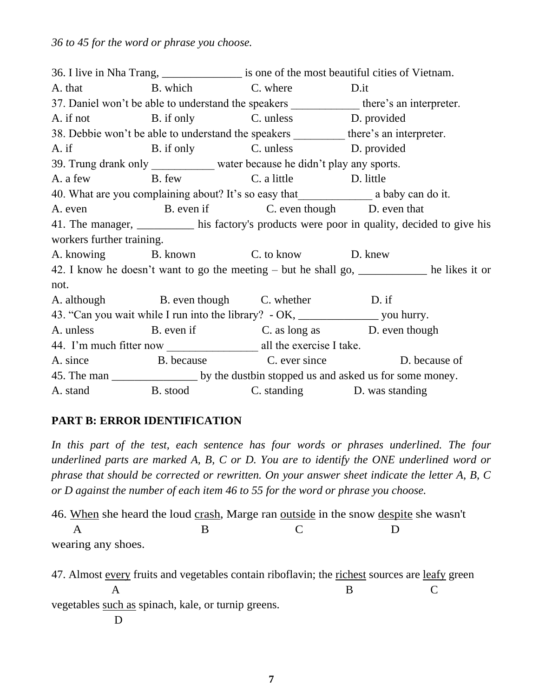*36 to 45 for the word or phrase you choose.*

36. I live in Nha Trang, is one of the most beautiful cities of Vietnam. A. that B. which C. where D.it 37. Daniel won't be able to understand the speakers there's an interpreter. A. if not B. if only C. unless D. provided 38. Debbie won't be able to understand the speakers there's an interpreter. A. if B. if only C. unless D. provided 39. Trung drank only water because he didn't play any sports. A. a few B. few C. a little D. little 40. What are you complaining about? It's so easy that a baby can do it. A. even b. even if C. even though D. even that 41. The manager, his factory's products were poor in quality, decided to give his workers further training. A. knowing B. known C. to know D. knew 42. I know he doesn't want to go the meeting – but he shall go, \_\_\_\_\_\_\_\_\_\_\_\_ he likes it or not. A. although B. even though C. whether D. if 43. "Can you wait while I run into the library? - OK, \_\_\_\_\_\_\_\_\_\_\_\_\_\_\_\_\_\_\_ you hurry. A. unless B. even if C. as long as D. even though 44. I'm much fitter now all the exercise I take. A. since B. because C. ever since D. because of 45. The man by the dust bin stopped us and asked us for some money. A. stand B. stood C. standing D. was standing

# **PART B: ERROR IDENTIFICATION**

In this part of the test, each sentence has four words or phrases underlined. The four *underlined parts are marked A, B, C or D. You are to identify the ONE underlined word or phrase that should be corrected or rewritten. On your answer sheet indicate the letter A, B, C or D against the number of each item 46 to 55 for the word or phrase you choose.*

46. When she heard the loud crash, Marge ran outside in the snow despite she wasn't A B C D wearing any shoes.

47. Almost every fruits and vegetables contain riboflavin; the richest sources are leafy green A B C vegetables such as spinach, kale, or turnip greens. D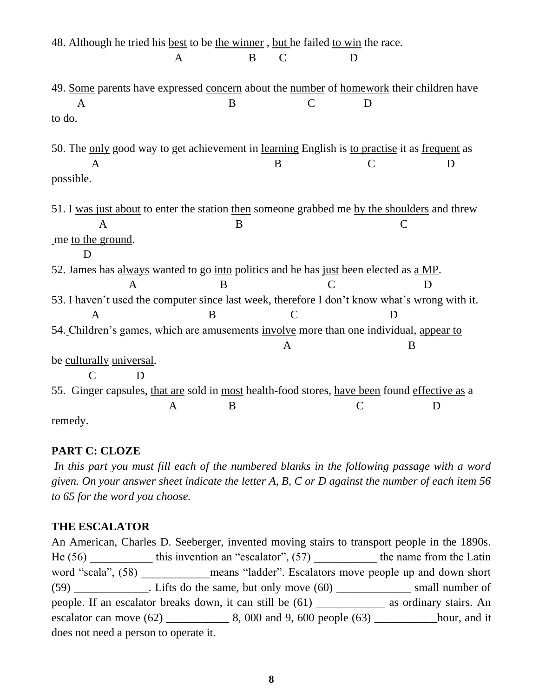| 48. Although he tried his best to be the winner, but he failed to win the race.               |        |                    |   |              |    |
|-----------------------------------------------------------------------------------------------|--------|--------------------|---|--------------|----|
|                                                                                               | A      | B<br>$\mathcal{C}$ | D |              |    |
|                                                                                               |        |                    |   |              |    |
| 49. Some parents have expressed concern about the number of homework their children have      |        |                    |   |              |    |
| A                                                                                             | B      |                    | C | D            |    |
| to do.                                                                                        |        |                    |   |              |    |
|                                                                                               |        |                    |   |              |    |
| 50. The only good way to get achievement in learning English is to practise it as frequent as |        |                    |   |              |    |
| A                                                                                             |        | B                  |   | $\mathsf{C}$ | D  |
| possible.                                                                                     |        |                    |   |              |    |
|                                                                                               |        |                    |   |              |    |
| 51. I was just about to enter the station then someone grabbed me by the shoulders and threw  |        |                    |   |              |    |
| A                                                                                             |        | B                  |   | C            |    |
| me to the ground.                                                                             |        |                    |   |              |    |
|                                                                                               |        |                    |   |              |    |
| 52. James has always wanted to go into politics and he has just been elected as a MP.         |        |                    |   |              |    |
| A                                                                                             | B      |                    |   |              | I) |
| 53. I haven't used the computer since last week, therefore I don't know what's wrong with it. |        |                    |   |              |    |
| $\overline{A}$                                                                                | B      | C                  |   | D            |    |
|                                                                                               |        |                    |   |              |    |
| 54. Children's games, which are amusements involve more than one individual, appear to        |        |                    |   |              |    |
|                                                                                               |        | A                  |   | B            |    |
| be culturally universal.                                                                      |        |                    |   |              |    |
| C<br>D                                                                                        |        |                    |   |              |    |
| 55. Ginger capsules, that are sold in most health-food stores, have been found effective as a |        |                    |   |              |    |
|                                                                                               | B<br>A |                    |   | C            | D  |
| remedy.                                                                                       |        |                    |   |              |    |

### **PART C: CLOZE**

In this part you must fill each of the numbered blanks in the following passage with a word *given. On your answer sheet indicate the letter A, B, C or D against the number of each item 56 to 65 for the word you choose.*

### **THE ESCALATOR**

An American, Charles D. Seeberger, invented moving stairs to transport people in the 1890s. He  $(56)$  this invention an "escalator",  $(57)$  the name from the Latin word "scala", (58) \_\_\_\_\_\_\_\_\_\_\_ means "ladder". Escalators move people up and down short  $(59)$  \_\_\_\_\_\_\_\_\_\_\_\_. Lifts do the same, but only move  $(60)$  \_\_\_\_\_\_\_\_\_\_\_\_\_\_\_ small number of people. If an escalator breaks down, it can still be (61) \_\_\_\_\_\_\_\_\_\_\_\_ as ordinary stairs. An escalator can move (62) \_\_\_\_\_\_\_\_\_\_\_ 8, 000 and 9, 600 people (63) \_\_\_\_\_\_\_\_\_\_\_hour, and it does not need a person to operate it.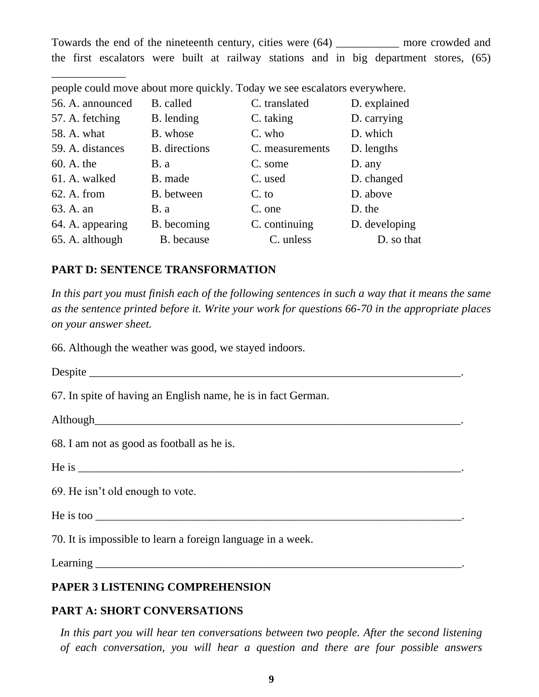Towards the end of the nineteenth century, cities were (64) \_\_\_\_\_\_\_\_\_\_\_ more crowded and the first escalators were built at railway stations and in big department stores, (65)

| 56. A. announced | B. called     | C. translated   | D. explained  |
|------------------|---------------|-----------------|---------------|
| 57. A. fetching  | B. lending    | C. taking       | D. carrying   |
| 58. A. what      | B. whose      | C. who          | D. which      |
| 59. A. distances | B. directions | C. measurements | D. lengths    |
| 60. A. the       | <b>B</b> . a  | C. some         | D. any        |
| 61. A. walked    | B. made       | C. used         | D. changed    |
| 62. A. from      | B. between    | C. to           | D. above      |
| 63. A. an        | <b>B</b> . a  | C. one          | D. the        |
| 64. A. appearing | B. becoming   | C. continuing   | D. developing |
| 65. A. although  | B. because    | C. unless       | D. so that    |
|                  |               |                 |               |

people could move about more quickly. Today we see escalators everywhere.

#### **PART D: SENTENCE TRANSFORMATION**

In this part you must finish each of the following sentences in such a way that it means the same *as the sentence printed before it. Write your work for questions 66-70 in the appropriate places on your answer sheet.*

66. Although the weather was good, we stayed indoors.

Despite \_\_\_\_\_\_\_\_\_\_\_\_\_\_\_\_\_\_\_\_\_\_\_\_\_\_\_\_\_\_\_\_\_\_\_\_\_\_\_\_\_\_\_\_\_\_\_\_\_\_\_\_\_\_\_\_\_\_\_\_\_\_\_\_\_.

67. In spite of having an English name, he is in fact German.

Although the state of the state of the state of the state of the state of the state of the state of the state of the state of the state of the state of the state of the state of the state of the state of the state of the s

\_\_\_\_\_\_\_\_\_\_\_\_\_

68. I am not as good as football as he is.

He is \_\_\_\_\_\_\_\_\_\_\_\_\_\_\_\_\_\_\_\_\_\_\_\_\_\_\_\_\_\_\_\_\_\_\_\_\_\_\_\_\_\_\_\_\_\_\_\_\_\_\_\_\_\_\_\_\_\_\_\_\_\_\_\_\_\_\_.

69. He isn't old enough to vote.

He is too  $\overline{\phantom{a}}$ 

70. It is impossible to learn a foreign language in a week.

 $Learning$ 

#### **PAPER 3 LISTENING COMPREHENSION**

#### **PART A: SHORT CONVERSATIONS**

*In this part you will hear ten conversations between two people. After the second listening of each conversation, you will hear a question and there are four possible answers*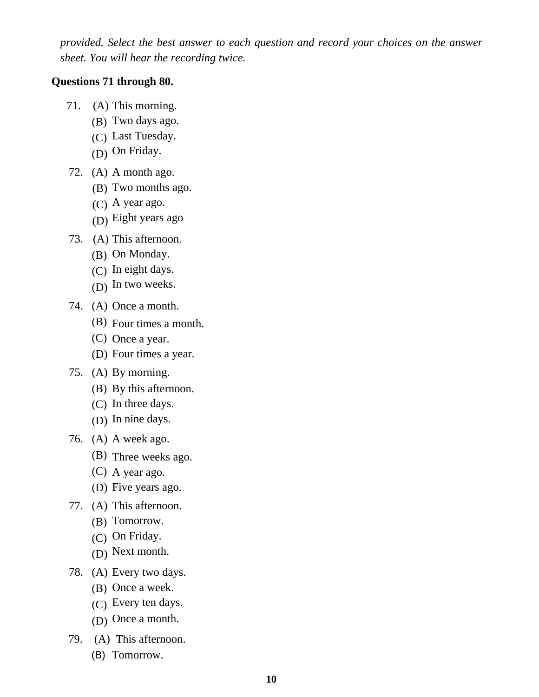*provided. Select the best answer to each question and record your choices on the answer sheet. You will hear the recording twice.*

#### **Questions 71 through 80.**

- 71. (A) This morning.
	- (B) Two days ago.
	- (C) Last Tuesday.
	- (D) On Friday.
- 72. (A) A month ago.
	- (B) Two months ago.
	- (C) A year ago.
	- (D) Eight years ago
- 73. (A) This afternoon.
	- (B) On Monday.
	- (C) In eight days.
	- (D) In two weeks.
- 74. (A) Once a month.
	- (B) Four times a month.
	- (C) Once a year.
	- (D) Four times a year.
- 75. (A) By morning.
	- (B) By this afternoon.
	- (C) In three days.
	- (D) In nine days.
- 76. (A) A week ago.
	- (B) Three weeks ago.
	- (C) A year ago.
	- (D) Five years ago.
- 77. (A) This afternoon.
	- (B) Tomorrow.
	- (C) On Friday.
	- (D) Next month.
- 78. (A) Every two days.
	- (B) Once a week.
	- (C) Every ten days.
	- (D) Once a month.
- 79. (A) This afternoon.
	- (B) Tomorrow.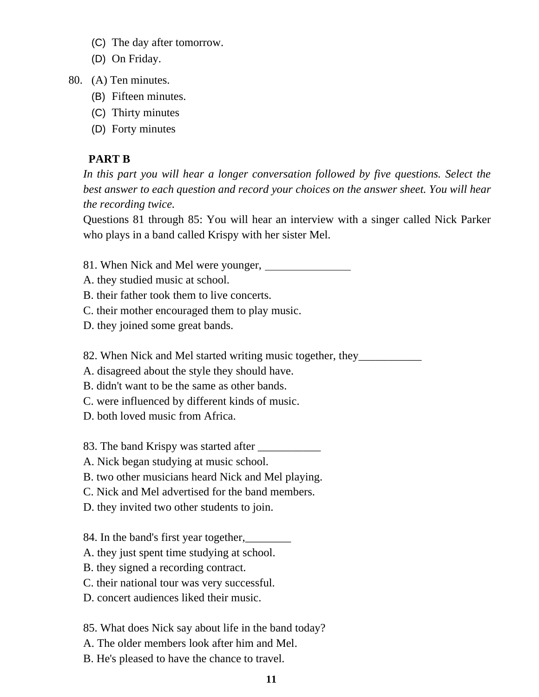- (C) The day after tomorrow.
- (D) On Friday.
- 80. (A) Ten minutes.
	- (B) Fifteen minutes.
	- (C) Thirty minutes
	- (D) Forty minutes

#### **PART B**

In this part you will hear a longer conversation followed by five questions. Select the *best answer to each question and record your choices on the answer sheet. You will hear the recording twice.*

Questions 81 through 85: You will hear an interview with a singer called Nick Parker who plays in a band called Krispy with her sister Mel.

- 81. When Nick and Mel were younger,
- A. they studied music at school.
- B. their father took them to live concerts.
- C. their mother encouraged them to play music.
- D. they joined some great bands.

82. When Nick and Mel started writing music together, they\_\_\_\_\_\_\_\_\_\_\_\_\_\_\_\_\_\_\_\_\_\_

A. disagreed about the style they should have.

B. didn't want to be the same as other bands.

- C. were influenced by different kinds of music.
- D. both loved music from Africa.

83. The band Krispy was started after \_\_\_\_\_\_\_\_\_\_\_

A. Nick began studying at music school.

B. two other musicians heard Nick and Mel playing.

C. Nick and Mel advertised for the band members.

D. they invited two other students to join.

84. In the band's first year together, <u>\_\_\_\_\_\_\_\_</u>

- A. they just spent time studying at school.
- B. they signed a recording contract.

C. their national tour was very successful.

D. concert audiences liked their music.

85. What does Nick say about life in the band today?

- A. The older members look after him and Mel.
- B. He's pleased to have the chance to travel.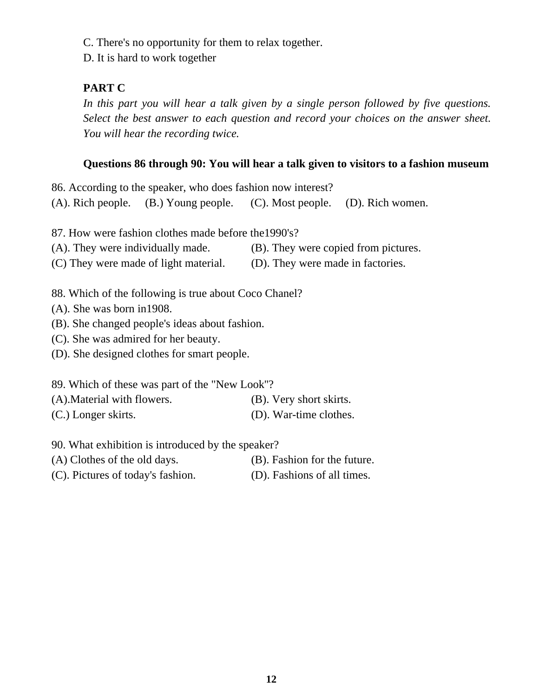C. There's no opportunity for them to relax together.

D. It is hard to work together

# **PART C**

*In this part you will hear a talk given by a single person followed by five questions. Select the best answer to each question and record your choices on the answer sheet. You will hear the recording twice.*

### **Questions 86 through 90: You will hear a talk given to visitors to a fashion museum**

86. According to the speaker, who does fashion now interest?

(A). Rich people. (B.) Young people. (C). Most people. (D). Rich women.

87. How were fashion clothes made before the1990's?

- (A). They were individually made. (B). They were copied from pictures.
- (C) They were made of light material. (D). They were made in factories.

88. Which of the following is true about Coco Chanel?

(A). She was born in1908.

(B). She changed people's ideas about fashion.

(C). She was admired for her beauty.

(D). She designed clothes for smart people.

89. Which of these was part of the "New Look''?

(A).Material with flowers. (B). Very short skirts. (C.) Longer skirts. (D). War-time clothes.

90. What exhibition is introduced by the speaker?

(A) Clothes of the old days. (B). Fashion for the future.

(C). Pictures of today's fashion. (D). Fashions of all times.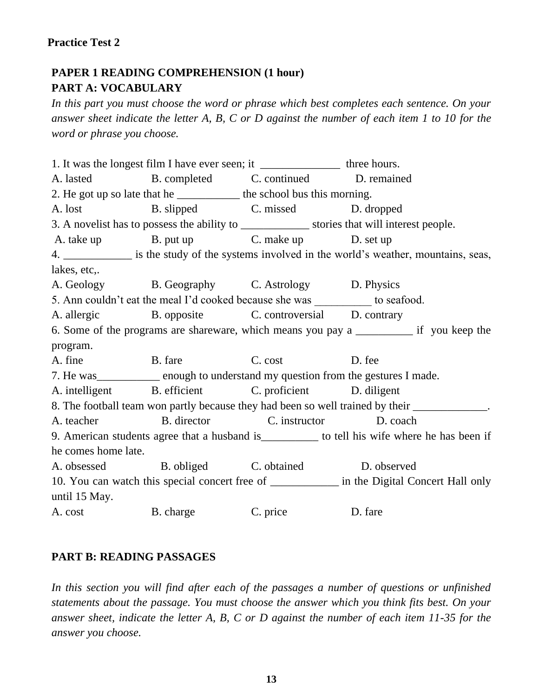### **Practice Test 2**

# **PAPER 1 READING COMPREHENSION (1 hour) PART A: VOCABULARY**

*In this part you must choose the word or phrase which best completes each sentence. On your answer sheet indicate the letter A, B, C or D against the number of each item 1 to 10 for the word or phrase you choose.*

1. It was the longest film I have ever seen; it \_\_\_\_\_\_\_\_\_\_\_\_\_\_\_\_\_\_ three hours. A. lasted B. completed C. continued D. remained 2. He got up so late that he *interproduced bus this morning*. A. lost B. slipped C. missed D. dropped 3. A novelist has to possess the ability to stories that will interest people. A. take up B. put up C. make up D. set up 4. \_\_\_\_\_\_\_\_\_\_\_\_\_ is the study of the systems involved in the world's weather, mountains, seas, lakes, etc,. A. Geology B. Geography C. Astrology D. Physics 5. Ann couldn't eat the meal I'd cooked because she was to seafood. A. allergic B. opposite C. controversial D. contrary 6. Some of the programs are shareware, which means you pay a \_\_\_\_\_\_\_\_\_\_ if you keep the program. A. fine B. fare C. cost D. fee 7. He was enough to understand my question from the gestures I made. A. intelligent B. efficient C. proficient D. diligent 8. The football team won partly because they had been so well trained by their  $\Box$ A. teacher B. director C. instructor D. coach 9. American students agree that a husband is to tell his wife where he has been if he comes home late. A. obsessed B. obliged C. obtained D. observed 10. You can watch this special concert free of \_\_\_\_\_\_\_\_\_\_\_\_ in the Digital Concert Hall only until 15 May. A. cost B. charge C. price D. fare

#### **PART B: READING PASSAGES**

*In this section you will find after each of the passages a number of questions or unfinished statements about the passage. You must choose the answer which you think fits best. On your answer sheet, indicate the letter A, B, C or D against the number of each item 11-35 for the answer you choose.*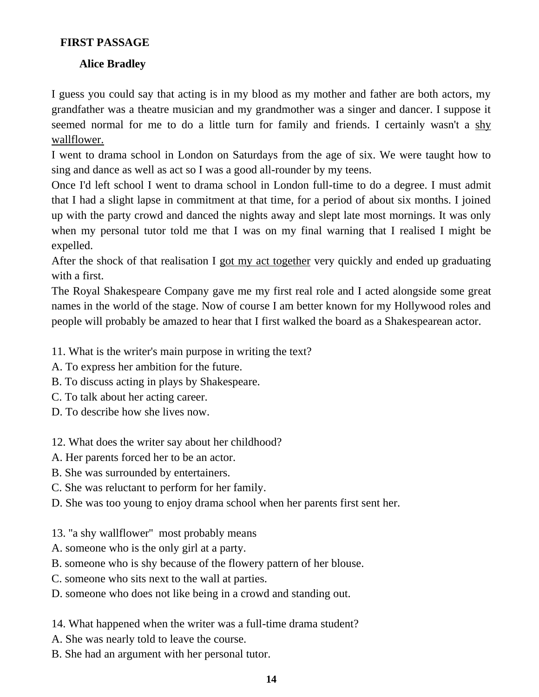## **FIRST PASSAGE**

# **Alice Bradley**

I guess you could say that acting is in my blood as my mother and father are both actors, my grandfather was a theatre musician and my grandmother was a singer and dancer. I suppose it seemed normal for me to do a little turn for family and friends. I certainly wasn't a shy wallflower.

I went to drama school in London on Saturdays from the age of six. We were taught how to sing and dance as well as act so I was a good all-rounder by my teens.

Once I'd left school I went to drama school in London full-time to do a degree. I must admit that I had a slight lapse in commitment at that time, for a period of about six months. I joined up with the party crowd and danced the nights away and slept late most mornings. It was only when my personal tutor told me that I was on my final warning that I realised I might be expelled.

After the shock of that realisation I got my act together very quickly and ended up graduating with a first.

The Royal Shakespeare Company gave me my first real role and I acted alongside some great names in the world of the stage. Now of course I am better known for my Hollywood roles and people will probably be amazed to hear that I first walked the board as a Shakespearean actor.

11. What is the writer's main purpose in writing the text?

- A. To express her ambition for the future.
- B. To discuss acting in plays by Shakespeare.
- C. To talk about her acting career.
- D. To describe how she lives now.
- 12. What does the writer say about her childhood?
- A. Her parents forced her to be an actor.
- B. She was surrounded by entertainers.
- C. She was reluctant to perform for her family.
- D. She was too young to enjoy drama school when her parents first sent her.
- 13. ''a shy wallflower'' most probably means
- A. someone who is the only girl at a party.
- B. someone who is shy because of the flowery pattern of her blouse.
- C. someone who sits next to the wall at parties.
- D. someone who does not like being in a crowd and standing out.
- 14. What happened when the writer was a full-time drama student?
- A. She was nearly told to leave the course.
- B. She had an argument with her personal tutor.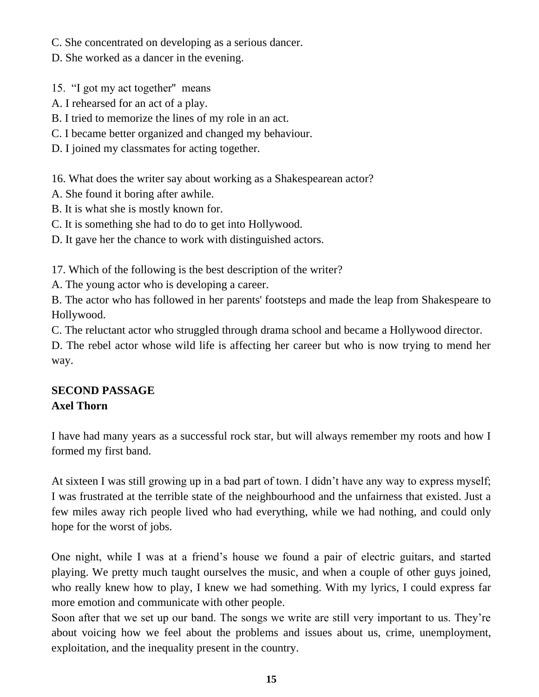C. She concentrated on developing as a serious dancer.

D. She worked as a dancer in the evening.

15. "I got my act together'' means

- A. I rehearsed for an act of a play.
- B. I tried to memorize the lines of my role in an act.
- C. I became better organized and changed my behaviour.
- D. I joined my classmates for acting together.

16. What does the writer say about working as a Shakespearean actor?

- A. She found it boring after awhile.
- B. It is what she is mostly known for.
- C. It is something she had to do to get into Hollywood.

D. It gave her the chance to work with distinguished actors.

17. Which of the following is the best description of the writer?

A. The young actor who is developing a career.

B. The actor who has followed in her parents' footsteps and made the leap from Shakespeare to Hollywood.

C. The reluctant actor who struggled through drama school and became a Hollywood director.

D. The rebel actor whose wild life is affecting her career but who is now trying to mend her way.

# **SECOND PASSAGE Axel Thorn**

I have had many years as a successful rock star, but will always remember my roots and how I formed my first band.

At sixteen I was still growing up in a bad part of town. I didn't have any way to express myself; I was frustrated at the terrible state of the neighbourhood and the unfairness that existed. Just a few miles away rich people lived who had everything, while we had nothing, and could only hope for the worst of jobs.

One night, while I was at a friend's house we found a pair of electric guitars, and started playing. We pretty much taught ourselves the music, and when a couple of other guys joined, who really knew how to play, I knew we had something. With my lyrics, I could express far more emotion and communicate with other people.

Soon after that we set up our band. The songs we write are still very important to us. They're about voicing how we feel about the problems and issues about us, crime, unemployment, exploitation, and the inequality present in the country.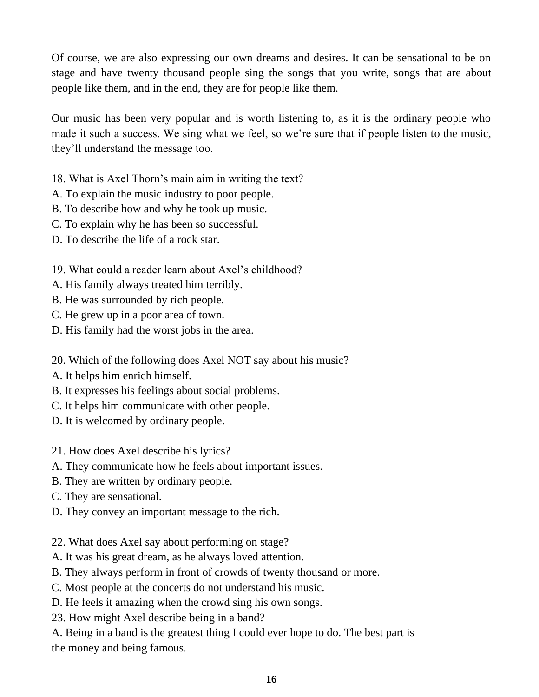Of course, we are also expressing our own dreams and desires. It can be sensational to be on stage and have twenty thousand people sing the songs that you write, songs that are about people like them, and in the end, they are for people like them.

Our music has been very popular and is worth listening to, as it is the ordinary people who made it such a success. We sing what we feel, so we're sure that if people listen to the music, they'll understand the message too.

18. What is Axel Thorn's main aim in writing the text?

A. To explain the music industry to poor people.

B. To describe how and why he took up music.

C. To explain why he has been so successful.

D. To describe the life of a rock star.

19. What could a reader learn about Axel's childhood?

A. His family always treated him terribly.

B. He was surrounded by rich people.

C. He grew up in a poor area of town.

D. His family had the worst jobs in the area.

20. Which of the following does Axel NOT say about his music?

A. It helps him enrich himself.

B. It expresses his feelings about social problems.

C. It helps him communicate with other people.

D. It is welcomed by ordinary people.

21. How does Axel describe his lyrics?

A. They communicate how he feels about important issues.

B. They are written by ordinary people.

C. They are sensational.

D. They convey an important message to the rich.

22. What does Axel say about performing on stage?

A. It was his great dream, as he always loved attention.

B. They always perform in front of crowds of twenty thousand or more.

C. Most people at the concerts do not understand his music.

D. He feels it amazing when the crowd sing his own songs.

23. How might Axel describe being in a band?

A. Being in a band is the greatest thing I could ever hope to do. The best part is the money and being famous.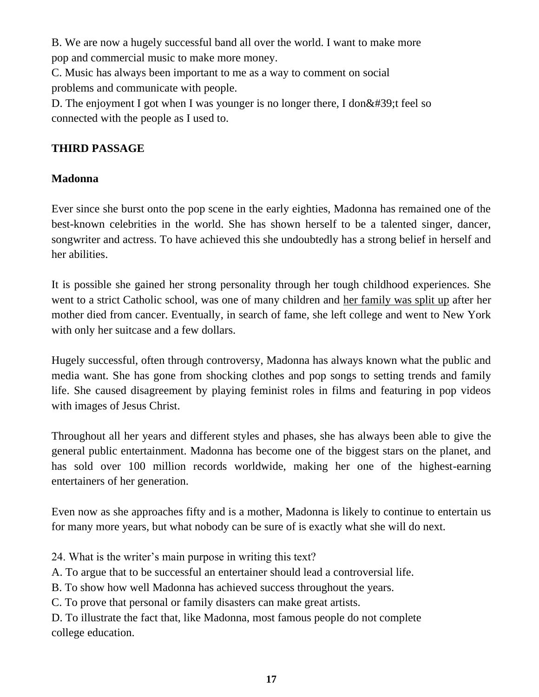B. We are now a hugely successful band all over the world. I want to make more pop and commercial music to make more money.

C. Music has always been important to me as a way to comment on social problems and communicate with people.

D. The enjoyment I got when I was younger is no longer there, I don  $&\#39$ ; t feel so connected with the people as I used to.

# **THIRD PASSAGE**

# **Madonna**

Ever since she burst onto the pop scene in the early eighties, Madonna has remained one of the best-known celebrities in the world. She has shown herself to be a talented singer, dancer, songwriter and actress. To have achieved this she undoubtedly has a strong belief in herself and her abilities.

It is possible she gained her strong personality through her tough childhood experiences. She went to a strict Catholic school, was one of many children and her family was split up after her mother died from cancer. Eventually, in search of fame, she left college and went to New York with only her suitcase and a few dollars.

Hugely successful, often through controversy, Madonna has always known what the public and media want. She has gone from shocking clothes and pop songs to setting trends and family life. She caused disagreement by playing feminist roles in films and featuring in pop videos with images of Jesus Christ.

Throughout all her years and different styles and phases, she has always been able to give the general public entertainment. Madonna has become one of the biggest stars on the planet, and has sold over 100 million records worldwide, making her one of the highest-earning entertainers of her generation.

Even now as she approaches fifty and is a mother, Madonna is likely to continue to entertain us for many more years, but what nobody can be sure of is exactly what she will do next.

- 24. What is the writer's main purpose in writing this text?
- A. To argue that to be successful an entertainer should lead a controversial life.
- B. To show how well Madonna has achieved success throughout the years.
- C. To prove that personal or family disasters can make great artists.

D. To illustrate the fact that, like Madonna, most famous people do not complete college education.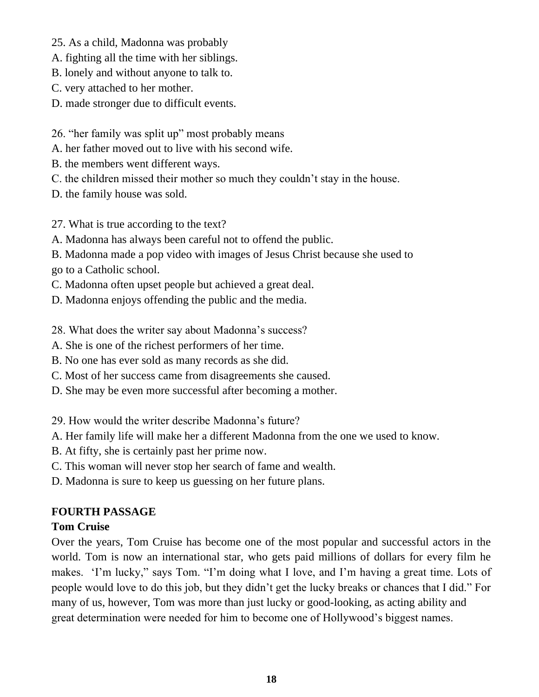- 25. As a child, Madonna was probably
- A. fighting all the time with her siblings.
- B. lonely and without anyone to talk to.
- C. very attached to her mother.
- D. made stronger due to difficult events.
- 26. "her family was split up" most probably means
- A. her father moved out to live with his second wife.
- B. the members went different ways.
- C. the children missed their mother so much they couldn't stay in the house.
- D. the family house was sold.
- 27. What is true according to the text?
- A. Madonna has always been careful not to offend the public.
- B. Madonna made a pop video with images of Jesus Christ because she used to go to a Catholic school.
- C. Madonna often upset people but achieved a great deal.
- D. Madonna enjoys offending the public and the media.
- 28. What does the writer say about Madonna's success?
- A. She is one of the richest performers of her time.
- B. No one has ever sold as many records as she did.
- C. Most of her success came from disagreements she caused.
- D. She may be even more successful after becoming a mother.

29. How would the writer describe Madonna's future?

- A. Her family life will make her a different Madonna from the one we used to know.
- B. At fifty, she is certainly past her prime now.
- C. This woman will never stop her search of fame and wealth.
- D. Madonna is sure to keep us guessing on her future plans.

# **FOURTH PASSAGE**

# **Tom Cruise**

Over the years, Tom Cruise has become one of the most popular and successful actors in the world. Tom is now an international star, who gets paid millions of dollars for every film he makes. 'I'm lucky," says Tom. "I'm doing what I love, and I'm having a great time. Lots of people would love to do this job, but they didn't get the lucky breaks or chances that I did." For many of us, however, Tom was more than just lucky or good-looking, as acting ability and great determination were needed for him to become one of Hollywood's biggest names.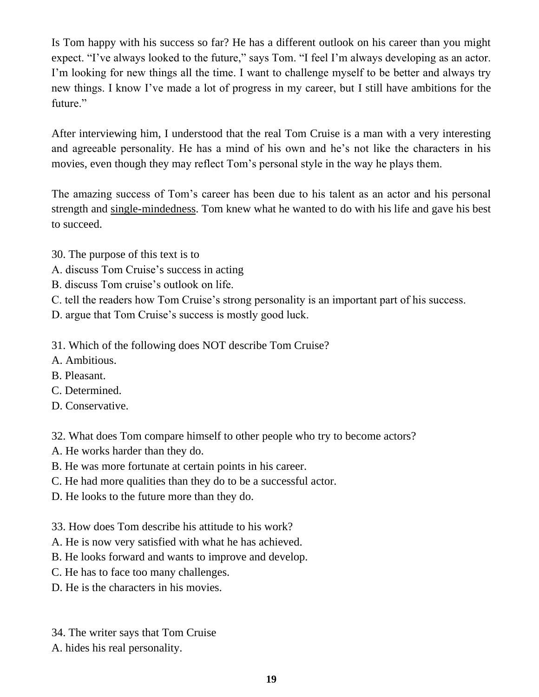Is Tom happy with his success so far? He has a different outlook on his career than you might expect. "I've always looked to the future," says Tom. "I feel I'm always developing as an actor. I'm looking for new things all the time. I want to challenge myself to be better and always try new things. I know I've made a lot of progress in my career, but I still have ambitions for the future."

After interviewing him, I understood that the real Tom Cruise is a man with a very interesting and agreeable personality. He has a mind of his own and he's not like the characters in his movies, even though they may reflect Tom's personal style in the way he plays them.

The amazing success of Tom's career has been due to his talent as an actor and his personal strength and single-mindedness. Tom knew what he wanted to do with his life and gave his best to succeed.

- 30. The purpose of this text is to
- A. discuss Tom Cruise's success in acting
- B. discuss Tom cruise's outlook on life.
- C. tell the readers how Tom Cruise's strong personality is an important part of his success.
- D. argue that Tom Cruise's success is mostly good luck.
- 31. Which of the following does NOT describe Tom Cruise?
- A. Ambitious.
- B. Pleasant.
- C. Determined.
- D. Conservative.

32. What does Tom compare himself to other people who try to become actors?

- A. He works harder than they do.
- B. He was more fortunate at certain points in his career.
- C. He had more qualities than they do to be a successful actor.
- D. He looks to the future more than they do.
- 33. How does Tom describe his attitude to his work?
- A. He is now very satisfied with what he has achieved.
- B. He looks forward and wants to improve and develop.
- C. He has to face too many challenges.
- D. He is the characters in his movies.
- 34. The writer says that Tom Cruise
- A. hides his real personality.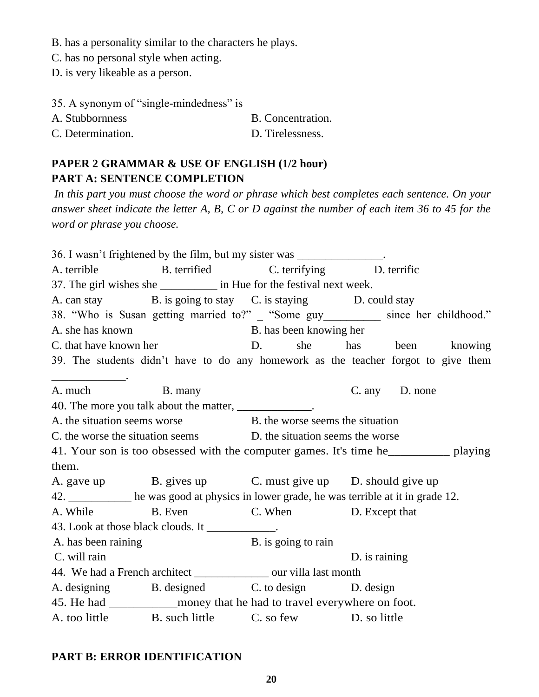B. has a personality similar to the characters he plays.

C. has no personal style when acting.

D. is very likeable as a person.

| 35. A synonym of "single-mindedness" is |                   |
|-----------------------------------------|-------------------|
| A. Stubbornness                         | B. Concentration. |
| C. Determination.                       | D. Tirelessness.  |

# **PAPER 2 GRAMMAR & USE OF ENGLISH (1/2 hour) PART A: SENTENCE COMPLETION**

*In this part you must choose the word or phrase which best completes each sentence. On your answer sheet indicate the letter A, B, C or D against the number of each item 36 to 45 for the word or phrase you choose.*

36. I wasn't frightened by the film, but my sister was \_\_\_\_\_\_\_\_\_\_\_\_\_\_\_. A. terrible B. terrified C. terrifying D. terrific 37. The girl wishes she in Hue for the festival next week. A. can stay B. is going to stay C. is staying D. could stay 38. "Who is Susan getting married to?" "Some guy since her childhood." A. she has known B. has been knowing her C. that have known her D. she has been knowing 39. The students didn't have to do any homework as the teacher forgot to give them \_\_\_\_\_\_\_\_\_\_\_\_\_. A. much B. many C. any D. none 40. The more you talk about the matter, A, the situation seems worse B. the worse seems the situation C. the worse the situation seems D. the situation seems the worse 41. Your son is too obsessed with the computer games. It's time he\_\_\_\_\_\_\_\_\_\_ playing them. A. gave up B. gives up C. must give up D. should give up 42. \_\_\_\_\_\_\_\_\_\_\_ he was good at physics in lower grade, he was terrible at it in grade 12. A. While B. Even C. When D. Except that 43. Look at those black clouds. It A. has been raining B. is going to rain C. will rain D. is raining 44. We had a French architect our villa last month A. designing B. designed C. to design D. design 45. He had money that he had to travel everywhere on foot. A. too little B. such little C. so few D. so little

### **PART B: ERROR IDENTIFICATION**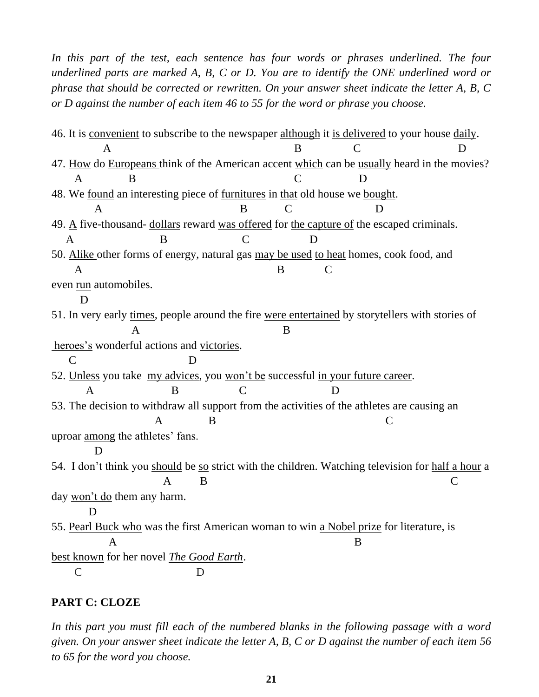In this part of the test, each sentence has four words or phrases underlined. The four *underlined parts are marked A, B, C or D. You are to identify the ONE underlined word or phrase that should be corrected or rewritten. On your answer sheet indicate the letter A, B, C or D against the number of each item 46 to 55 for the word or phrase you choose.*

46. It is convenient to subscribe to the newspaper although it is delivered to your house daily. A B C D 47*.* How do Europeans think of the American accent which can be usually heard in the movies? A B C D 48. We found an interesting piece of furnitures in that old house we bought. A B C D 49. A five-thousand- dollars reward was offered for the capture of the escaped criminals. A B C D 50. Alike other forms of energy, natural gas may be used to heat homes, cook food, and A B C even run automobiles. D 51. In very early times, people around the fire were entertained by storytellers with stories of A B heroes's wonderful actions and victories. C D 52. Unless you take my advices, you won't be successful in your future career. A B C D 53. The decision to withdraw all support from the activities of the athletes are causing an A B C uproar among the athletes' fans. D 54. I don't think you should be so strict with the children. Watching television for half a hour a  $A$  B C day won't do them any harm. D 55. Pearl Buck who was the first American woman to win a Nobel prize for literature, is A B best known for her novel *The Good Earth*. C D

#### **PART C: CLOZE**

In this part you must fill each of the numbered blanks in the following passage with a word *given. On your answer sheet indicate the letter A, B, C or D against the number of each item 56 to 65 for the word you choose.*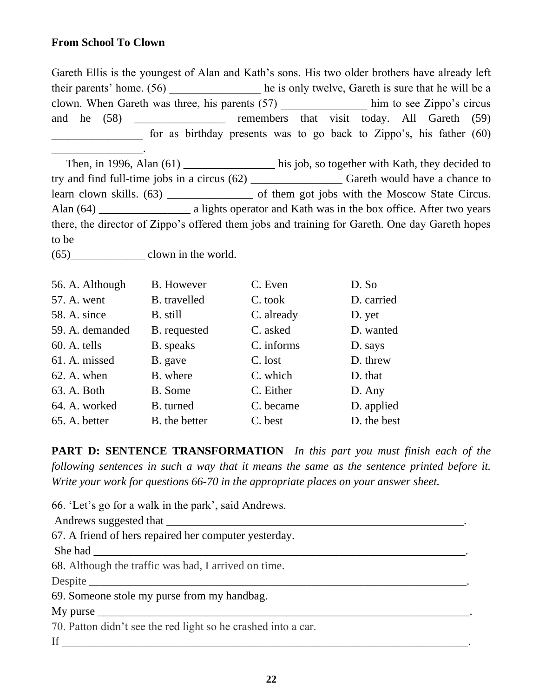### **From School To Clown**

\_\_\_\_\_\_\_\_\_\_\_\_\_\_\_\_.

Gareth Ellis is the youngest of Alan and Kath's sons. His two older brothers have already left their parents' home. (56) he is only twelve, Gareth is sure that he will be a clown. When Gareth was three, his parents (57) him to see Zippo's circus and he (58) \_\_\_\_\_\_\_\_\_\_\_\_\_ remembers that visit today. All Gareth (59) for as birthday presents was to go back to Zippo's, his father (60)

Then, in 1996, Alan (61) \_\_\_\_\_\_\_\_\_\_\_\_\_\_\_\_ his job, so together with Kath, they decided to try and find full-time jobs in a circus (62) \_\_\_\_\_\_\_\_\_\_\_\_\_\_\_\_ Gareth would have a chance to learn clown skills. (63) \_\_\_\_\_\_\_\_\_\_\_\_\_\_\_\_\_\_ of them got jobs with the Moscow State Circus. Alan (64) \_\_\_\_\_\_\_\_\_\_\_\_\_\_\_\_\_\_\_\_ a lights operator and Kath was in the box office. After two years there, the director of Zippo's offered them jobs and training for Gareth. One day Gareth hopes to be

 $(65)$  clown in the world.

| 56. A. Although | <b>B.</b> However | C. Even    | D. So       |
|-----------------|-------------------|------------|-------------|
| 57. A. went     | B. travelled      | C. took    | D. carried  |
| 58. A. since    | B. still          | C. already | D. yet      |
| 59. A. demanded | B. requested      | C. asked   | D. wanted   |
| $60.$ A. tells  | <b>B.</b> speaks  | C. informs | D. says     |
| 61. A. missed   | B. gave           | C. lost    | D. threw    |
| $62.$ A. when   | B. where          | C. which   | D. that     |
| 63. A. Both     | B. Some           | C. Either  | D. Any      |
| 64. A. worked   | B. turned         | C. became  | D. applied  |
| 65. A. better   | B. the better     | C. best    | D. the best |

**PART D: SENTENCE TRANSFORMATION** *In this part you must finish each of the following sentences in such a way that it means the same as the sentence printed before it. Write your work for questions 66-70 in the appropriate places on your answer sheet.*

66. 'Let's go for a walk in the park', said Andrews.

Andrews suggested that \_\_\_\_\_\_\_\_\_\_\_\_\_\_\_\_\_\_\_\_\_\_\_\_\_\_\_\_\_\_\_\_\_\_\_\_\_\_\_\_\_\_\_\_\_\_\_\_\_\_\_\_.

67. A friend of hers repaired her computer yesterday.

She had

68. Although the traffic was bad, I arrived on time.

Despite  $\Box$ 

69. Someone stole my purse from my handbag.

 $Mv$  purse

70. Patton didn't see the red light so he crashed into a car.

If  $\Box$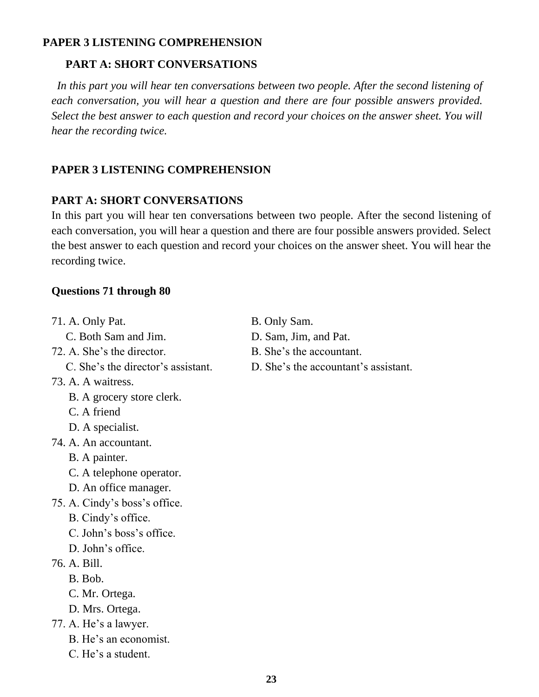### **PAPER 3 LISTENING COMPREHENSION**

## **PART A: SHORT CONVERSATIONS**

In this part you will hear ten conversations between two people. After the second listening of *each conversation, you will hear a question and there are four possible answers provided. Select the best answer to each question and record your choices on the answer sheet. You will hear the recording twice.*

# **PAPER 3 LISTENING COMPREHENSION**

### **PART A: SHORT CONVERSATIONS**

In this part you will hear ten conversations between two people. After the second listening of each conversation, you will hear a question and there are four possible answers provided. Select the best answer to each question and record your choices on the answer sheet. You will hear the recording twice.

### **Questions 71 through 80**

- 71. A. Only Pat. B. Only Sam. C. Both Sam and Jim. D. Sam, Jim, and Pat. 72. A. She's the director. B. She's the accountant. 73. A. A waitress. B. A grocery store clerk. C. A friend D. A specialist. 74. A. An accountant. B. A painter. C. A telephone operator. D. An office manager. 75. A. Cindy's boss's office. B. Cindy's office. C. John's boss's office. D. John's office. 76. A. Bill. B. Bob. C. Mr. Ortega. D. Mrs. Ortega. 77. A. He's a lawyer. B. He's an economist. C. He's a student.
	-
	-
	- C. She's the director's assistant. D. She's the accountant's assistant.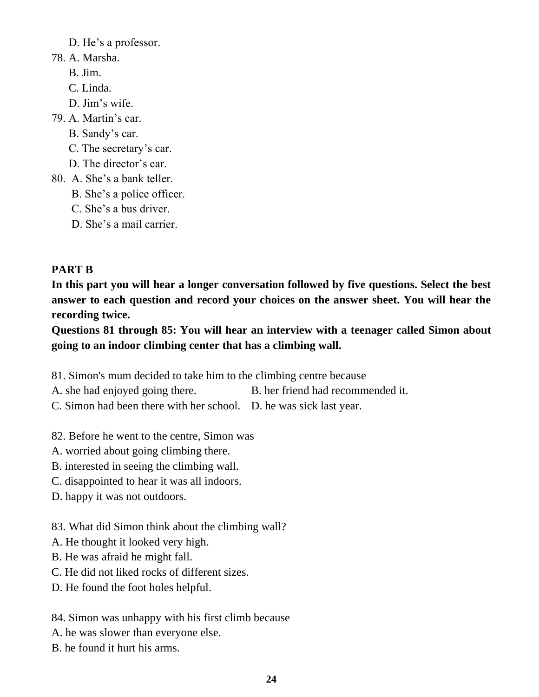D. He's a professor.

- 78. A. Marsha.
	- B. Jim.
	- C. Linda.
	- D. Jim's wife.
- 79. A. Martin's car.
	- B. Sandy's car.
	- C. The secretary's car.
	- D. The director's car.
- 80. A. She's a bank teller.
	- B. She's a police officer.
	- C. She's a bus driver.
	- D. She's a mail carrier.

# **PART B**

**In this part you will hear a longer conversation followed by five questions. Select the best answer to each question and record your choices on the answer sheet. You will hear the recording twice.**

**Questions 81 through 85: You will hear an interview with a teenager called Simon about going to an indoor climbing center that has a climbing wall.**

- 81. Simon's mum decided to take him to the climbing centre because
- A. she had enjoyed going there. B. her friend had recommended it.
- C. Simon had been there with her school. D. he was sick last year.
- 82. Before he went to the centre, Simon was
- A. worried about going climbing there.
- B. interested in seeing the climbing wall.
- C. disappointed to hear it was all indoors.
- D. happy it was not outdoors.
- 83. What did Simon think about the climbing wall?
- A. He thought it looked very high.
- B. He was afraid he might fall.
- C. He did not liked rocks of different sizes.
- D. He found the foot holes helpful.

# 84. Simon was unhappy with his first climb because

- A. he was slower than everyone else.
- B. he found it hurt his arms.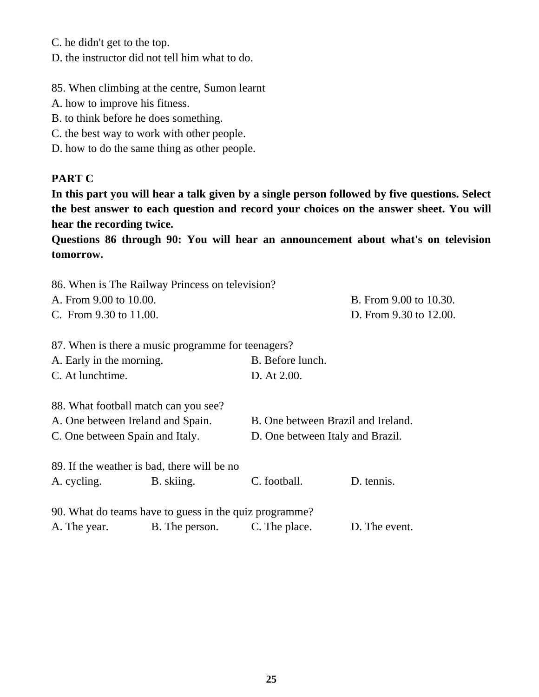C. he didn't get to the top.

D. the instructor did not tell him what to do.

85. When climbing at the centre, Sumon learnt

- A. how to improve his fitness.
- B. to think before he does something.
- C. the best way to work with other people.
- D. how to do the same thing as other people.

### **PART C**

**In this part you will hear a talk given by a single person followed by five questions. Select the best answer to each question and record your choices on the answer sheet. You will hear the recording twice.**

**Questions 86 through 90: You will hear an announcement about what's on television tomorrow.**

|                                 | 86. When is The Railway Princess on television?        |                                  |                                    |  |
|---------------------------------|--------------------------------------------------------|----------------------------------|------------------------------------|--|
| A. From 9.00 to 10.00.          |                                                        |                                  | B. From 9.00 to 10.30.             |  |
| C. From 9.30 to 11.00.          |                                                        | D. From 9.30 to 12.00.           |                                    |  |
|                                 | 87. When is there a music programme for teenagers?     |                                  |                                    |  |
| A. Early in the morning.        |                                                        | B. Before lunch.                 |                                    |  |
| C. At lunchtime.                |                                                        | D. At 2.00.                      |                                    |  |
|                                 | 88. What football match can you see?                   |                                  |                                    |  |
|                                 | A. One between Ireland and Spain.                      |                                  | B. One between Brazil and Ireland. |  |
| C. One between Spain and Italy. |                                                        | D. One between Italy and Brazil. |                                    |  |
|                                 | 89. If the weather is bad, there will be no            |                                  |                                    |  |
| A. cycling.                     | B. skiing.                                             | C. football.                     | D. tennis.                         |  |
|                                 | 90. What do teams have to guess in the quiz programme? |                                  |                                    |  |
| A. The year.                    | B. The person.                                         | C. The place.                    | D. The event.                      |  |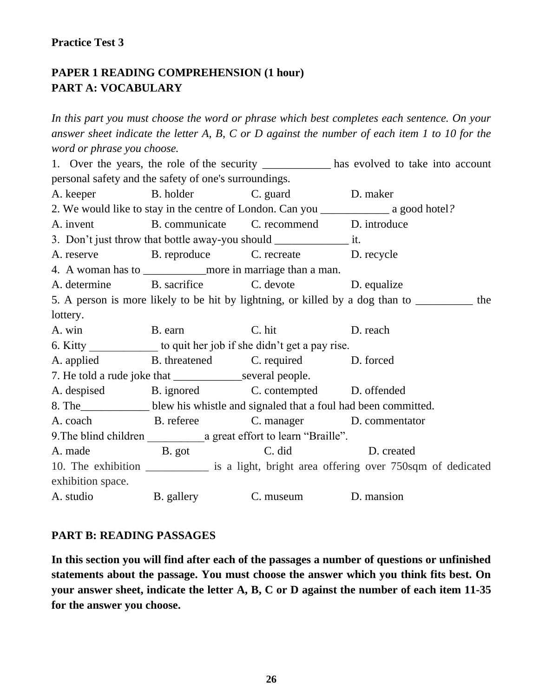#### **Practice Test 3**

# **PAPER 1 READING COMPREHENSION (1 hour) PART A: VOCABULARY**

*In this part you must choose the word or phrase which best completes each sentence. On your answer sheet indicate the letter A, B, C or D against the number of each item 1 to 10 for the word or phrase you choose.*

1. Over the years, the role of the security \_\_\_\_\_\_\_\_\_\_\_\_ has evolved to take into account personal safety and the safety of one's surroundings. A. keeper B. holder C. guard D. maker 2. We would like to stay in the centre of London. Can you \_\_\_\_\_\_\_\_\_\_\_\_ a good hotel*?* A. invent B. communicate C*.* recommend D. introduce 3. Don't just throw that bottle away-you should it. A. reserve B. reproduce C. recreate D. recycle 4. A woman has to more in marriage than a man. A. determine B. sacrifice C. devote D. equalize 5. A person is more likely to be hit by lightning, or killed by a dog than to \_\_\_\_\_\_\_\_\_\_ the lottery. A. win B. earn C. hit D. reach 6. Kitty to quit her job if she didn't get a pay rise. A. applied B. threatened C. required D. forced 7. He told a rude joke that several people. A. despised B. ignored C. contempted D. offended 8. The\_\_\_\_\_\_\_\_\_\_\_\_ blew his whistle and signaled that a foul had been committed. A. coach B. referee C. manager D. commentator 9. The blind children a great effort to learn "Braille". A. made B. got C. did D. created 10. The exhibition *\_\_\_\_\_\_\_\_\_\_\_* is a light, bright area offering over 750sqm of dedicated exhibition space. A. studio B. gallery C. museum D. mansion

#### **PART B: READING PASSAGES**

**In this section you will find after each of the passages a number of questions or unfinished statements about the passage. You must choose the answer which you think fits best. On your answer sheet, indicate the letter A, B, C or D against the number of each item 11-35 for the answer you choose.**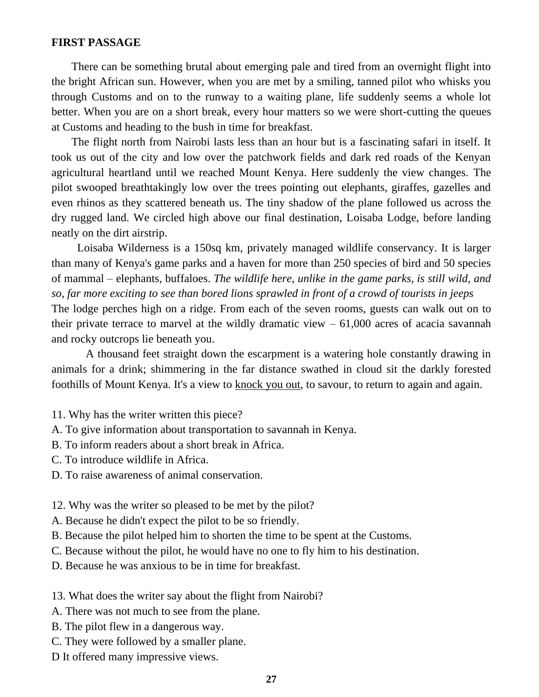#### **FIRST PASSAGE**

 There can be something brutal about emerging pale and tired from an overnight flight into the bright African sun. However, when you are met by a smiling, tanned pilot who whisks you through Customs and on to the runway to a waiting plane, life suddenly seems a whole lot better. When you are on a short break, every hour matters so we were short-cutting the queues at Customs and heading to the bush in time for breakfast.

 The flight north from Nairobi lasts less than an hour but is a fascinating safari in itself. It took us out of the city and low over the patchwork fields and dark red roads of the Kenyan agricultural heartland until we reached Mount Kenya. Here suddenly the view changes. The pilot swooped breathtakingly low over the trees pointing out elephants, giraffes, gazelles and even rhinos as they scattered beneath us. The tiny shadow of the plane followed us across the dry rugged land. We circled high above our final destination, Loisaba Lodge, before landing neatly on the dirt airstrip.

 Loisaba Wilderness is a 150sq km, privately managed wildlife conservancy. It is larger than many of Kenya's game parks and a haven for more than 250 species of bird and 50 species of mammal – elephants, buffaloes. *The wildlife here, unlike in the game parks, is still wild, and so, far more exciting to see than bored lions sprawled in front of a crowd of tourists in jeeps* The lodge perches high on a ridge. From each of the seven rooms, guests can walk out on to their private terrace to marvel at the wildly dramatic view  $-61,000$  acres of acacia savannah and rocky outcrops lie beneath you.

 A thousand feet straight down the escarpment is a watering hole constantly drawing in animals for a drink; shimmering in the far distance swathed in cloud sit the darkly forested foothills of Mount Kenya. It's a view to knock you out, to savour, to return to again and again.

- 11. Why has the writer written this piece?
- A. To give information about transportation to savannah in Kenya.
- B. To inform readers about a short break in Africa.
- C. To introduce wildlife in Africa.
- D. To raise awareness of animal conservation.
- 12. Why was the writer so pleased to be met by the pilot?
- A. Because he didn't expect the pilot to be so friendly.
- B. Because the pilot helped him to shorten the time to be spent at the Customs.
- C. Because without the pilot, he would have no one to fly him to his destination.
- D. Because he was anxious to be in time for breakfast.
- 13. What does the writer say about the flight from Nairobi?
- A. There was not much to see from the plane.
- B. The pilot flew in a dangerous way.
- C. They were followed by a smaller plane.
- D It offered many impressive views.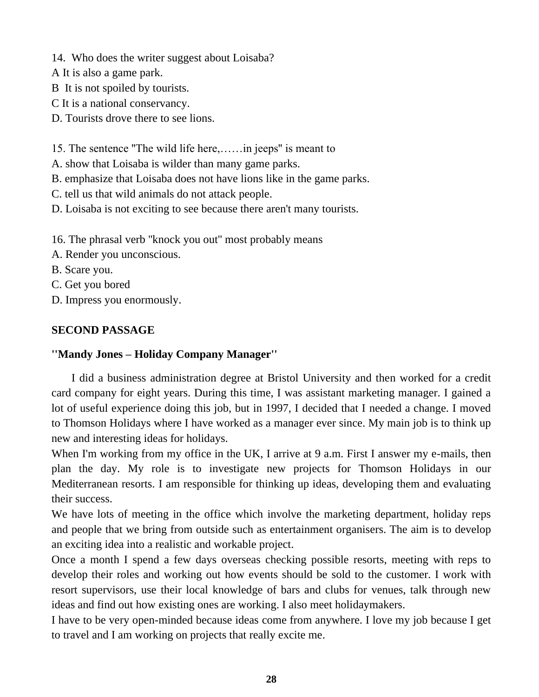14. Who does the writer suggest about Loisaba?

A It is also a game park.

B It is not spoiled by tourists.

C It is a national conservancy.

D. Tourists drove there to see lions.

15. The sentence ''The wild life here,……in jeeps'' is meant to

A. show that Loisaba is wilder than many game parks.

B. emphasize that Loisaba does not have lions like in the game parks.

C. tell us that wild animals do not attack people.

D. Loisaba is not exciting to see because there aren't many tourists.

16. The phrasal verb ''knock you out'' most probably means

A. Render you unconscious.

B. Scare you.

C. Get you bored

D. Impress you enormously.

# **SECOND PASSAGE**

# **''Mandy Jones – Holiday Company Manager''**

 I did a business administration degree at Bristol University and then worked for a credit card company for eight years. During this time, I was assistant marketing manager. I gained a lot of useful experience doing this job, but in 1997, I decided that I needed a change. I moved to Thomson Holidays where I have worked as a manager ever since. My main job is to think up new and interesting ideas for holidays.

When I'm working from my office in the UK, I arrive at 9 a.m. First I answer my e-mails, then plan the day. My role is to investigate new projects for Thomson Holidays in our Mediterranean resorts. I am responsible for thinking up ideas, developing them and evaluating their success.

We have lots of meeting in the office which involve the marketing department, holiday reps and people that we bring from outside such as entertainment organisers. The aim is to develop an exciting idea into a realistic and workable project.

Once a month I spend a few days overseas checking possible resorts, meeting with reps to develop their roles and working out how events should be sold to the customer. I work with resort supervisors, use their local knowledge of bars and clubs for venues, talk through new ideas and find out how existing ones are working. I also meet holidaymakers.

I have to be very open-minded because ideas come from anywhere. I love my job because I get to travel and I am working on projects that really excite me.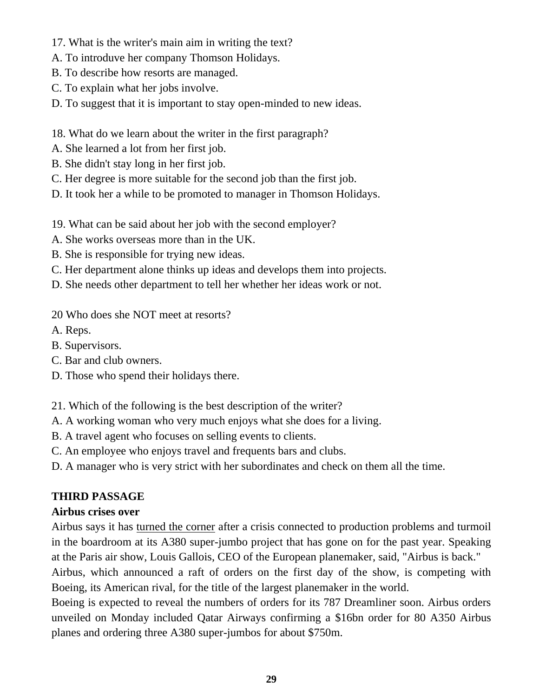- 17. What is the writer's main aim in writing the text?
- A. To introduve her company Thomson Holidays.
- B. To describe how resorts are managed.
- C. To explain what her jobs involve.

D. To suggest that it is important to stay open-minded to new ideas.

- 18. What do we learn about the writer in the first paragraph?
- A. She learned a lot from her first job.
- B. She didn't stay long in her first job.
- C. Her degree is more suitable for the second job than the first job.
- D. It took her a while to be promoted to manager in Thomson Holidays.
- 19. What can be said about her job with the second employer?
- A. She works overseas more than in the UK.
- B. She is responsible for trying new ideas.
- C. Her department alone thinks up ideas and develops them into projects.
- D. She needs other department to tell her whether her ideas work or not.
- 20 Who does she NOT meet at resorts?
- A. Reps.
- B. Supervisors.
- C. Bar and club owners.
- D. Those who spend their holidays there.

21. Which of the following is the best description of the writer?

A. A working woman who very much enjoys what she does for a living.

B. A travel agent who focuses on selling events to clients.

C. An employee who enjoys travel and frequents bars and clubs.

D. A manager who is very strict with her subordinates and check on them all the time.

### **THIRD PASSAGE**

### **Airbus crises over**

Airbus says it has turned the corner after a crisis connected to production problems and turmoil in the boardroom at its A380 super-jumbo project that has gone on for the past year. Speaking at the Paris air show, Louis Gallois, CEO of the European planemaker, said, "Airbus is back." Airbus, which announced a raft of orders on the first day of the show, is competing with

Boeing, its American rival, for the title of the largest planemaker in the world.

Boeing is expected to reveal the numbers of orders for its 787 Dreamliner soon. Airbus orders unveiled on Monday included Qatar Airways confirming a \$16bn order for 80 A350 Airbus planes and ordering three A380 super-jumbos for about \$750m.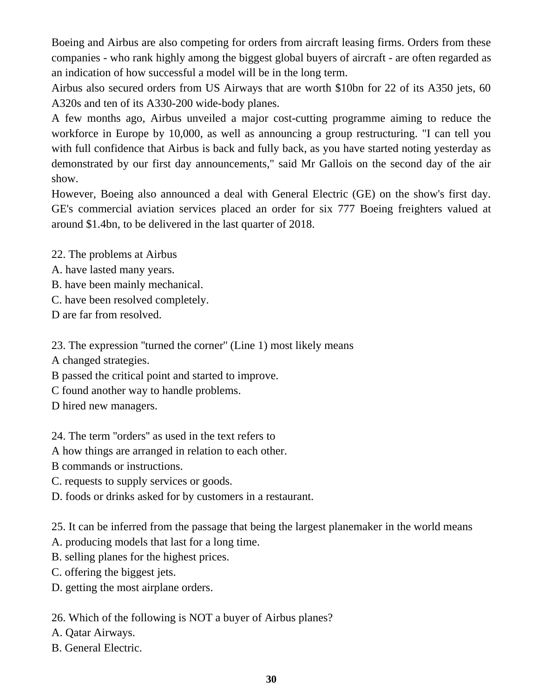Boeing and Airbus are also competing for orders from aircraft leasing firms. Orders from these companies - who rank highly among the biggest global buyers of aircraft - are often regarded as an indication of how successful a model will be in the long term.

Airbus also secured orders from US Airways that are worth \$10bn for 22 of its A350 jets, 60 A320s and ten of its A330-200 wide-body planes.

A few months ago, Airbus unveiled a major cost-cutting programme aiming to reduce the workforce in Europe by 10,000, as well as announcing a group restructuring. "I can tell you with full confidence that Airbus is back and fully back, as you have started noting yesterday as demonstrated by our first day announcements," said Mr Gallois on the second day of the air show.

However, Boeing also announced a deal with General Electric (GE) on the show's first day. GE's commercial aviation services placed an order for six 777 Boeing freighters valued at around \$1.4bn, to be delivered in the last quarter of 2018.

22. The problems at Airbus

- A. have lasted many years.
- B. have been mainly mechanical.
- C. have been resolved completely.

D are far from resolved.

23. The expression ''turned the corner'' (Line 1) most likely means

A changed strategies.

B passed the critical point and started to improve.

C found another way to handle problems.

D hired new managers.

24. The term ''orders'' as used in the text refers to

A how things are arranged in relation to each other.

B commands or instructions.

C. requests to supply services or goods.

D. foods or drinks asked for by customers in a restaurant.

25. It can be inferred from the passage that being the largest planemaker in the world means

A. producing models that last for a long time.

B. selling planes for the highest prices.

C. offering the biggest jets.

D. getting the most airplane orders.

26. Which of the following is NOT a buyer of Airbus planes?

A. Qatar Airways.

B. General Electric.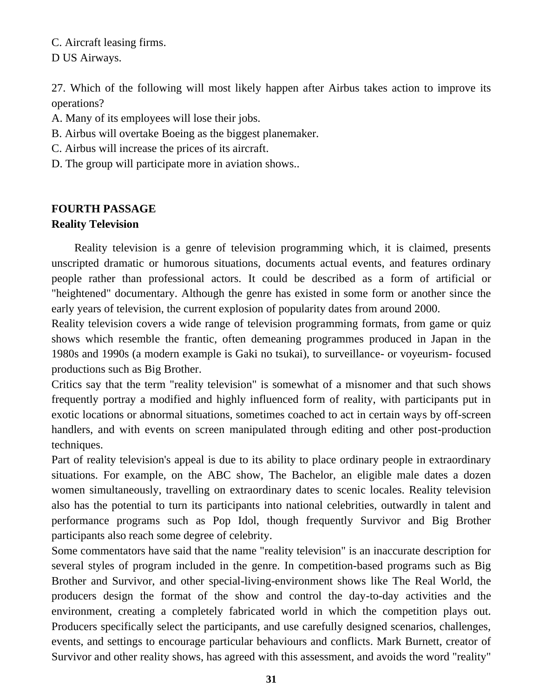C. Aircraft leasing firms. D US Airways.

27. Which of the following will most likely happen after Airbus takes action to improve its operations?

A. Many of its employees will lose their jobs.

- B. Airbus will overtake Boeing as the biggest planemaker.
- C. Airbus will increase the prices of its aircraft.
- D. The group will participate more in aviation shows..

## **FOURTH PASSAGE**

### **Reality Television**

 Reality television is a genre of television programming which, it is claimed, presents unscripted dramatic or humorous situations, documents actual events, and features ordinary people rather than professional actors. It could be described as a form of artificial or "heightened" documentary. Although the genre has existed in some form or another since the early years of television, the current explosion of popularity dates from around 2000.

Reality television covers a wide range of television programming formats, from game or quiz shows which resemble the frantic, often demeaning programmes produced in Japan in the 1980s and 1990s (a modern example is Gaki no tsukai), to surveillance- or voyeurism- focused productions such as Big Brother.

Critics say that the term "reality television" is somewhat of a misnomer and that such shows frequently portray a modified and highly influenced form of reality, with participants put in exotic locations or abnormal situations, sometimes coached to act in certain ways by off-screen handlers, and with events on screen manipulated through editing and other post-production techniques.

Part of reality television's appeal is due to its ability to place ordinary people in extraordinary situations. For example, on the ABC show, The Bachelor, an eligible male dates a dozen women simultaneously, travelling on extraordinary dates to scenic locales. Reality television also has the potential to turn its participants into national celebrities, outwardly in talent and performance programs such as Pop Idol, though frequently Survivor and Big Brother participants also reach some degree of celebrity.

Some commentators have said that the name "reality television" is an inaccurate description for several styles of program included in the genre. In competition-based programs such as Big Brother and Survivor, and other special-living-environment shows like The Real World, the producers design the format of the show and control the day-to-day activities and the environment, creating a completely fabricated world in which the competition plays out. Producers specifically select the participants, and use carefully designed scenarios, challenges, events, and settings to encourage particular behaviours and conflicts. Mark Burnett, creator of Survivor and other reality shows, has agreed with this assessment, and avoids the word "reality"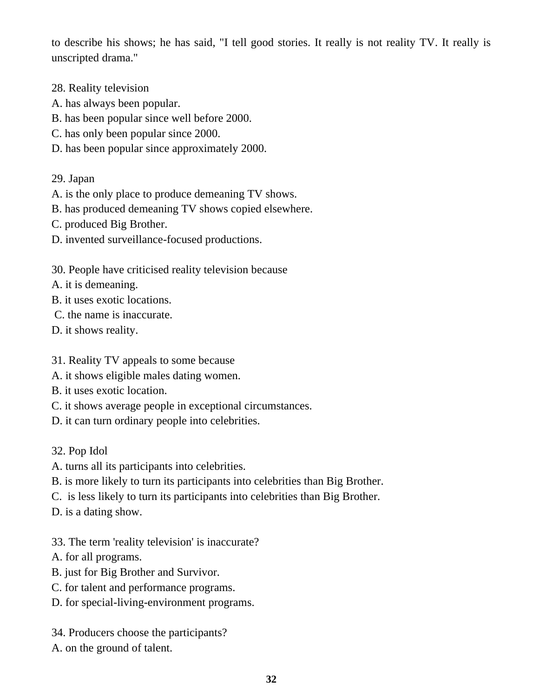to describe his shows; he has said, "I tell good stories. It really is not reality TV. It really is unscripted drama."

- 28. Reality television
- A. has always been popular.
- B. has been popular since well before 2000.
- C. has only been popular since 2000.
- D. has been popular since approximately 2000.
- 29. Japan
- A. is the only place to produce demeaning TV shows.
- B. has produced demeaning TV shows copied elsewhere.
- C. produced Big Brother.
- D. invented surveillance-focused productions.

30. People have criticised reality television because

- A. it is demeaning.
- B. it uses exotic locations.
- C. the name is inaccurate.
- D. it shows reality.
- 31. Reality TV appeals to some because
- A. it shows eligible males dating women.
- B. it uses exotic location.
- C. it shows average people in exceptional circumstances.
- D. it can turn ordinary people into celebrities.

32. Pop Idol

- A. turns all its participants into celebrities.
- B. is more likely to turn its participants into celebrities than Big Brother.
- C. is less likely to turn its participants into celebrities than Big Brother.

D. is a dating show.

33. The term 'reality television' is inaccurate?

- A. for all programs.
- B. just for Big Brother and Survivor.
- C. for talent and performance programs.
- D. for special-living-environment programs.
- 34. Producers choose the participants?
- A. on the ground of talent.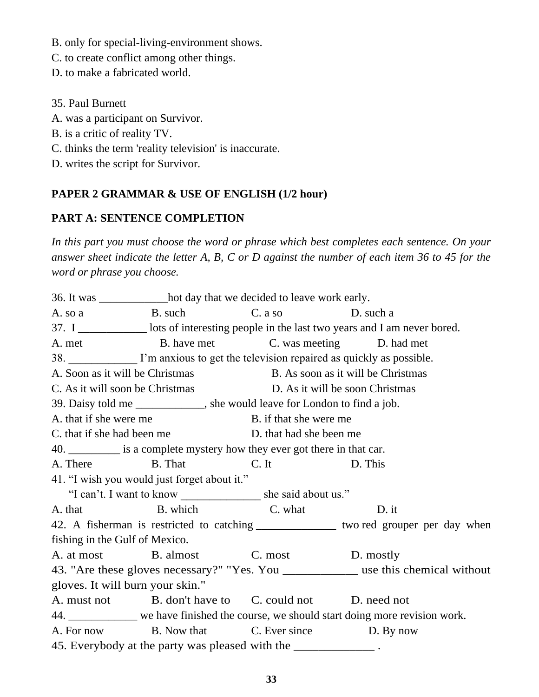B. only for special-living-environment shows.

C. to create conflict among other things.

D. to make a fabricated world.

35. Paul Burnett

A. was a participant on Survivor.

B. is a critic of reality TV.

C. thinks the term 'reality television' is inaccurate.

D. writes the script for Survivor.

# **PAPER 2 GRAMMAR & USE OF ENGLISH (1/2 hour)**

# **PART A: SENTENCE COMPLETION**

*In this part you must choose the word or phrase which best completes each sentence. On your answer sheet indicate the letter A, B, C or D against the number of each item 36 to 45 for the word or phrase you choose.*

36. It was \_\_\_\_\_\_\_\_\_\_\_\_hot day that we decided to leave work early. A. so a B. such C. a so D. such a 37. I \_\_\_\_\_\_\_\_\_\_\_\_ lots of interesting people in the last two years and I am never bored. A. met B. have met C. was meeting D. had met 38. I'm anxious to get the television repaired as quickly as possible. A. Soon as it will be Christmas B. As soon as it will be Christmas C. As it will soon be Christmas D. As it will be soon Christmas 39. Daisy told me \_\_\_\_\_\_\_\_\_\_\_\_, she would leave for London to find a job. A, that if she were me B. if that she were me C. that if she had been me D. that had she been me 40. \_\_\_\_\_\_\_\_\_ is a complete mystery how they ever got there in that car. A. There B. That C. It D. This 41. "I wish you would just forget about it." "I can't. I want to know she said about us." A. that B. which C. what D. it 42. A fisherman is restricted to catching *\_\_\_\_\_\_\_\_\_\_\_\_\_\_* two red grouper per day when fishing in the Gulf of Mexico. A. at most B. almost C. most D. mostly 43. "Are these gloves necessary?" "Yes. You \_\_\_\_\_\_\_\_\_\_\_\_ use this chemical without gloves. It will burn your skin." A. must not B. don't have to C. could not D. need not 44. \_\_\_\_\_\_\_\_\_\_\_\_ we have finished the course, we should start doing more revision work. A. For now B. Now that C. Ever since D. By now 45. Everybody at the party was pleased with the \_\_\_\_\_\_\_\_\_\_\_\_\_\_\_.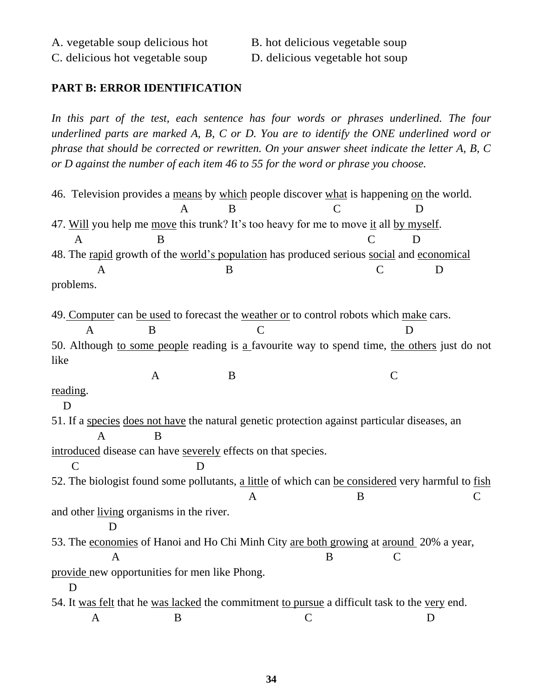#### **PART B: ERROR IDENTIFICATION**

In this part of the test, each sentence has four words or phrases underlined. The four *underlined parts are marked A, B, C or D. You are to identify the ONE underlined word or phrase that should be corrected or rewritten. On your answer sheet indicate the letter A, B, C or D against the number of each item 46 to 55 for the word or phrase you choose.*

46. Television provides a means by which people discover what is happening on the world. A B C D 47. Will you help me move this trunk? It's too heavy for me to move it all by myself. A B C D 48. The rapid growth of the world's population has produced serious social and economical A B C D problems. 49. Computer can be used to forecast the weather or to control robots which make cars. A B C D 50. Although to some people reading is a favourite way to spend time, the others just do not like  $A$  B C reading. D 51. If a species does not have the natural genetic protection against particular diseases, an A B introduced disease can have severely effects on that species. C D 52. The biologist found some pollutants, a little of which can be considered very harmful to fish A B C and other living organisms in the river. D 53. The economies of Hanoi and Ho Chi Minh City are both growing at around 20% a year, A B C provide new opportunities for men like Phong. D 54. It was felt that he was lacked the commitment to pursue a difficult task to the very end. A B C D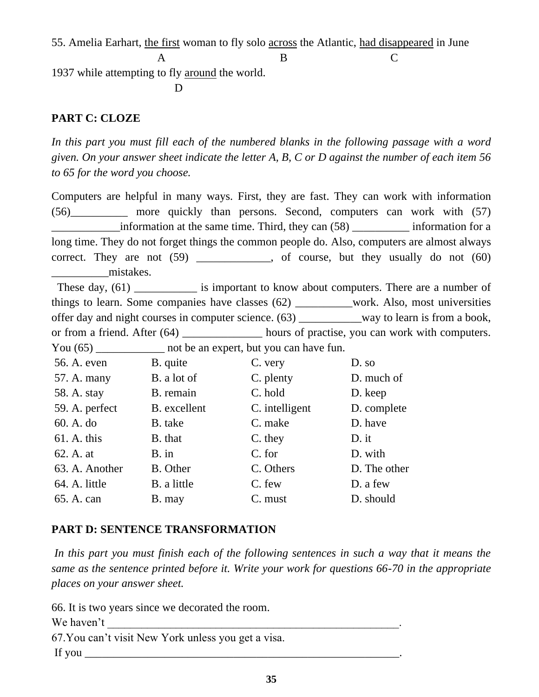55. Amelia Earhart, the first woman to fly solo across the Atlantic, had disappeared in June

A B C

1937 while attempting to fly around the world.

**D** 

## **PART C: CLOZE**

In this part you must fill each of the numbered blanks in the following passage with a word *given. On your answer sheet indicate the letter A, B, C or D against the number of each item 56 to 65 for the word you choose.*

Computers are helpful in many ways. First, they are fast. They can work with information (56)\_\_\_\_\_\_\_\_\_\_ more quickly than persons. Second, computers can work with (57) \_\_\_\_\_\_\_\_\_\_\_\_information at the same time. Third, they can (58) \_\_\_\_\_\_\_\_\_\_ information for a long time. They do not forget things the common people do. Also, computers are almost always correct. They are not  $(59)$ , of course, but they usually do not  $(60)$ mistakes.

These day, (61) is important to know about computers. There are a number of things to learn. Some companies have classes (62) \_\_\_\_\_\_\_\_\_\_work. Also, most universities offer day and night courses in computer science. (63) \_\_\_\_\_\_\_\_\_\_\_way to learn is from a book, or from a friend. After (64) \_\_\_\_\_\_\_\_\_\_\_\_ hours of practise, you can work with computers. You (65) \_\_\_\_\_\_\_\_\_\_\_\_\_\_ not be an expert, but you can have fun.

| 56. A. even    | B. quite     | C. very        | D. so        |
|----------------|--------------|----------------|--------------|
| 57. A. many    | B. a lot of  | C. plenty      | D. much of   |
| 58. A. stay    | B. remain    | C. hold        | D. keep      |
| 59. A. perfect | B. excellent | C. intelligent | D. complete  |
| 60. A. do      | B. take      | C. make        | D. have      |
| $61.$ A. this  | B. that      | C. they        | $D.$ it      |
| 62. A. at      | $B.$ in      | C. for         | D. with      |
| 63. A. Another | B. Other     | C. Others      | D. The other |
| 64. A. little  | B. a little  | C. few         | D. a few     |
| 65. A. can     | B. may       | C. must        | D. should    |
|                |              |                |              |

# **PART D: SENTENCE TRANSFORMATION**

*In this part you must finish each of the following sentences in such a way that it means the same as the sentence printed before it. Write your work for questions 66-70 in the appropriate places on your answer sheet.*

66. It is two years since we decorated the room. We haven't 67.You can't visit New York unless you get a visa. If you  $\blacksquare$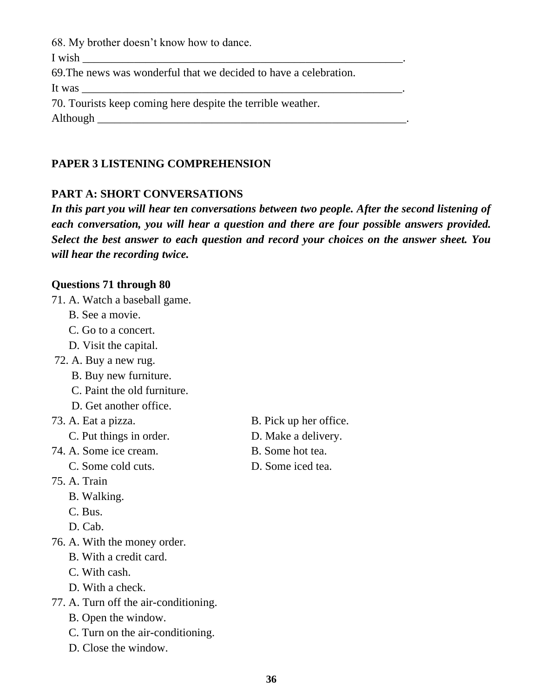68. My brother doesn't know how to dance.

I wish

69.The news was wonderful that we decided to have a celebration.

It was

70. Tourists keep coming here despite the terrible weather.

Although **Exercise 2.2** 

# **PAPER 3 LISTENING COMPREHENSION**

## **PART A: SHORT CONVERSATIONS**

*In this part you will hear ten conversations between two people. After the second listening of each conversation, you will hear a question and there are four possible answers provided. Select the best answer to each question and record your choices on the answer sheet. You will hear the recording twice.*

## **Questions 71 through 80**

- 71. A. Watch a baseball game.
	- B. See a movie.
	- C. Go to a concert.
	- D. Visit the capital.
- 72. A. Buy a new rug.
	- B. Buy new furniture.
	- C. Paint the old furniture.
	- D. Get another office.
- - C. Put things in order. D. Make a delivery.
- 74. A. Some ice cream. B. Some hot tea.
	-
- 75. A. Train
	- B. Walking.
	- C. Bus.
	- D. Cab.
- 76. A. With the money order.
	- B. With a credit card.
	- C. With cash.
	- D. With a check.
- 77. A. Turn off the air-conditioning.
	- B. Open the window.
	- C. Turn on the air-conditioning.
	- D. Close the window.
- 73. A. Eat a pizza. B. Pick up her office.
	-
	-
	- C. Some cold cuts. D. Some iced tea.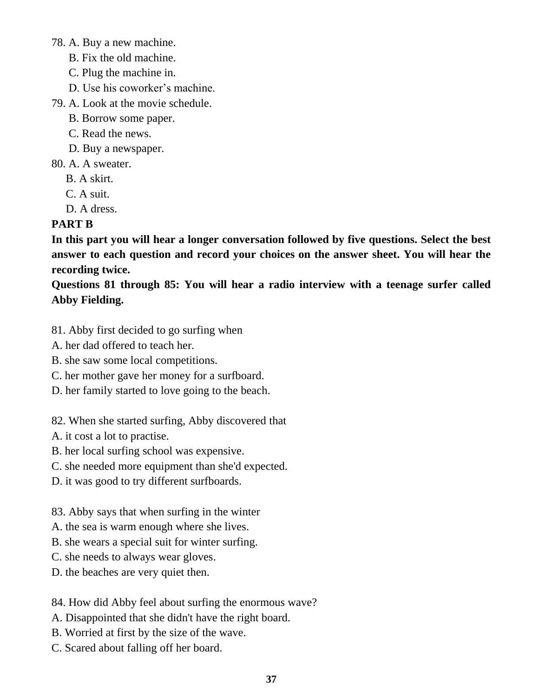78. A. Buy a new machine.

- B. Fix the old machine.
- C. Plug the machine in.
- D. Use his coworker's machine.
- 79. A. Look at the movie schedule.
	- B. Borrow some paper.
	- C. Read the news.
	- D. Buy a newspaper.
- 80. A. A sweater.
	- B. A skirt.
	- C. A suit.
	- D. A dress.

# **PART B**

**In this part you will hear a longer conversation followed by five questions. Select the best answer to each question and record your choices on the answer sheet. You will hear the recording twice.**

**Questions 81 through 85: You will hear a radio interview with a teenage surfer called Abby Fielding.**

- 81. Abby first decided to go surfing when
- A. her dad offered to teach her.
- B. she saw some local competitions.
- C. her mother gave her money for a surfboard.
- D. her family started to love going to the beach.
- 82. When she started surfing, Abby discovered that
- A. it cost a lot to practise.
- B. her local surfing school was expensive.
- C. she needed more equipment than she'd expected.
- D. it was good to try different surfboards.

83. Abby says that when surfing in the winter

- A. the sea is warm enough where she lives.
- B. she wears a special suit for winter surfing.
- C. she needs to always wear gloves.
- D. the beaches are very quiet then.
- 84. How did Abby feel about surfing the enormous wave?
- A. Disappointed that she didn't have the right board.
- B. Worried at first by the size of the wave.
- C. Scared about falling off her board.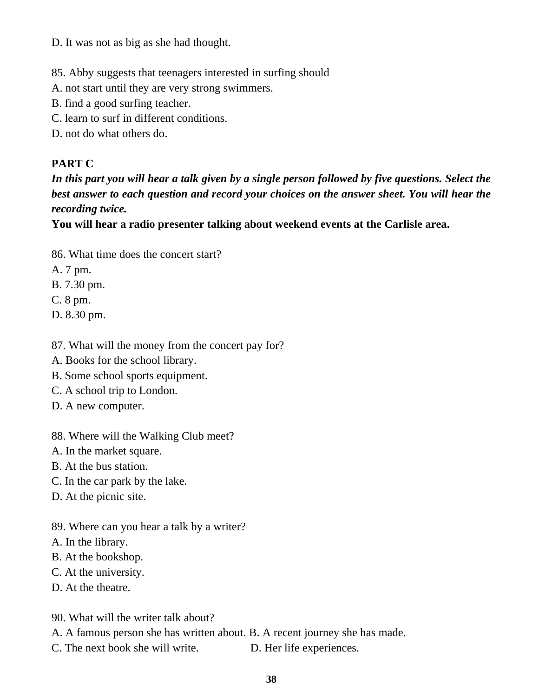D. It was not as big as she had thought.

85. Abby suggests that teenagers interested in surfing should

- A. not start until they are very strong swimmers.
- B. find a good surfing teacher.
- C. learn to surf in different conditions.
- D. not do what others do.

## **PART C**

*In this part you will hear a talk given by a single person followed by five questions. Select the best answer to each question and record your choices on the answer sheet. You will hear the recording twice.*

**You will hear a radio presenter talking about weekend events at the Carlisle area.**

- 86. What time does the concert start?
- A. 7 pm.
- B. 7.30 pm.
- C. 8 pm.
- D. 8.30 pm.
- 87. What will the money from the concert pay for?
- A. Books for the school library.
- B. Some school sports equipment.
- C. A school trip to London.
- D. A new computer.
- 88. Where will the Walking Club meet?
- A. In the market square.
- B. At the bus station.
- C. In the car park by the lake.
- D. At the picnic site.
- 89. Where can you hear a talk by a writer?
- A. In the library.
- B. At the bookshop.
- C. At the university.
- D. At the theatre.
- 90. What will the writer talk about?
- A. A famous person she has written about. B. A recent journey she has made.
- C. The next book she will write. D. Her life experiences.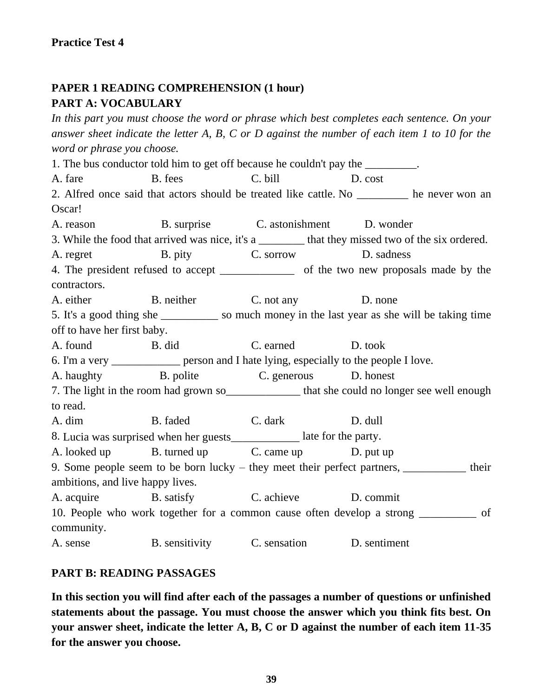# **PAPER 1 READING COMPREHENSION (1 hour) PART A: VOCABULARY**

*In this part you must choose the word or phrase which best completes each sentence. On your answer sheet indicate the letter A, B, C or D against the number of each item 1 to 10 for the word or phrase you choose.* 1. The bus conductor told him to get off because he couldn't pay the \_\_\_\_\_\_\_\_\_. A. fare B. fees C. bill D. cost 2. Alfred once said that actors should be treated like cattle. No he never won an Oscar! A. reason B. surprise C. astonishment D. wonder 3. While the food that arrived was nice, it's a \_\_\_\_\_\_\_\_ that they missed two of the six ordered. A. regret B. pity C. sorrow D. sadness 4. The president refused to accept \_\_\_\_\_\_\_\_\_\_\_\_\_ of the two new proposals made by the contractors. A. either B. neither C. not any D. none 5. It's a good thing she \_\_\_\_\_\_\_\_\_\_ so much money in the last year as she will be taking time off to have her first baby. A. found B. did C. earned D. took 6. I'm a very \_\_\_\_\_\_\_\_\_\_\_\_ person and I hate lying, especially to the people I love. A. haughty B. polite C. generous D. honest 7. The light in the room had grown so that she could no longer see well enough to read. A. dim B. faded C. dark D. dull 8. Lucia was surprised when her guests late for the party. A. looked up B. turned up C. came up D. put up 9. Some people seem to be born lucky – they meet their perfect partners, \_\_\_\_\_\_\_\_\_\_\_ their ambitions, and live happy lives. A. acquire B. satisfy C. achieve D. commit 10. People who work together for a common cause often develop a strong \_\_\_\_\_\_\_\_\_\_ of community. A. sense B. sensitivity C. sensation D. sentiment

### **PART B: READING PASSAGES**

**In this section you will find after each of the passages a number of questions or unfinished statements about the passage. You must choose the answer which you think fits best. On your answer sheet, indicate the letter A, B, C or D against the number of each item 11-35 for the answer you choose.**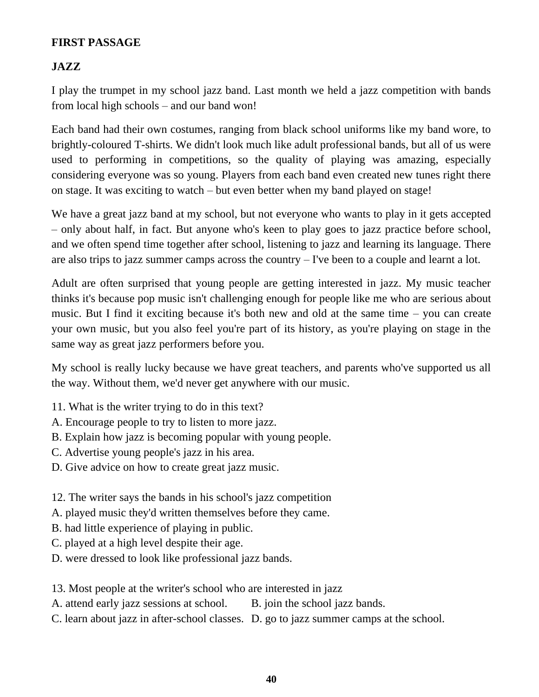### **FIRST PASSAGE**

## **JAZZ**

I play the trumpet in my school jazz band. Last month we held a jazz competition with bands from local high schools – and our band won!

Each band had their own costumes, ranging from black school uniforms like my band wore, to brightly-coloured T-shirts. We didn't look much like adult professional bands, but all of us were used to performing in competitions, so the quality of playing was amazing, especially considering everyone was so young. Players from each band even created new tunes right there on stage. It was exciting to watch – but even better when my band played on stage!

We have a great jazz band at my school, but not everyone who wants to play in it gets accepted – only about half, in fact. But anyone who's keen to play goes to jazz practice before school, and we often spend time together after school, listening to jazz and learning its language. There are also trips to jazz summer camps across the country – I've been to a couple and learnt a lot.

Adult are often surprised that young people are getting interested in jazz. My music teacher thinks it's because pop music isn't challenging enough for people like me who are serious about music. But I find it exciting because it's both new and old at the same time – you can create your own music, but you also feel you're part of its history, as you're playing on stage in the same way as great jazz performers before you.

My school is really lucky because we have great teachers, and parents who've supported us all the way. Without them, we'd never get anywhere with our music.

- 11. What is the writer trying to do in this text?
- A. Encourage people to try to listen to more jazz.
- B. Explain how jazz is becoming popular with young people.
- C. Advertise young people's jazz in his area.
- D. Give advice on how to create great jazz music.

12. The writer says the bands in his school's jazz competition

A. played music they'd written themselves before they came.

- B. had little experience of playing in public.
- C. played at a high level despite their age.
- D. were dressed to look like professional jazz bands.

13. Most people at the writer's school who are interested in jazz

A. attend early jazz sessions at school. B. join the school jazz bands.

C. learn about jazz in after-school classes. D. go to jazz summer camps at the school.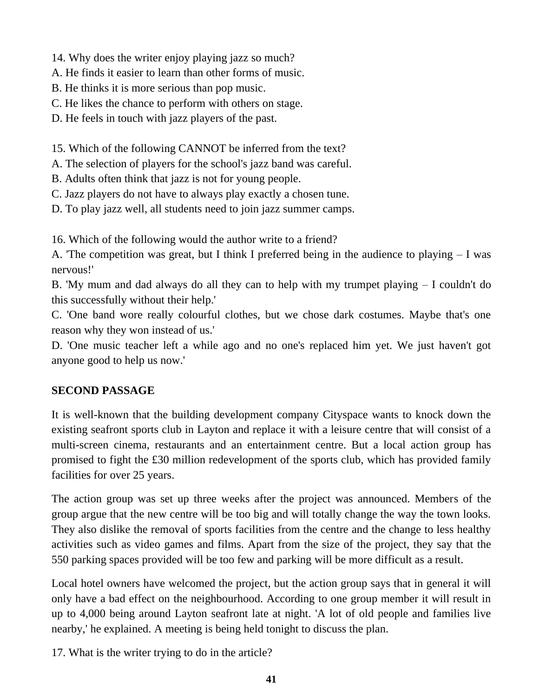14. Why does the writer enjoy playing jazz so much?

A. He finds it easier to learn than other forms of music.

B. He thinks it is more serious than pop music.

C. He likes the chance to perform with others on stage.

D. He feels in touch with jazz players of the past.

15. Which of the following CANNOT be inferred from the text?

A. The selection of players for the school's jazz band was careful.

B. Adults often think that jazz is not for young people.

C. Jazz players do not have to always play exactly a chosen tune.

D. To play jazz well, all students need to join jazz summer camps.

16. Which of the following would the author write to a friend?

A. 'The competition was great, but I think I preferred being in the audience to playing – I was nervous!'

B. 'My mum and dad always do all they can to help with my trumpet playing – I couldn't do this successfully without their help.'

C. 'One band wore really colourful clothes, but we chose dark costumes. Maybe that's one reason why they won instead of us.'

D. 'One music teacher left a while ago and no one's replaced him yet. We just haven't got anyone good to help us now.'

## **SECOND PASSAGE**

It is well-known that the building development company Cityspace wants to knock down the existing seafront sports club in Layton and replace it with a leisure centre that will consist of a multi-screen cinema, restaurants and an entertainment centre. But a local action group has promised to fight the £30 million redevelopment of the sports club, which has provided family facilities for over 25 years.

The action group was set up three weeks after the project was announced. Members of the group argue that the new centre will be too big and will totally change the way the town looks. They also dislike the removal of sports facilities from the centre and the change to less healthy activities such as video games and films. Apart from the size of the project, they say that the 550 parking spaces provided will be too few and parking will be more difficult as a result.

Local hotel owners have welcomed the project, but the action group says that in general it will only have a bad effect on the neighbourhood. According to one group member it will result in up to 4,000 being around Layton seafront late at night. 'A lot of old people and families live nearby,' he explained. A meeting is being held tonight to discuss the plan.

17. What is the writer trying to do in the article?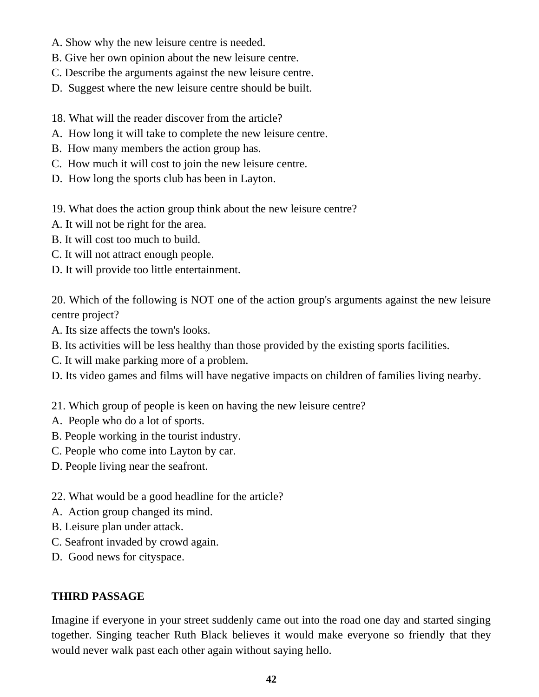- A. Show why the new leisure centre is needed.
- B. Give her own opinion about the new leisure centre.
- C. Describe the arguments against the new leisure centre.
- D. Suggest where the new leisure centre should be built.
- 18. What will the reader discover from the article?
- A. How long it will take to complete the new leisure centre.
- B. How many members the action group has.
- C. How much it will cost to join the new leisure centre.
- D. How long the sports club has been in Layton.
- 19. What does the action group think about the new leisure centre?
- A. It will not be right for the area.
- B. It will cost too much to build.
- C. It will not attract enough people.
- D. It will provide too little entertainment.

20. Which of the following is NOT one of the action group's arguments against the new leisure centre project?

- A. Its size affects the town's looks.
- B. Its activities will be less healthy than those provided by the existing sports facilities.
- C. It will make parking more of a problem.
- D. Its video games and films will have negative impacts on children of families living nearby.
- 21. Which group of people is keen on having the new leisure centre?
- A. People who do a lot of sports.
- B. People working in the tourist industry.
- C. People who come into Layton by car.
- D. People living near the seafront.
- 22. What would be a good headline for the article?
- A. Action group changed its mind.
- B. Leisure plan under attack.
- C. Seafront invaded by crowd again.
- D. Good news for cityspace.

### **THIRD PASSAGE**

Imagine if everyone in your street suddenly came out into the road one day and started singing together. Singing teacher Ruth Black believes it would make everyone so friendly that they would never walk past each other again without saying hello.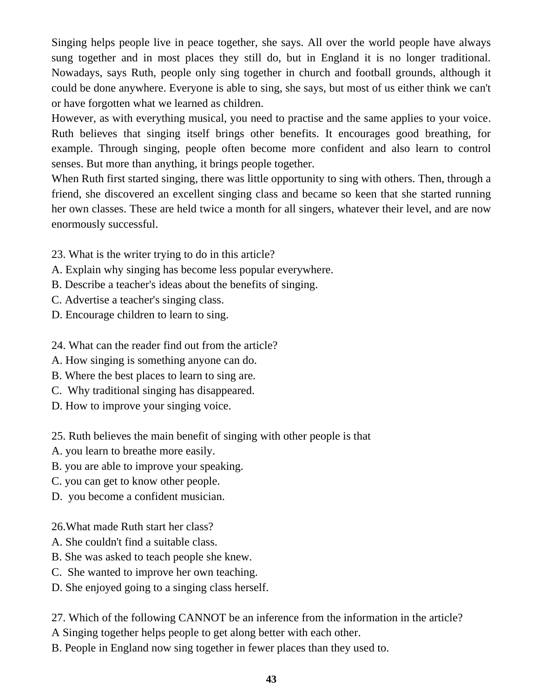Singing helps people live in peace together, she says. All over the world people have always sung together and in most places they still do, but in England it is no longer traditional. Nowadays, says Ruth, people only sing together in church and football grounds, although it could be done anywhere. Everyone is able to sing, she says, but most of us either think we can't or have forgotten what we learned as children.

However, as with everything musical, you need to practise and the same applies to your voice. Ruth believes that singing itself brings other benefits. It encourages good breathing, for example. Through singing, people often become more confident and also learn to control senses. But more than anything, it brings people together.

When Ruth first started singing, there was little opportunity to sing with others. Then, through a friend, she discovered an excellent singing class and became so keen that she started running her own classes. These are held twice a month for all singers, whatever their level, and are now enormously successful.

- 23. What is the writer trying to do in this article?
- A. Explain why singing has become less popular everywhere.
- B. Describe a teacher's ideas about the benefits of singing.
- C. Advertise a teacher's singing class.
- D. Encourage children to learn to sing.
- 24. What can the reader find out from the article?
- A. How singing is something anyone can do.
- B. Where the best places to learn to sing are.
- C. Why traditional singing has disappeared.
- D. How to improve your singing voice.

25. Ruth believes the main benefit of singing with other people is that

- A. you learn to breathe more easily.
- B. you are able to improve your speaking.
- C. you can get to know other people.
- D. you become a confident musician.
- 26.What made Ruth start her class?
- A. She couldn't find a suitable class.
- B. She was asked to teach people she knew.
- C. She wanted to improve her own teaching.
- D. She enjoyed going to a singing class herself.

27. Which of the following CANNOT be an inference from the information in the article?

A Singing together helps people to get along better with each other.

B. People in England now sing together in fewer places than they used to.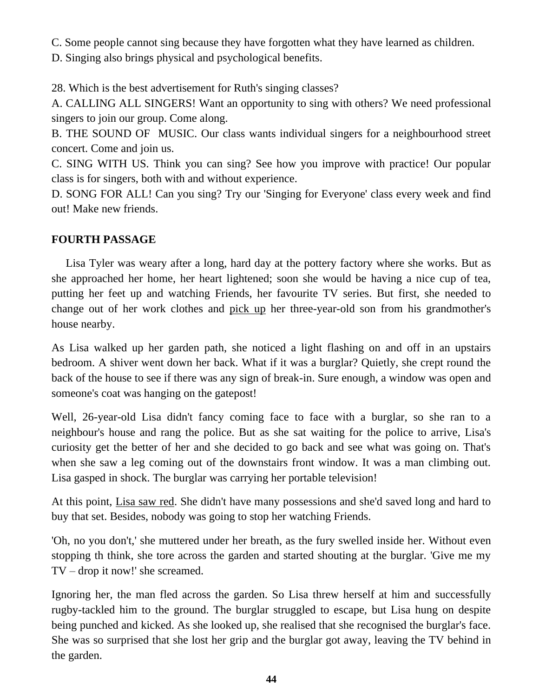C. Some people cannot sing because they have forgotten what they have learned as children.

D. Singing also brings physical and psychological benefits.

28. Which is the best advertisement for Ruth's singing classes?

A. CALLING ALL SINGERS! Want an opportunity to sing with others? We need professional singers to join our group. Come along.

B. THE SOUND OF MUSIC. Our class wants individual singers for a neighbourhood street concert. Come and join us.

C. SING WITH US. Think you can sing? See how you improve with practice! Our popular class is for singers, both with and without experience.

D. SONG FOR ALL! Can you sing? Try our 'Singing for Everyone' class every week and find out! Make new friends.

# **FOURTH PASSAGE**

 Lisa Tyler was weary after a long, hard day at the pottery factory where she works. But as she approached her home, her heart lightened; soon she would be having a nice cup of tea, putting her feet up and watching Friends, her favourite TV series. But first, she needed to change out of her work clothes and pick up her three-year-old son from his grandmother's house nearby.

As Lisa walked up her garden path, she noticed a light flashing on and off in an upstairs bedroom. A shiver went down her back. What if it was a burglar? Quietly, she crept round the back of the house to see if there was any sign of break-in. Sure enough, a window was open and someone's coat was hanging on the gatepost!

Well, 26-year-old Lisa didn't fancy coming face to face with a burglar, so she ran to a neighbour's house and rang the police. But as she sat waiting for the police to arrive, Lisa's curiosity get the better of her and she decided to go back and see what was going on. That's when she saw a leg coming out of the downstairs front window. It was a man climbing out. Lisa gasped in shock. The burglar was carrying her portable television!

At this point, Lisa saw red. She didn't have many possessions and she'd saved long and hard to buy that set. Besides, nobody was going to stop her watching Friends.

'Oh, no you don't,' she muttered under her breath, as the fury swelled inside her. Without even stopping th think, she tore across the garden and started shouting at the burglar. 'Give me my TV – drop it now!' she screamed.

Ignoring her, the man fled across the garden. So Lisa threw herself at him and successfully rugby-tackled him to the ground. The burglar struggled to escape, but Lisa hung on despite being punched and kicked. As she looked up, she realised that she recognised the burglar's face. She was so surprised that she lost her grip and the burglar got away, leaving the TV behind in the garden.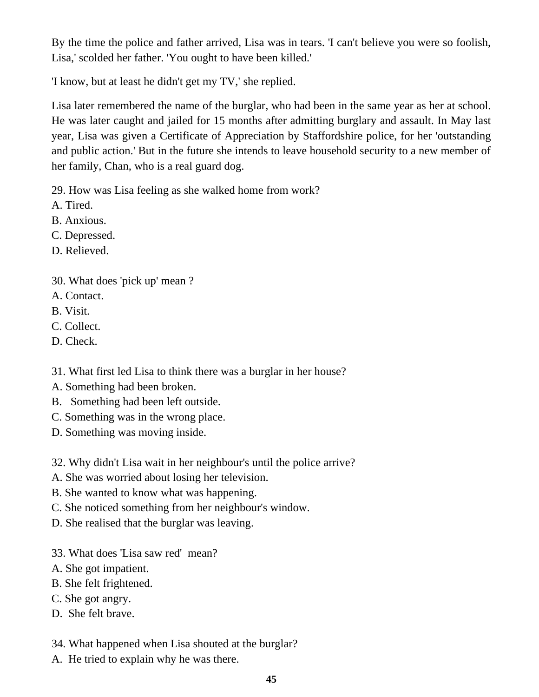By the time the police and father arrived, Lisa was in tears. 'I can't believe you were so foolish, Lisa,' scolded her father. 'You ought to have been killed.'

'I know, but at least he didn't get my TV,' she replied.

Lisa later remembered the name of the burglar, who had been in the same year as her at school. He was later caught and jailed for 15 months after admitting burglary and assault. In May last year, Lisa was given a Certificate of Appreciation by Staffordshire police, for her 'outstanding and public action.' But in the future she intends to leave household security to a new member of her family, Chan, who is a real guard dog.

29. How was Lisa feeling as she walked home from work?

A. Tired.

B. Anxious.

C. Depressed.

D. Relieved.

- 30. What does 'pick up' mean ?
- A. Contact.
- B. Visit.
- C. Collect.
- D. Check.

31. What first led Lisa to think there was a burglar in her house?

- A. Something had been broken.
- B. Something had been left outside.
- C. Something was in the wrong place.

D. Something was moving inside.

32. Why didn't Lisa wait in her neighbour's until the police arrive?

A. She was worried about losing her television.

- B. She wanted to know what was happening.
- C. She noticed something from her neighbour's window.

D. She realised that the burglar was leaving.

- 33. What does 'Lisa saw red' mean?
- A. She got impatient.
- B. She felt frightened.
- C. She got angry.
- D. She felt brave.

34. What happened when Lisa shouted at the burglar?

A. He tried to explain why he was there.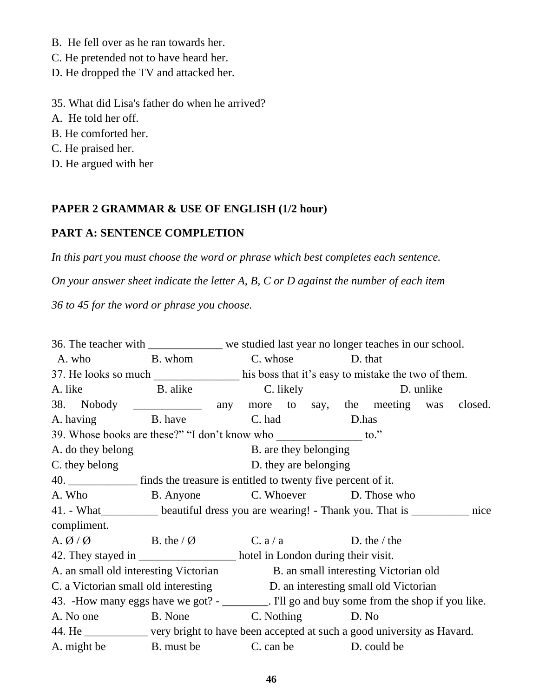- B. He fell over as he ran towards her.
- C. He pretended not to have heard her.
- D. He dropped the TV and attacked her.
- 35. What did Lisa's father do when he arrived?
- A. He told her off.
- B. He comforted her.
- C. He praised her.
- D. He argued with her

## **PAPER 2 GRAMMAR & USE OF ENGLISH (1/2 hour)**

# **PART A: SENTENCE COMPLETION**

*In this part you must choose the word or phrase which best completes each sentence.*

*On your answer sheet indicate the letter A, B, C or D against the number of each item*

*36 to 45 for the word or phrase you choose.*

36. The teacher with \_\_\_\_\_\_\_\_\_\_\_\_\_ we studied last year no longer teaches in our school. A. who B. whom C. whose D. that 37. He looks so much his boss that it's easy to mistake the two of them. A. like B. alike C. likely D. unlike 38. Nobody any more to say, the meeting was closed. A. having B. have C. had D.has 39. Whose books are these?" "I don't know who  $\sim$  to." A. do they belong B. are they belonging C. they belong D. they are belonging 40. **EXECUTE:** finds the treasure is entitled to twenty five percent of it. A. Who B. Anyone C. Whoever D. Those who 41. - What\_\_\_\_\_\_\_\_\_\_ beautiful dress you are wearing! - Thank you. That is \_\_\_\_\_\_\_\_\_\_ nice compliment. A.  $\emptyset$  /  $\emptyset$  B. the /  $\emptyset$  C. a / a D. the / the 42. They stayed in \_\_\_\_\_\_\_\_\_\_\_\_\_\_\_\_\_\_\_\_\_\_ hotel in London during their visit. A. an small old interesting Victorian B. an small interesting Victorian old C. a Victorian small old interesting D. an interesting small old Victorian 43. -How many eggs have we got? - \_\_\_\_\_\_\_\_. I'll go and buy some from the shop if you like. A. No one B. None C. Nothing D. No 44. He \_\_\_\_\_\_\_\_\_\_\_ very bright to have been accepted at such a good university as Havard. A. might be B. must be C. can be D. could be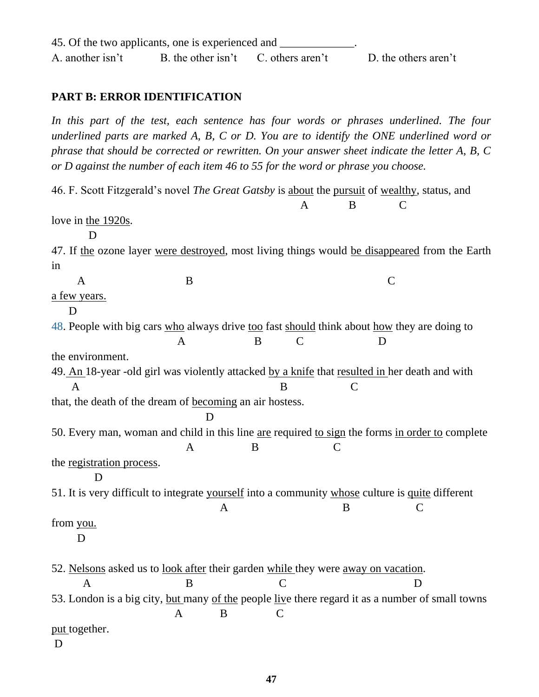## **PART B: ERROR IDENTIFICATION**

In this part of the test, each sentence has four words or phrases underlined. The four *underlined parts are marked A, B, C or D. You are to identify the ONE underlined word or phrase that should be corrected or rewritten. On your answer sheet indicate the letter A, B, C or D against the number of each item 46 to 55 for the word or phrase you choose.*

46. F. Scott Fitzgerald's novel *The Great Gatsby* is about the pursuit of wealthy, status, and A B C love in the 1920s. D 47. If the ozone layer were destroyed, most living things would be disappeared from the Earth in A B C a few years. D 48. People with big cars who always drive too fast should think about how they are doing to A B C D the environment. 49. An 18-year -old girl was violently attacked by a knife that resulted in her death and with A B C that, the death of the dream of becoming an air hostess. D 50. Every man, woman and child in this line are required to sign the forms in order to complete A B C the registration process. D 51. It is very difficult to integrate yourself into a community whose culture is quite different A B C from you. D 52. Nelsons asked us to look after their garden while they were away on vacation. A B C D 53. London is a big city, but many of the people live there regard it as a number of small towns A B C put together. D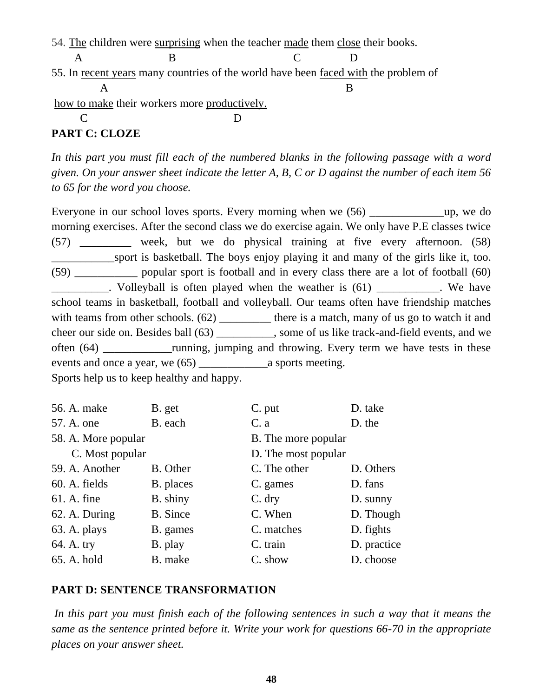54. The children were surprising when the teacher made them close their books.

A B C D

55. In recent years many countries of the world have been faced with the problem of

 A B how to make their workers more productively.

C D

# **PART C: CLOZE**

In this part you must fill each of the numbered blanks in the following passage with a word *given. On your answer sheet indicate the letter A, B, C or D against the number of each item 56 to 65 for the word you choose.*

Everyone in our school loves sports. Every morning when we (56) \_\_\_\_\_\_\_\_\_\_\_\_\_up, we do morning exercises. After the second class we do exercise again. We only have P.E classes twice (57) \_\_\_\_\_\_\_\_\_ week, but we do physical training at five every afternoon. (58) sport is basketball. The boys enjoy playing it and many of the girls like it, too. (59) \_\_\_\_\_\_\_\_\_\_\_ popular sport is football and in every class there are a lot of football (60) . Volleyball is often played when the weather is (61) We have school teams in basketball, football and volleyball. Our teams often have friendship matches with teams from other schools. (62) \_\_\_\_\_\_\_\_\_\_ there is a match, many of us go to watch it and cheer our side on. Besides ball (63) \_\_\_\_\_\_\_\_\_\_, some of us like track-and-field events, and we often (64) \_\_\_\_\_\_\_\_\_\_\_\_running, jumping and throwing. Every term we have tests in these events and once a year, we (65) \_\_\_\_\_\_\_\_\_\_\_\_a sports meeting. Sports help us to keep healthy and happy.

| 56. A. make         | B. get          | C. put              | D. take     |
|---------------------|-----------------|---------------------|-------------|
| 57. A. one          | B. each         | C. a                | D. the      |
| 58. A. More popular |                 | B. The more popular |             |
| C. Most popular     |                 | D. The most popular |             |
| 59. A. Another      | B. Other        | C. The other        | D. Others   |
| 60. A. fields       | B. places       | C. games            | D. fans     |
| $61.$ A. fine       | B. shiny        | C. dry              | D. sunny    |
| 62. A. During       | <b>B.</b> Since | C. When             | D. Though   |
| 63. A. plays        | B. games        | C. matches          | D. fights   |
| 64. A. try          | B. play         | C. train            | D. practice |
| 65. A. hold         | B. make         | C. show             | D. choose   |

# **PART D: SENTENCE TRANSFORMATION**

*In this part you must finish each of the following sentences in such a way that it means the same as the sentence printed before it. Write your work for questions 66-70 in the appropriate places on your answer sheet.*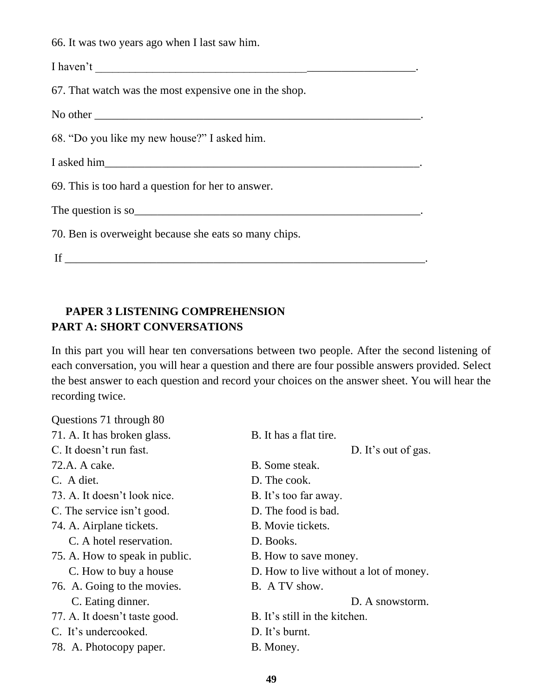66. It was two years ago when I last saw him.

I haven't \_\_\_\_\_\_\_\_\_\_\_\_\_\_\_\_\_\_\_\_\_\_\_\_\_\_\_\_\_\_\_\_\_\_\_\_\_\_\_\_\_\_\_\_\_\_\_\_\_\_\_\_\_\_\_\_.

67. That watch was the most expensive one in the shop.

No other \_\_\_\_\_\_\_\_\_\_\_\_\_\_\_\_\_\_\_\_\_\_\_\_\_\_\_\_\_\_\_\_\_\_\_\_\_\_\_\_\_\_\_\_\_\_\_\_\_\_\_\_\_\_\_\_\_.

68. "Do you like my new house?" I asked him.

I asked him\_\_\_\_\_\_\_\_\_\_\_\_\_\_\_\_\_\_\_\_\_\_\_\_\_\_\_\_\_\_\_\_\_\_\_\_\_\_\_\_\_\_\_\_\_\_\_\_\_\_\_\_\_\_\_.

69. This is too hard a question for her to answer.

The question is so

70. Ben is overweight because she eats so many chips.

If \_\_\_\_\_\_\_\_\_\_\_\_\_\_\_\_\_\_\_\_\_\_\_\_\_\_\_\_\_\_\_\_\_\_\_\_\_\_\_\_\_\_\_\_\_\_\_\_\_\_\_\_\_\_\_\_\_\_\_\_\_\_\_.

# **PAPER 3 LISTENING COMPREHENSION PART A: SHORT CONVERSATIONS**

In this part you will hear ten conversations between two people. After the second listening of each conversation, you will hear a question and there are four possible answers provided. Select the best answer to each question and record your choices on the answer sheet. You will hear the recording twice.

| Questions 71 through 80        |                                        |
|--------------------------------|----------------------------------------|
| 71. A. It has broken glass.    | B. It has a flat tire.                 |
| C. It doesn't run fast.        | D. It's out of gas.                    |
| 72.A. A cake.                  | B. Some steak.                         |
| C. A diet.                     | D. The cook.                           |
| 73. A. It doesn't look nice.   | B. It's too far away.                  |
| C. The service isn't good.     | D. The food is bad.                    |
| 74. A. Airplane tickets.       | B. Movie tickets.                      |
| C. A hotel reservation.        | D. Books.                              |
| 75. A. How to speak in public. | B. How to save money.                  |
| C. How to buy a house          | D. How to live without a lot of money. |
| 76. A. Going to the movies.    | B. A TV show.                          |
| C. Eating dinner.              | D. A snowstorm.                        |
| 77. A. It doesn't taste good.  | B. It's still in the kitchen.          |
| C. It's undercooked.           | D. It's burnt.                         |
| 78. A. Photocopy paper.        | B. Money.                              |
|                                |                                        |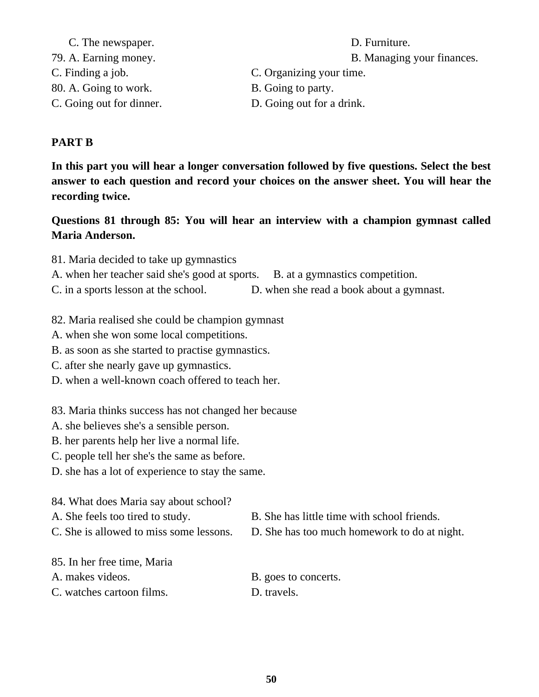| C. The newspaper.        | D. Furniture.              |
|--------------------------|----------------------------|
| 79. A. Earning money.    | B. Managing your finances. |
| C. Finding a job.        | C. Organizing your time.   |
| 80. A. Going to work.    | B. Going to party.         |
| C. Going out for dinner. | D. Going out for a drink.  |

#### **PART B**

**In this part you will hear a longer conversation followed by five questions. Select the best answer to each question and record your choices on the answer sheet. You will hear the recording twice.**

## **Questions 81 through 85: You will hear an interview with a champion gymnast called Maria Anderson.**

81. Maria decided to take up gymnastics

A. when her teacher said she's good at sports. B. at a gymnastics competition.

C. in a sports lesson at the school. D. when she read a book about a gymnast.

- 82. Maria realised she could be champion gymnast
- A. when she won some local competitions.
- B. as soon as she started to practise gymnastics.
- C. after she nearly gave up gymnastics.
- D. when a well-known coach offered to teach her.

83. Maria thinks success has not changed her because

- A. she believes she's a sensible person.
- B. her parents help her live a normal life.
- C. people tell her she's the same as before.
- D. she has a lot of experience to stay the same.
- 84. What does Maria say about school?
- A. She feels too tired to study. B. She has little time with school friends.
- C. She is allowed to miss some lessons. D. She has too much homework to do at night.
- 

85. In her free time, Maria

- C. watches cartoon films. D. travels.
- A. makes videos. B. goes to concerts.
	-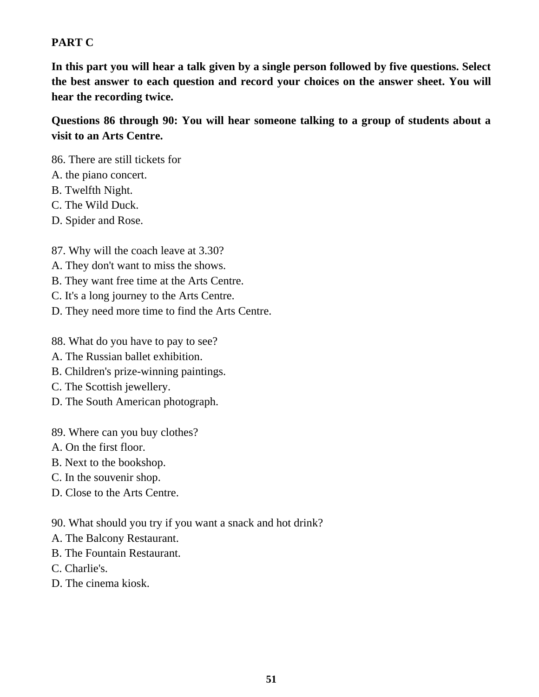## **PART C**

**In this part you will hear a talk given by a single person followed by five questions. Select the best answer to each question and record your choices on the answer sheet. You will hear the recording twice.**

**Questions 86 through 90: You will hear someone talking to a group of students about a visit to an Arts Centre.**

86. There are still tickets for

- A. the piano concert.
- B. Twelfth Night.
- C. The Wild Duck.
- D. Spider and Rose.
- 87. Why will the coach leave at 3.30?
- A. They don't want to miss the shows.
- B. They want free time at the Arts Centre.
- C. It's a long journey to the Arts Centre.
- D. They need more time to find the Arts Centre.
- 88. What do you have to pay to see?
- A. The Russian ballet exhibition.
- B. Children's prize-winning paintings.
- C. The Scottish jewellery.
- D. The South American photograph.
- 89. Where can you buy clothes?
- A. On the first floor.
- B. Next to the bookshop.
- C. In the souvenir shop.
- D. Close to the Arts Centre.

90. What should you try if you want a snack and hot drink?

- A. The Balcony Restaurant.
- B. The Fountain Restaurant.
- C. Charlie's.
- D. The cinema kiosk.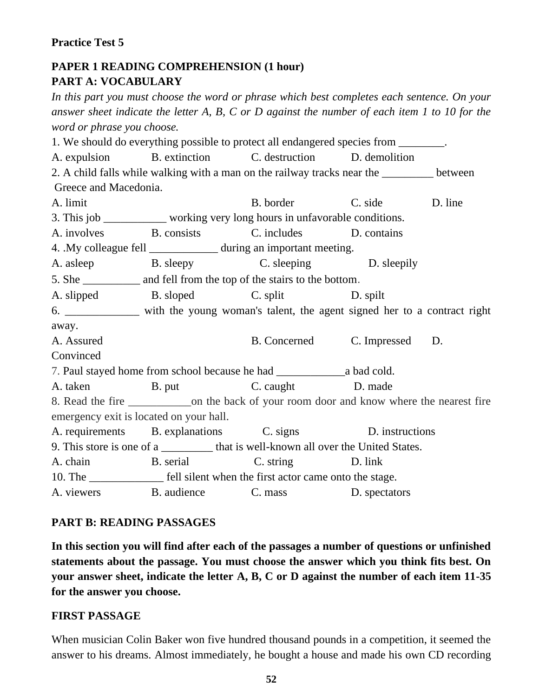### **Practice Test 5**

# **PAPER 1 READING COMPREHENSION (1 hour) PART A: VOCABULARY**

*In this part you must choose the word or phrase which best completes each sentence. On your answer sheet indicate the letter A, B, C or D against the number of each item 1 to 10 for the word or phrase you choose.*

1. We should do everything possible to protect all endangered species from \_\_\_\_\_\_\_\_. A. expulsion B. extinction C. destruction D. demolition 2. A child falls while walking with a man on the railway tracks near the \_\_\_\_\_\_\_\_\_ between Greece and Macedonia. A. limit B. border C. side D. line 3. This job \_\_\_\_\_\_\_\_\_\_\_ working very long hours in unfavorable conditions. A. involves B. consists C. includes D. contains 4. .My colleague fell during an important meeting. A. asleep B. sleepy C. sleeping D. sleepily 5. She \_\_\_\_\_\_\_\_\_\_ and fell from the top of the stairs to the bottom. A. slipped B. sloped C. split D. spilt 6. \_\_\_\_\_\_\_\_\_\_\_\_\_ with the young woman's talent, the agent signed her to a contract right away. A. Assured B. Concerned C. Impressed D. **Convinced** 7. Paul stayed home from school because he had \_\_\_\_\_\_\_\_\_\_\_\_a bad cold. A. taken B. put B. caught D. made 8. Read the fire \_\_\_\_\_\_\_\_\_\_\_on the back of your room door and know where the nearest fire emergency exit is located on your hall. A. requirements B. explanations C. signs D. instructions 9. This store is one of a \_\_\_\_\_\_\_\_\_ that is well-known all over the United States. A. chain B. serial C. string D. link 10. The \_\_\_\_\_\_\_\_\_\_\_\_\_\_ fell silent when the first actor came onto the stage. A. viewers B. audience C. mass D. spectators

### **PART B: READING PASSAGES**

**In this section you will find after each of the passages a number of questions or unfinished statements about the passage. You must choose the answer which you think fits best. On your answer sheet, indicate the letter A, B, C or D against the number of each item 11-35 for the answer you choose.**

#### **FIRST PASSAGE**

When musician Colin Baker won five hundred thousand pounds in a competition, it seemed the answer to his dreams. Almost immediately, he bought a house and made his own CD recording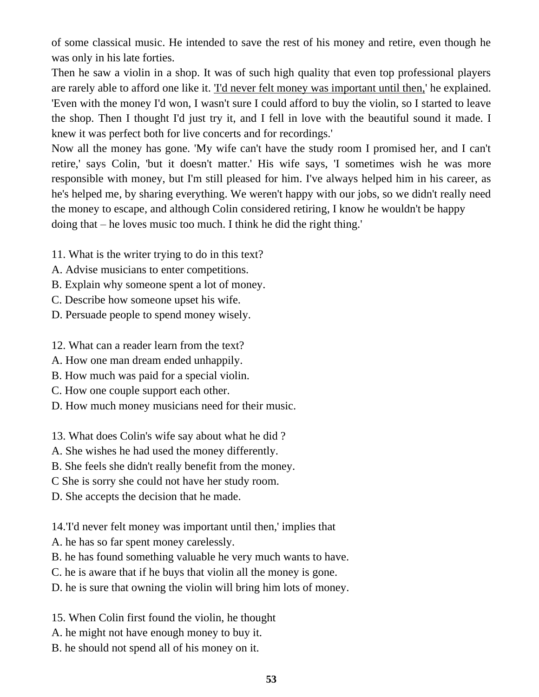of some classical music. He intended to save the rest of his money and retire, even though he was only in his late forties.

Then he saw a violin in a shop. It was of such high quality that even top professional players are rarely able to afford one like it. <u>T'd never felt money was important until then</u>, he explained. 'Even with the money I'd won, I wasn't sure I could afford to buy the violin, so I started to leave the shop. Then I thought I'd just try it, and I fell in love with the beautiful sound it made. I knew it was perfect both for live concerts and for recordings.'

Now all the money has gone. 'My wife can't have the study room I promised her, and I can't retire,' says Colin, 'but it doesn't matter.' His wife says, 'I sometimes wish he was more responsible with money, but I'm still pleased for him. I've always helped him in his career, as he's helped me, by sharing everything. We weren't happy with our jobs, so we didn't really need the money to escape, and although Colin considered retiring, I know he wouldn't be happy doing that – he loves music too much. I think he did the right thing.'

- 11. What is the writer trying to do in this text?
- A. Advise musicians to enter competitions.
- B. Explain why someone spent a lot of money.
- C. Describe how someone upset his wife.
- D. Persuade people to spend money wisely.
- 12. What can a reader learn from the text?
- A. How one man dream ended unhappily.
- B. How much was paid for a special violin.
- C. How one couple support each other.
- D. How much money musicians need for their music.
- 13. What does Colin's wife say about what he did ?
- A. She wishes he had used the money differently.
- B. She feels she didn't really benefit from the money.
- C She is sorry she could not have her study room.
- D. She accepts the decision that he made.

14.'I'd never felt money was important until then,' implies that

- A. he has so far spent money carelessly.
- B. he has found something valuable he very much wants to have.
- C. he is aware that if he buys that violin all the money is gone.
- D. he is sure that owning the violin will bring him lots of money.
- 15. When Colin first found the violin, he thought
- A. he might not have enough money to buy it.
- B. he should not spend all of his money on it.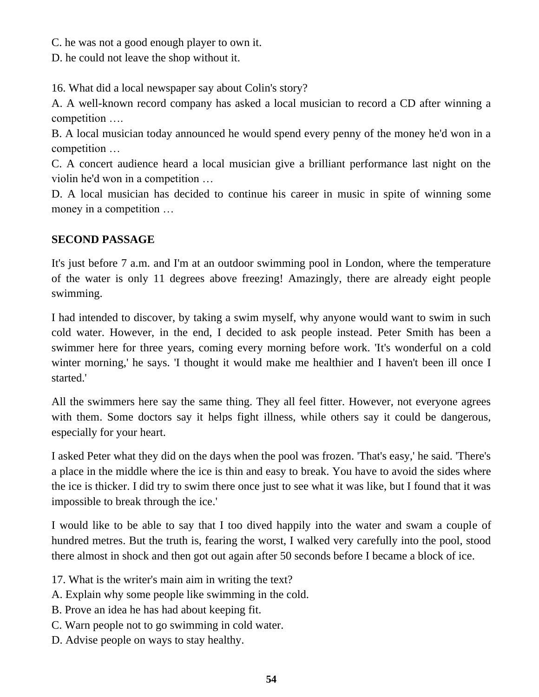C. he was not a good enough player to own it.

D. he could not leave the shop without it.

16. What did a local newspaper say about Colin's story?

A. A well-known record company has asked a local musician to record a CD after winning a competition ….

B. A local musician today announced he would spend every penny of the money he'd won in a competition …

C. A concert audience heard a local musician give a brilliant performance last night on the violin he'd won in a competition …

D. A local musician has decided to continue his career in music in spite of winning some money in a competition …

## **SECOND PASSAGE**

It's just before 7 a.m. and I'm at an outdoor swimming pool in London, where the temperature of the water is only 11 degrees above freezing! Amazingly, there are already eight people swimming.

I had intended to discover, by taking a swim myself, why anyone would want to swim in such cold water. However, in the end, I decided to ask people instead. Peter Smith has been a swimmer here for three years, coming every morning before work. 'It's wonderful on a cold winter morning,' he says. 'I thought it would make me healthier and I haven't been ill once I started.'

All the swimmers here say the same thing. They all feel fitter. However, not everyone agrees with them. Some doctors say it helps fight illness, while others say it could be dangerous, especially for your heart.

I asked Peter what they did on the days when the pool was frozen. 'That's easy,' he said. 'There's a place in the middle where the ice is thin and easy to break. You have to avoid the sides where the ice is thicker. I did try to swim there once just to see what it was like, but I found that it was impossible to break through the ice.'

I would like to be able to say that I too dived happily into the water and swam a couple of hundred metres. But the truth is, fearing the worst, I walked very carefully into the pool, stood there almost in shock and then got out again after 50 seconds before I became a block of ice.

17. What is the writer's main aim in writing the text?

- A. Explain why some people like swimming in the cold.
- B. Prove an idea he has had about keeping fit.
- C. Warn people not to go swimming in cold water.
- D. Advise people on ways to stay healthy.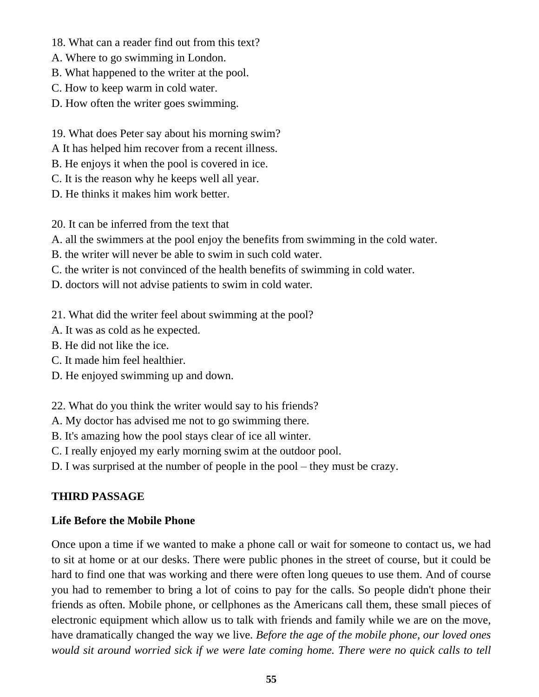- 18. What can a reader find out from this text?
- A. Where to go swimming in London.
- B. What happened to the writer at the pool.
- C. How to keep warm in cold water.
- D. How often the writer goes swimming.
- 19. What does Peter say about his morning swim?
- A It has helped him recover from a recent illness.
- B. He enjoys it when the pool is covered in ice.
- C. It is the reason why he keeps well all year.
- D. He thinks it makes him work better.

20. It can be inferred from the text that

- A. all the swimmers at the pool enjoy the benefits from swimming in the cold water.
- B. the writer will never be able to swim in such cold water.
- C. the writer is not convinced of the health benefits of swimming in cold water.
- D. doctors will not advise patients to swim in cold water.
- 21. What did the writer feel about swimming at the pool?
- A. It was as cold as he expected.
- B. He did not like the ice.
- C. It made him feel healthier.
- D. He enjoyed swimming up and down.

22. What do you think the writer would say to his friends?

- A. My doctor has advised me not to go swimming there.
- B. It's amazing how the pool stays clear of ice all winter.
- C. I really enjoyed my early morning swim at the outdoor pool.
- D. I was surprised at the number of people in the pool they must be crazy.

## **THIRD PASSAGE**

### **Life Before the Mobile Phone**

Once upon a time if we wanted to make a phone call or wait for someone to contact us, we had to sit at home or at our desks. There were public phones in the street of course, but it could be hard to find one that was working and there were often long queues to use them. And of course you had to remember to bring a lot of coins to pay for the calls. So people didn't phone their friends as often. Mobile phone, or cellphones as the Americans call them, these small pieces of electronic equipment which allow us to talk with friends and family while we are on the move, have dramatically changed the way we live. *Before the age of the mobile phone, our loved ones would sit around worried sick if we were late coming home. There were no quick calls to tell*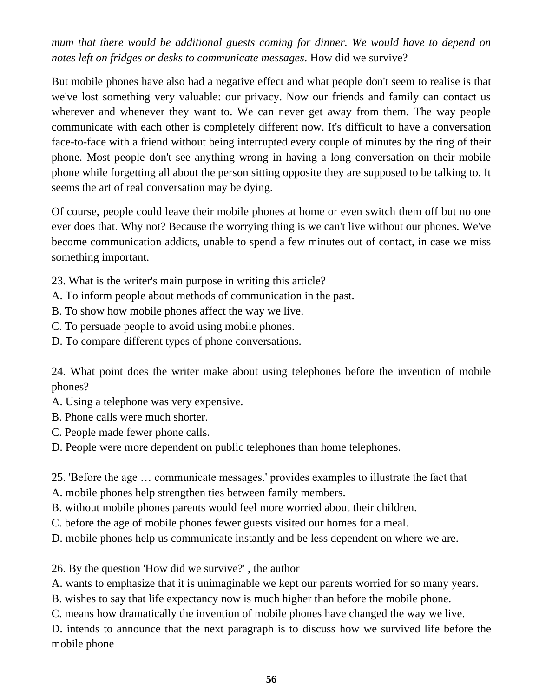*mum that there would be additional guests coming for dinner. We would have to depend on notes left on fridges or desks to communicate messages*. How did we survive?

But mobile phones have also had a negative effect and what people don't seem to realise is that we've lost something very valuable: our privacy. Now our friends and family can contact us wherever and whenever they want to. We can never get away from them. The way people communicate with each other is completely different now. It's difficult to have a conversation face-to-face with a friend without being interrupted every couple of minutes by the ring of their phone. Most people don't see anything wrong in having a long conversation on their mobile phone while forgetting all about the person sitting opposite they are supposed to be talking to. It seems the art of real conversation may be dying.

Of course, people could leave their mobile phones at home or even switch them off but no one ever does that. Why not? Because the worrying thing is we can't live without our phones. We've become communication addicts, unable to spend a few minutes out of contact, in case we miss something important.

- 23. What is the writer's main purpose in writing this article?
- A. To inform people about methods of communication in the past.
- B. To show how mobile phones affect the way we live.
- C. To persuade people to avoid using mobile phones.
- D. To compare different types of phone conversations.

24. What point does the writer make about using telephones before the invention of mobile phones?

- A. Using a telephone was very expensive.
- B. Phone calls were much shorter.
- C. People made fewer phone calls.
- D. People were more dependent on public telephones than home telephones.

25. 'Before the age … communicate messages.' provides examples to illustrate the fact that

- A. mobile phones help strengthen ties between family members.
- B. without mobile phones parents would feel more worried about their children.
- C. before the age of mobile phones fewer guests visited our homes for a meal.
- D. mobile phones help us communicate instantly and be less dependent on where we are.

26. By the question 'How did we survive?' , the author

A. wants to emphasize that it is unimaginable we kept our parents worried for so many years.

B. wishes to say that life expectancy now is much higher than before the mobile phone.

C. means how dramatically the invention of mobile phones have changed the way we live.

D. intends to announce that the next paragraph is to discuss how we survived life before the mobile phone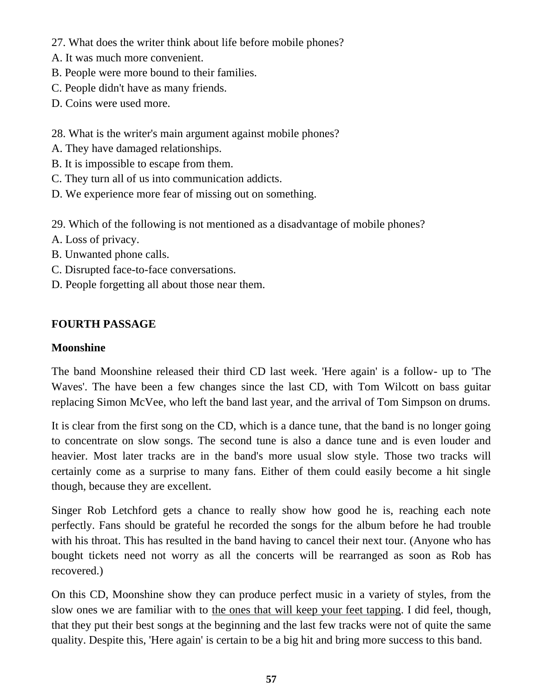- 27. What does the writer think about life before mobile phones?
- A. It was much more convenient.
- B. People were more bound to their families.
- C. People didn't have as many friends.
- D. Coins were used more.
- 28. What is the writer's main argument against mobile phones?
- A. They have damaged relationships.
- B. It is impossible to escape from them.
- C. They turn all of us into communication addicts.
- D. We experience more fear of missing out on something.
- 29. Which of the following is not mentioned as a disadvantage of mobile phones?
- A. Loss of privacy.
- B. Unwanted phone calls.
- C. Disrupted face-to-face conversations.
- D. People forgetting all about those near them.

# **FOURTH PASSAGE**

## **Moonshine**

The band Moonshine released their third CD last week. 'Here again' is a follow- up to 'The Waves'. The have been a few changes since the last CD, with Tom Wilcott on bass guitar replacing Simon McVee, who left the band last year, and the arrival of Tom Simpson on drums.

It is clear from the first song on the CD, which is a dance tune, that the band is no longer going to concentrate on slow songs. The second tune is also a dance tune and is even louder and heavier. Most later tracks are in the band's more usual slow style. Those two tracks will certainly come as a surprise to many fans. Either of them could easily become a hit single though, because they are excellent.

Singer Rob Letchford gets a chance to really show how good he is, reaching each note perfectly. Fans should be grateful he recorded the songs for the album before he had trouble with his throat. This has resulted in the band having to cancel their next tour. (Anyone who has bought tickets need not worry as all the concerts will be rearranged as soon as Rob has recovered.)

On this CD, Moonshine show they can produce perfect music in a variety of styles, from the slow ones we are familiar with to the ones that will keep your feet tapping. I did feel, though, that they put their best songs at the beginning and the last few tracks were not of quite the same quality. Despite this, 'Here again' is certain to be a big hit and bring more success to this band.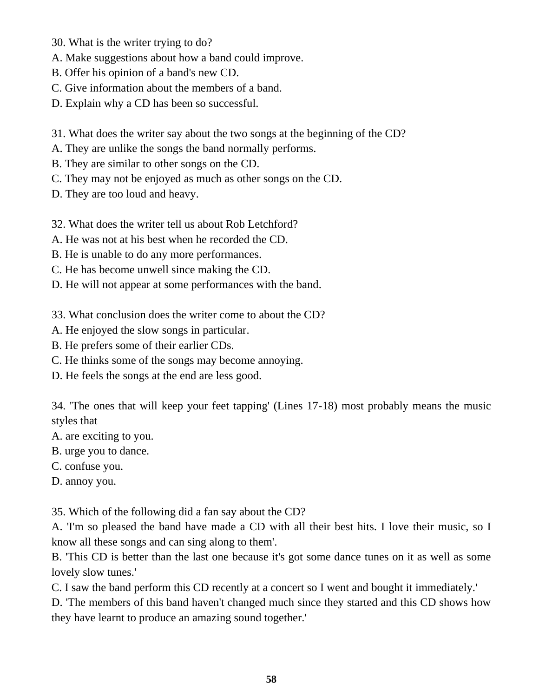- 30. What is the writer trying to do?
- A. Make suggestions about how a band could improve.
- B. Offer his opinion of a band's new CD.
- C. Give information about the members of a band.
- D. Explain why a CD has been so successful.
- 31. What does the writer say about the two songs at the beginning of the CD?
- A. They are unlike the songs the band normally performs.
- B. They are similar to other songs on the CD.
- C. They may not be enjoyed as much as other songs on the CD.
- D. They are too loud and heavy.
- 32. What does the writer tell us about Rob Letchford?
- A. He was not at his best when he recorded the CD.
- B. He is unable to do any more performances.
- C. He has become unwell since making the CD.
- D. He will not appear at some performances with the band.
- 33. What conclusion does the writer come to about the CD?
- A. He enjoyed the slow songs in particular.
- B. He prefers some of their earlier CDs.
- C. He thinks some of the songs may become annoying.
- D. He feels the songs at the end are less good.

34. 'The ones that will keep your feet tapping' (Lines 17-18) most probably means the music styles that

- A. are exciting to you.
- B. urge you to dance.
- C. confuse you.
- D. annoy you.

35. Which of the following did a fan say about the CD?

A. 'I'm so pleased the band have made a CD with all their best hits. I love their music, so I know all these songs and can sing along to them'.

B. 'This CD is better than the last one because it's got some dance tunes on it as well as some lovely slow tunes.'

C. I saw the band perform this CD recently at a concert so I went and bought it immediately.'

D. 'The members of this band haven't changed much since they started and this CD shows how they have learnt to produce an amazing sound together.'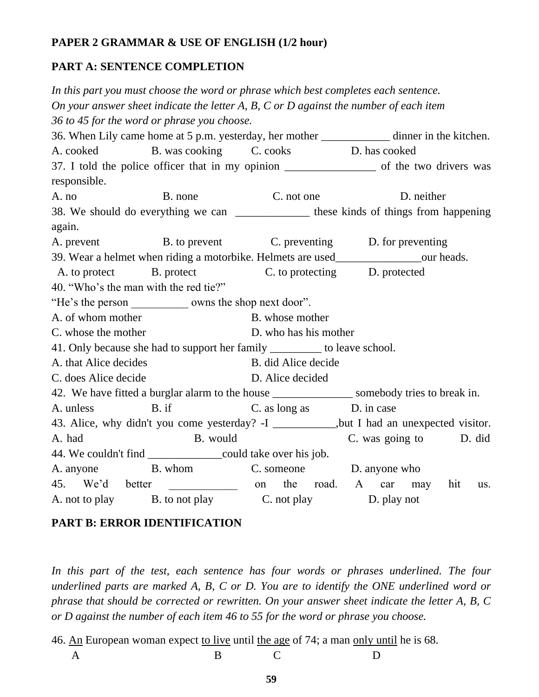## **PAPER 2 GRAMMAR & USE OF ENGLISH (1/2 hour)**

## **PART A: SENTENCE COMPLETION**

*In this part you must choose the word or phrase which best completes each sentence. On your answer sheet indicate the letter A, B, C or D against the number of each item 36 to 45 for the word or phrase you choose.* 36. When Lily came home at 5 p.m. yesterday, her mother dinner in the kitchen. A. cooked B. was cooking C. cooks D. has cooked 37. I told the police officer that in my opinion of the two drivers was responsible. A. no B. none C. not one D. neither 38. We should do everything we can \_\_\_\_\_\_\_\_\_\_\_\_\_ these kinds of things from happening again. A. prevent B. to prevent C. preventing D. for preventing 39. Wear a helmet when riding a motorbike. Helmets are used our heads. A. to protect B. protect B. protect C. to protecting D. protected 40. "Who's the man with the red tie?" "He's the person owns the shop next door". A. of whom mother B. whose mother C. whose the mother D. who has his mother 41. Only because she had to support her family \_\_\_\_\_\_\_\_\_ to leave school. A. that Alice decides B. did Alice decide C. does Alice decide D. Alice decided 42. We have fitted a burglar alarm to the house <u>equal to some some body</u> tries to break in. A. unless B. if C. as long as D. in case 43. Alice, why didn't you come yesterday? -I \_\_\_\_\_\_\_\_\_\_\_,but I had an unexpected visitor. A. had B. would C. was going to D. did 44. We couldn't find \_\_\_\_\_\_\_\_\_\_\_\_\_\_\_\_\_\_could take over his job. A. anyone B. whom C. someone D. anyone who 45. We'd better \_\_\_\_\_\_\_\_\_\_\_\_\_ on the road. A car may hit us. A. not to play B. to not play C. not play D. play not

## **PART B: ERROR IDENTIFICATION**

In this part of the test, each sentence has four words or phrases underlined. The four *underlined parts are marked A, B, C or D. You are to identify the ONE underlined word or phrase that should be corrected or rewritten. On your answer sheet indicate the letter A, B, C or D against the number of each item 46 to 55 for the word or phrase you choose.*

46. An European woman expect to live until the age of 74; a man only until he is 68.

- 
- A B C D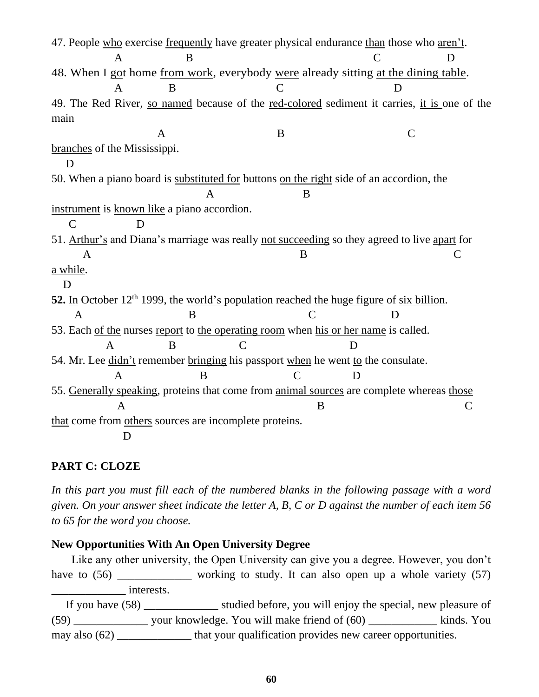47. People who exercise frequently have greater physical endurance than those who aren't. A B C D 48. When I got home from work, everybody were already sitting at the dining table. A B C D 49. The Red River, so named because of the red-colored sediment it carries, it is one of the main A B C branches of the Mississippi. D 50. When a piano board is substituted for buttons on the right side of an accordion, the A B instrument is known like a piano accordion. C D 51. Arthur's and Diana's marriage was really not succeeding so they agreed to live apart for  $\mathsf A$  B C a while. D 52. In October 12<sup>th</sup> 1999, the world's population reached the huge figure of six billion. A B C D 53. Each of the nurses report to the operating room when his or her name is called. A B C D 54. Mr. Lee didn't remember bringing his passport when he went to the consulate. A B C D 55. Generally speaking, proteins that come from animal sources are complete whereas those A B C that come from others sources are incomplete proteins. D

## **PART C: CLOZE**

In this part you must fill each of the numbered blanks in the following passage with a word *given. On your answer sheet indicate the letter A, B, C or D against the number of each item 56 to 65 for the word you choose.*

#### **New Opportunities With An Open University Degree**

 Like any other university, the Open University can give you a degree. However, you don't have to  $(56)$  working to study. It can also open up a whole variety  $(57)$ \_\_\_\_\_\_\_\_\_\_\_\_\_ interests.

If you have (58) studied before, you will enjoy the special, new pleasure of  $(59)$  \_\_\_\_\_\_\_\_\_\_\_\_\_\_\_\_\_\_\_ your knowledge. You will make friend of  $(60)$  \_\_\_\_\_\_\_\_\_\_\_\_\_\_\_\_\_\_ kinds. You may also (62) that your qualification provides new career opportunities.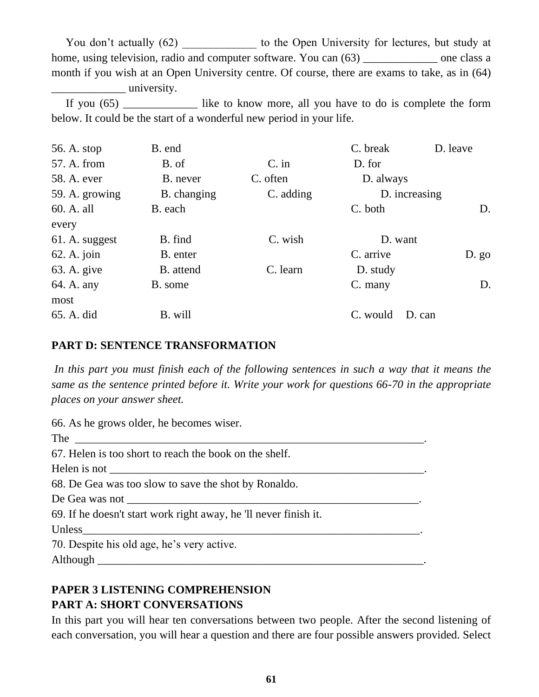You don't actually (62) by to the Open University for lectures, but study at home, using television, radio and computer software. You can  $(63)$  \_\_\_\_\_\_\_\_\_\_\_\_\_\_ one class a month if you wish at an Open University centre. Of course, there are exams to take, as in (64) \_\_\_\_\_\_\_\_\_\_\_\_\_ university.

 If you (65) \_\_\_\_\_\_\_\_\_\_\_\_\_ like to know more, all you have to do is complete the form below. It could be the start of a wonderful new period in your life.

| 56. A. stop    | B. end      |           | C. break      | D. leave |
|----------------|-------------|-----------|---------------|----------|
| 57. A. from    | B. of       | $C.$ in   | D. for        |          |
| 58. A. ever    | B. never    | C. often  | D. always     |          |
| 59. A. growing | B. changing | C. adding | D. increasing |          |
| 60. A. all     | B. each     |           | C. both       | D.       |
| every          |             |           |               |          |
| 61. A. suggest | B. find     | C. wish   | D. want       |          |
| $62.$ A. join  | B. enter    |           | C. arrive     | $D. g_0$ |
| 63. A. give    | B. attend   | C. learn  | D. study      |          |
| 64. A. any     | B. some     |           | C. many       | D.       |
| most           |             |           |               |          |
| 65. A. did     | B. will     |           | C. would      | D. can   |

#### **PART D: SENTENCE TRANSFORMATION**

In this part you must finish each of the following sentences in such a way that it means the *same as the sentence printed before it. Write your work for questions 66-70 in the appropriate places on your answer sheet.*

| 66. As he grows older, he becomes wiser.                         |
|------------------------------------------------------------------|
|                                                                  |
| 67. Helen is too short to reach the book on the shelf.           |
|                                                                  |
| 68. De Gea was too slow to save the shot by Ronaldo.             |
|                                                                  |
| 69. If he doesn't start work right away, he 'll never finish it. |
|                                                                  |
| 70. Despite his old age, he's very active.                       |
|                                                                  |
|                                                                  |

# **PAPER 3 LISTENING COMPREHENSION PART A: SHORT CONVERSATIONS**

In this part you will hear ten conversations between two people. After the second listening of each conversation, you will hear a question and there are four possible answers provided. Select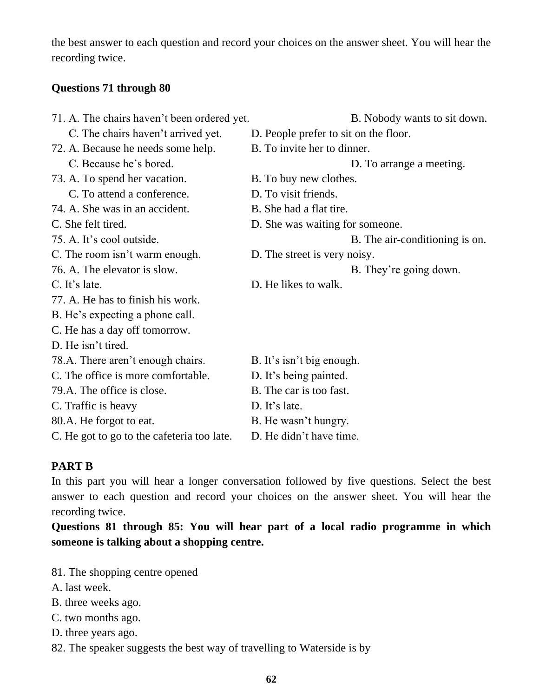the best answer to each question and record your choices on the answer sheet. You will hear the recording twice.

## **Questions 71 through 80**

| 71. A. The chairs haven't been ordered yet. | B. Nobody wants to sit down.          |
|---------------------------------------------|---------------------------------------|
| C. The chairs haven't arrived yet.          | D. People prefer to sit on the floor. |
| 72. A. Because he needs some help.          | B. To invite her to dinner.           |
| C. Because he's bored.                      | D. To arrange a meeting.              |
| 73. A. To spend her vacation.               | B. To buy new clothes.                |
| C. To attend a conference.                  | D. To visit friends.                  |
| 74. A. She was in an accident.              | B. She had a flat tire.               |
| C. She felt tired.                          | D. She was waiting for someone.       |
| 75. A. It's cool outside.                   | B. The air-conditioning is on.        |
| C. The room isn't warm enough.              | D. The street is very noisy.          |
| 76. A. The elevator is slow.                | B. They're going down.                |
| C. It's late.                               | D. He likes to walk.                  |
| 77. A. He has to finish his work.           |                                       |
| B. He's expecting a phone call.             |                                       |
| C. He has a day off tomorrow.               |                                       |
| D. He isn't tired.                          |                                       |
| 78.A. There aren't enough chairs.           | B. It's isn't big enough.             |
| C. The office is more comfortable.          | D. It's being painted.                |
| 79.A. The office is close.                  | B. The car is too fast.               |
| C. Traffic is heavy                         | D. It's late.                         |
| 80.A. He forgot to eat.                     | B. He wasn't hungry.                  |
| C. He got to go to the cafeteria too late.  | D. He didn't have time.               |

## **PART B**

In this part you will hear a longer conversation followed by five questions. Select the best answer to each question and record your choices on the answer sheet. You will hear the recording twice.

**Questions 81 through 85: You will hear part of a local radio programme in which someone is talking about a shopping centre.**

- 81. The shopping centre opened
- A. last week.
- B. three weeks ago.
- C. two months ago.
- D. three years ago.
- 82. The speaker suggests the best way of travelling to Waterside is by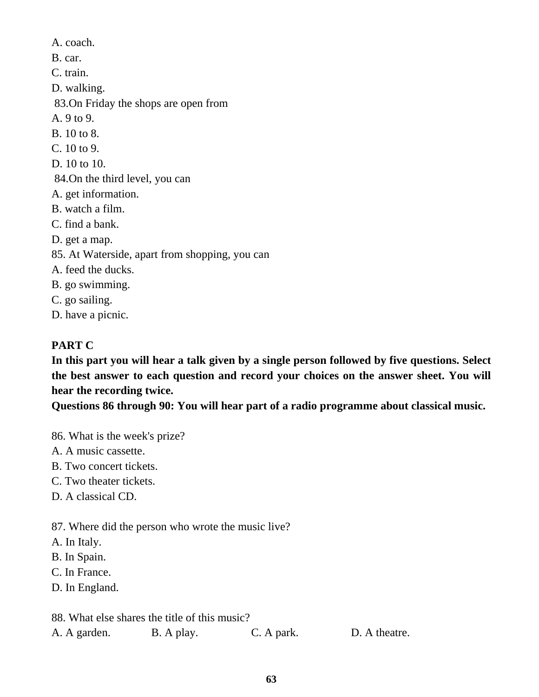A. coach. B. car. C. train. D. walking. 83.On Friday the shops are open from A. 9 to 9. B. 10 to 8. C. 10 to 9. D. 10 to 10. 84.On the third level, you can A. get information. B. watch a film. C. find a bank. D. get a map. 85. At Waterside, apart from shopping, you can A. feed the ducks. B. go swimming. C. go sailing.

D. have a picnic.

# **PART C**

**In this part you will hear a talk given by a single person followed by five questions. Select the best answer to each question and record your choices on the answer sheet. You will hear the recording twice.**

**Questions 86 through 90: You will hear part of a radio programme about classical music.**

- 86. What is the week's prize?
- A. A music cassette.
- B. Two concert tickets.
- C. Two theater tickets.
- D. A classical CD.

87. Where did the person who wrote the music live?

A. In Italy.

- B. In Spain.
- C. In France.
- D. In England.

88. What else shares the title of this music?

| A. A garden. | B. A play. | C. A park. | D. A theatre. |
|--------------|------------|------------|---------------|
|              |            |            |               |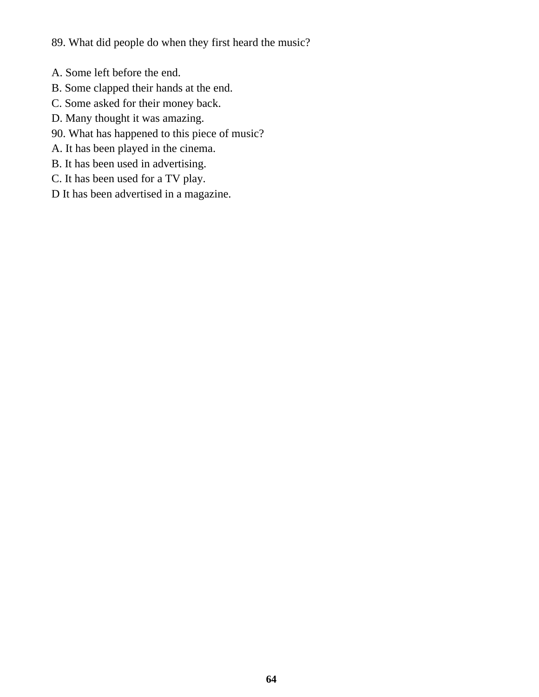89. What did people do when they first heard the music?

- A. Some left before the end.
- B. Some clapped their hands at the end.
- C. Some asked for their money back.
- D. Many thought it was amazing.
- 90. What has happened to this piece of music?
- A. It has been played in the cinema.
- B. It has been used in advertising.
- C. It has been used for a TV play.
- D It has been advertised in a magazine.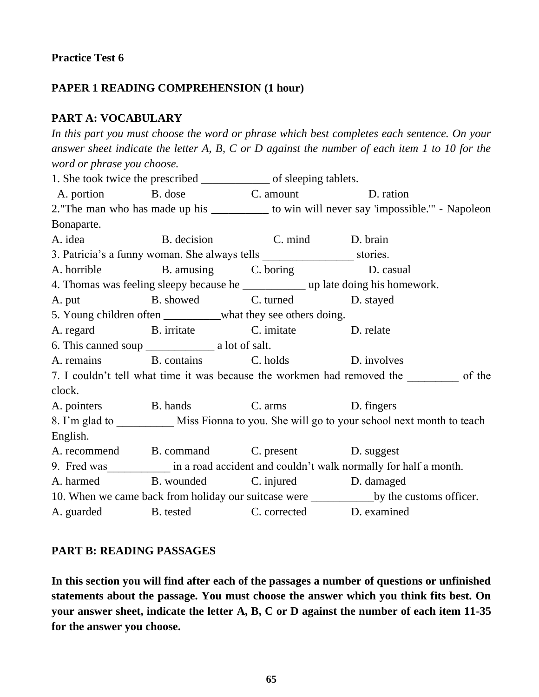## **PAPER 1 READING COMPREHENSION (1 hour)**

### **PART A: VOCABULARY**

*In this part you must choose the word or phrase which best completes each sentence. On your answer sheet indicate the letter A, B, C or D against the number of each item 1 to 10 for the word or phrase you choose.* 1. She took twice the prescribed \_\_\_\_\_\_\_\_\_\_\_\_ of sleeping tablets. A. portion B. dose C. amount D. ration 2. The man who has made up his \_\_\_\_\_\_\_\_\_\_\_ to win will never say 'impossible.'" - Napoleon Bonaparte. A. idea B. decision C. mind D. brain 3. Patricia's a funny woman. She always tells stories. A. horrible B. amusing C. boring D. casual 4. Thomas was feeling sleepy because he \_\_\_\_\_\_\_\_\_\_\_ up late doing his homework. A. put B. showed C. turned D. stayed 5. Young children often what they see others doing. A. regard B. irritate C. imitate D. relate 6. This canned soup \_\_\_\_\_\_\_\_\_\_\_\_ a lot of salt. A. remains B. contains C. holds D. involves 7. I couldn't tell what time it was because the workmen had removed the of the clock. A. pointers B. hands C. arms D. fingers 8. I'm glad to Miss Fionna to you. She will go to your school next month to teach English. A. recommend B. command C. present D. suggest 9. Fred was in a road accident and couldn't walk normally for half a month. A. harmed B. wounded C. injured D. damaged 10. When we came back from holiday our suitcase were \_\_\_\_\_\_\_\_\_\_\_by the customs officer. A. guarded B. tested C. corrected D. examined

### **PART B: READING PASSAGES**

**In this section you will find after each of the passages a number of questions or unfinished statements about the passage. You must choose the answer which you think fits best. On your answer sheet, indicate the letter A, B, C or D against the number of each item 11-35 for the answer you choose.**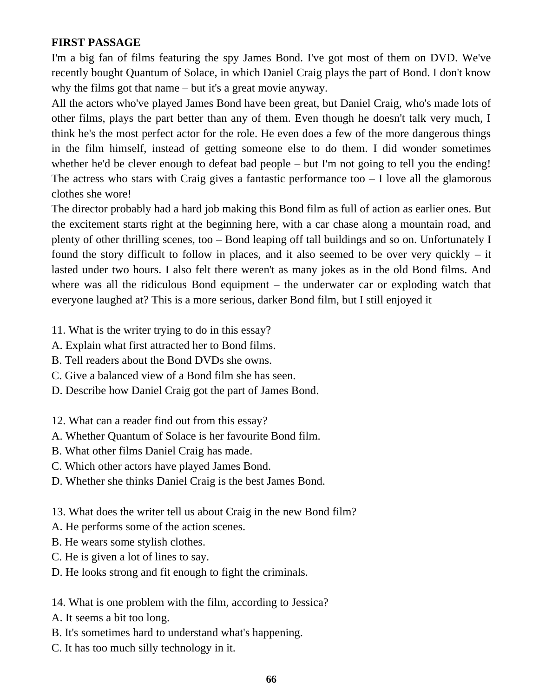## **FIRST PASSAGE**

I'm a big fan of films featuring the spy James Bond. I've got most of them on DVD. We've recently bought Quantum of Solace, in which Daniel Craig plays the part of Bond. I don't know why the films got that name – but it's a great movie anyway.

All the actors who've played James Bond have been great, but Daniel Craig, who's made lots of other films, plays the part better than any of them. Even though he doesn't talk very much, I think he's the most perfect actor for the role. He even does a few of the more dangerous things in the film himself, instead of getting someone else to do them. I did wonder sometimes whether he'd be clever enough to defeat bad people – but I'm not going to tell you the ending! The actress who stars with Craig gives a fantastic performance too  $-1$  love all the glamorous clothes she wore!

The director probably had a hard job making this Bond film as full of action as earlier ones. But the excitement starts right at the beginning here, with a car chase along a mountain road, and plenty of other thrilling scenes, too – Bond leaping off tall buildings and so on. Unfortunately I found the story difficult to follow in places, and it also seemed to be over very quickly – it lasted under two hours. I also felt there weren't as many jokes as in the old Bond films. And where was all the ridiculous Bond equipment – the underwater car or exploding watch that everyone laughed at? This is a more serious, darker Bond film, but I still enjoyed it

- 11. What is the writer trying to do in this essay?
- A. Explain what first attracted her to Bond films.
- B. Tell readers about the Bond DVDs she owns.
- C. Give a balanced view of a Bond film she has seen.
- D. Describe how Daniel Craig got the part of James Bond.
- 12. What can a reader find out from this essay?
- A. Whether Quantum of Solace is her favourite Bond film.
- B. What other films Daniel Craig has made.
- C. Which other actors have played James Bond.
- D. Whether she thinks Daniel Craig is the best James Bond.
- 13. What does the writer tell us about Craig in the new Bond film?
- A. He performs some of the action scenes.
- B. He wears some stylish clothes.
- C. He is given a lot of lines to say.
- D. He looks strong and fit enough to fight the criminals.
- 14. What is one problem with the film, according to Jessica?
- A. It seems a bit too long.
- B. It's sometimes hard to understand what's happening.
- C. It has too much silly technology in it.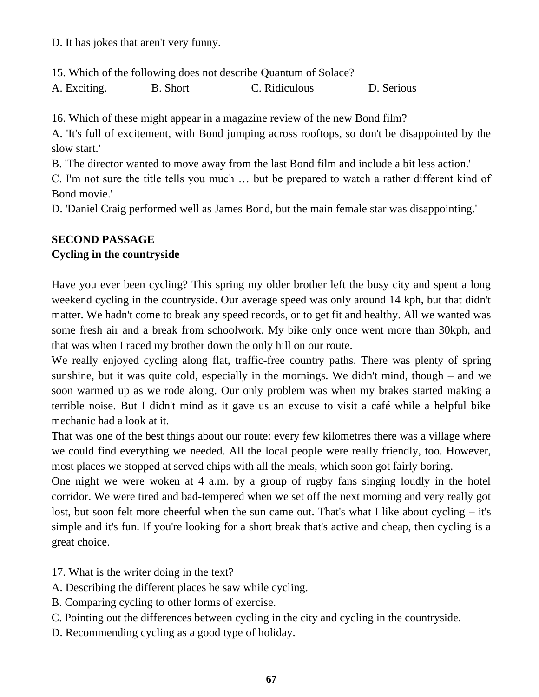D. It has jokes that aren't very funny.

15. Which of the following does not describe Quantum of Solace?

A. Exciting. B. Short C. Ridiculous D. Serious

16. Which of these might appear in a magazine review of the new Bond film?

A. 'It's full of excitement, with Bond jumping across rooftops, so don't be disappointed by the slow start.'

B. 'The director wanted to move away from the last Bond film and include a bit less action.'

C. I'm not sure the title tells you much … but be prepared to watch a rather different kind of Bond movie.'

D. 'Daniel Craig performed well as James Bond, but the main female star was disappointing.'

## **SECOND PASSAGE**

## **Cycling in the countryside**

Have you ever been cycling? This spring my older brother left the busy city and spent a long weekend cycling in the countryside. Our average speed was only around 14 kph, but that didn't matter. We hadn't come to break any speed records, or to get fit and healthy. All we wanted was some fresh air and a break from schoolwork. My bike only once went more than 30kph, and that was when I raced my brother down the only hill on our route.

We really enjoyed cycling along flat, traffic-free country paths. There was plenty of spring sunshine, but it was quite cold, especially in the mornings. We didn't mind, though – and we soon warmed up as we rode along. Our only problem was when my brakes started making a terrible noise. But I didn't mind as it gave us an excuse to visit a café while a helpful bike mechanic had a look at it.

That was one of the best things about our route: every few kilometres there was a village where we could find everything we needed. All the local people were really friendly, too. However, most places we stopped at served chips with all the meals, which soon got fairly boring.

One night we were woken at 4 a.m. by a group of rugby fans singing loudly in the hotel corridor. We were tired and bad-tempered when we set off the next morning and very really got lost, but soon felt more cheerful when the sun came out. That's what I like about cycling – it's simple and it's fun. If you're looking for a short break that's active and cheap, then cycling is a great choice.

- 17. What is the writer doing in the text?
- A. Describing the different places he saw while cycling.
- B. Comparing cycling to other forms of exercise.
- C. Pointing out the differences between cycling in the city and cycling in the countryside.
- D. Recommending cycling as a good type of holiday.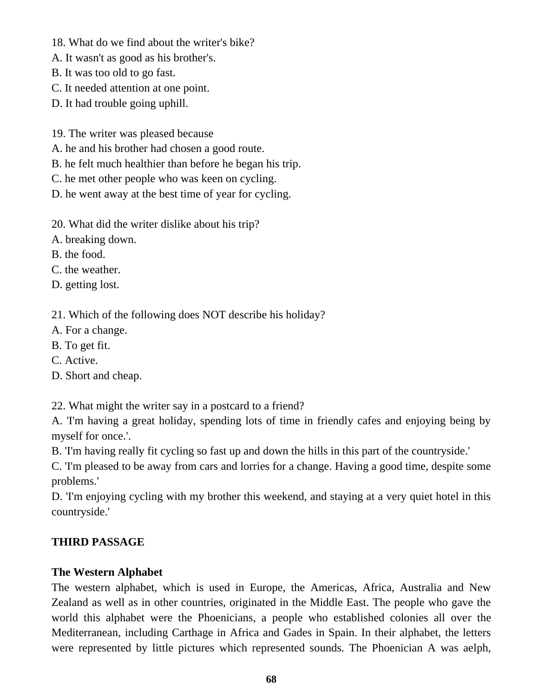- 18. What do we find about the writer's bike?
- A. It wasn't as good as his brother's.
- B. It was too old to go fast.
- C. It needed attention at one point.
- D. It had trouble going uphill.
- 19. The writer was pleased because
- A. he and his brother had chosen a good route.
- B. he felt much healthier than before he began his trip.
- C. he met other people who was keen on cycling.
- D. he went away at the best time of year for cycling.
- 20. What did the writer dislike about his trip?
- A. breaking down.
- B. the food.
- C. the weather.
- D. getting lost.
- 21. Which of the following does NOT describe his holiday?
- A. For a change.
- B. To get fit.
- C. Active.
- D. Short and cheap.

22. What might the writer say in a postcard to a friend?

A. 'I'm having a great holiday, spending lots of time in friendly cafes and enjoying being by myself for once.'.

B. 'I'm having really fit cycling so fast up and down the hills in this part of the countryside.'

C. 'I'm pleased to be away from cars and lorries for a change. Having a good time, despite some problems.'

D. 'I'm enjoying cycling with my brother this weekend, and staying at a very quiet hotel in this countryside.'

## **THIRD PASSAGE**

### **The Western Alphabet**

The western alphabet, which is used in Europe, the Americas, Africa, Australia and New Zealand as well as in other countries, originated in the Middle East. The people who gave the world this alphabet were the Phoenicians, a people who established colonies all over the Mediterranean, including Carthage in Africa and Gades in Spain. In their alphabet, the letters were represented by little pictures which represented sounds. The Phoenician A was aelph,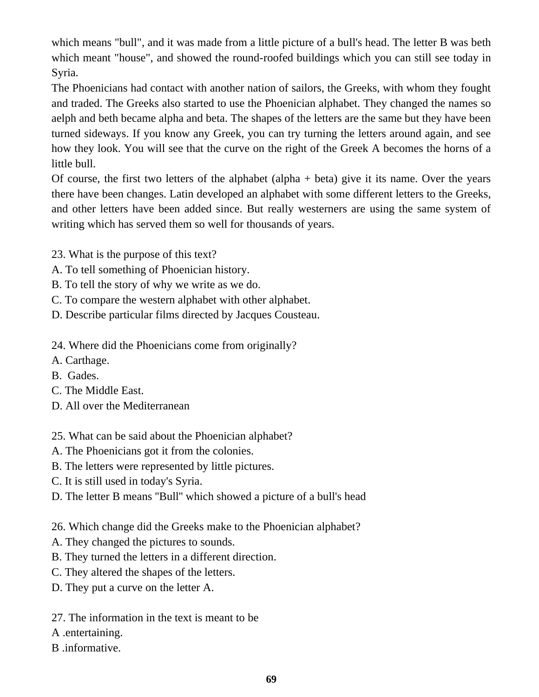which means "bull", and it was made from a little picture of a bull's head. The letter B was beth which meant "house", and showed the round-roofed buildings which you can still see today in Syria.

The Phoenicians had contact with another nation of sailors, the Greeks, with whom they fought and traded. The Greeks also started to use the Phoenician alphabet. They changed the names so aelph and beth became alpha and beta. The shapes of the letters are the same but they have been turned sideways. If you know any Greek, you can try turning the letters around again, and see how they look. You will see that the curve on the right of the Greek A becomes the horns of a little bull.

Of course, the first two letters of the alphabet (alpha  $+$  beta) give it its name. Over the years there have been changes. Latin developed an alphabet with some different letters to the Greeks, and other letters have been added since. But really westerners are using the same system of writing which has served them so well for thousands of years.

- 23. What is the purpose of this text?
- A. To tell something of Phoenician history.
- B. To tell the story of why we write as we do.
- C. To compare the western alphabet with other alphabet.
- D. Describe particular films directed by Jacques Cousteau.
- 24. Where did the Phoenicians come from originally?
- A. Carthage.
- B. Gades.
- C. The Middle East.
- D. All over the Mediterranean
- 25. What can be said about the Phoenician alphabet?
- A. The Phoenicians got it from the colonies.
- B. The letters were represented by little pictures.
- C. It is still used in today's Syria.
- D. The letter B means ''Bull'' which showed a picture of a bull's head

26. Which change did the Greeks make to the Phoenician alphabet?

- A. They changed the pictures to sounds.
- B. They turned the letters in a different direction.
- C. They altered the shapes of the letters.
- D. They put a curve on the letter A.
- 27. The information in the text is meant to be
- A .entertaining.
- B .informative.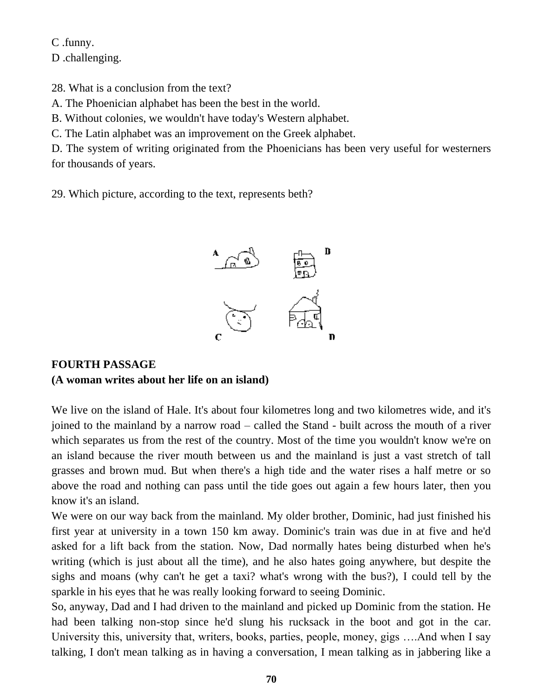C .funny.

D .challenging.

28. What is a conclusion from the text?

A. The Phoenician alphabet has been the best in the world.

B. Without colonies, we wouldn't have today's Western alphabet.

C. The Latin alphabet was an improvement on the Greek alphabet.

D. The system of writing originated from the Phoenicians has been very useful for westerners for thousands of years.

29. Which picture, according to the text, represents beth?



## **FOURTH PASSAGE (A woman writes about her life on an island)**

We live on the island of Hale. It's about four kilometres long and two kilometres wide, and it's joined to the mainland by a narrow road – called the Stand - built across the mouth of a river which separates us from the rest of the country. Most of the time you wouldn't know we're on an island because the river mouth between us and the mainland is just a vast stretch of tall grasses and brown mud. But when there's a high tide and the water rises a half metre or so above the road and nothing can pass until the tide goes out again a few hours later, then you know it's an island.

We were on our way back from the mainland. My older brother, Dominic, had just finished his first year at university in a town 150 km away. Dominic's train was due in at five and he'd asked for a lift back from the station. Now, Dad normally hates being disturbed when he's writing (which is just about all the time), and he also hates going anywhere, but despite the sighs and moans (why can't he get a taxi? what's wrong with the bus?), I could tell by the sparkle in his eyes that he was really looking forward to seeing Dominic.

So, anyway, Dad and I had driven to the mainland and picked up Dominic from the station. He had been talking non-stop since he'd slung his rucksack in the boot and got in the car. University this, university that, writers, books, parties, people, money, gigs ….And when I say talking, I don't mean talking as in having a conversation, I mean talking as in jabbering like a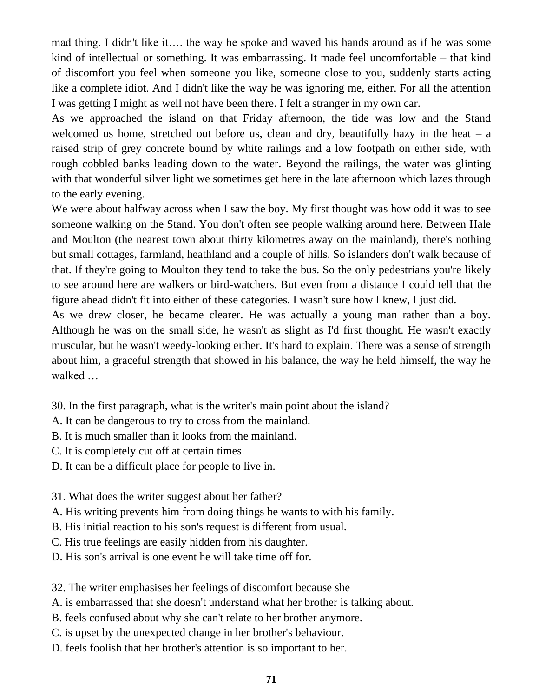mad thing. I didn't like it…. the way he spoke and waved his hands around as if he was some kind of intellectual or something. It was embarrassing. It made feel uncomfortable – that kind of discomfort you feel when someone you like, someone close to you, suddenly starts acting like a complete idiot. And I didn't like the way he was ignoring me, either. For all the attention I was getting I might as well not have been there. I felt a stranger in my own car.

As we approached the island on that Friday afternoon, the tide was low and the Stand welcomed us home, stretched out before us, clean and dry, beautifully hazy in the heat  $-$  a raised strip of grey concrete bound by white railings and a low footpath on either side, with rough cobbled banks leading down to the water. Beyond the railings, the water was glinting with that wonderful silver light we sometimes get here in the late afternoon which lazes through to the early evening.

We were about halfway across when I saw the boy. My first thought was how odd it was to see someone walking on the Stand. You don't often see people walking around here. Between Hale and Moulton (the nearest town about thirty kilometres away on the mainland), there's nothing but small cottages, farmland, heathland and a couple of hills. So islanders don't walk because of that. If they're going to Moulton they tend to take the bus. So the only pedestrians you're likely to see around here are walkers or bird-watchers. But even from a distance I could tell that the figure ahead didn't fit into either of these categories. I wasn't sure how I knew, I just did.

As we drew closer, he became clearer. He was actually a young man rather than a boy. Although he was on the small side, he wasn't as slight as I'd first thought. He wasn't exactly muscular, but he wasn't weedy-looking either. It's hard to explain. There was a sense of strength about him, a graceful strength that showed in his balance, the way he held himself, the way he walked …

30. In the first paragraph, what is the writer's main point about the island?

- A. It can be dangerous to try to cross from the mainland.
- B. It is much smaller than it looks from the mainland.
- C. It is completely cut off at certain times.
- D. It can be a difficult place for people to live in.
- 31. What does the writer suggest about her father?
- A. His writing prevents him from doing things he wants to with his family.
- B. His initial reaction to his son's request is different from usual.
- C. His true feelings are easily hidden from his daughter.
- D. His son's arrival is one event he will take time off for.

32. The writer emphasises her feelings of discomfort because she

A. is embarrassed that she doesn't understand what her brother is talking about.

- B. feels confused about why she can't relate to her brother anymore.
- C. is upset by the unexpected change in her brother's behaviour.
- D. feels foolish that her brother's attention is so important to her.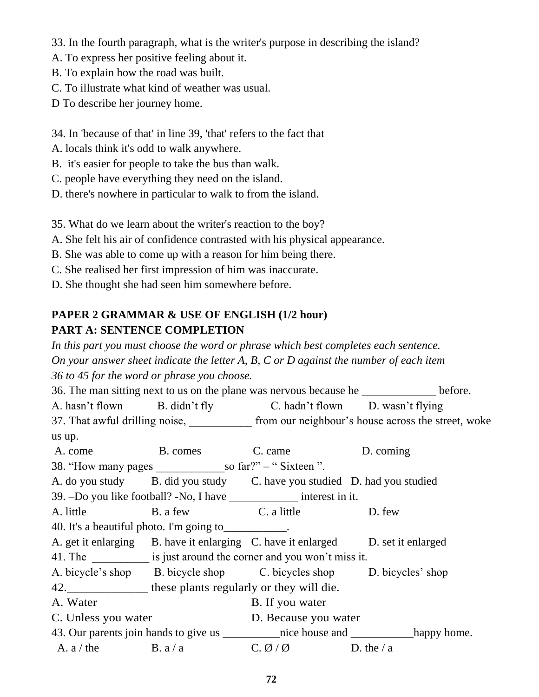- 33. In the fourth paragraph, what is the writer's purpose in describing the island?
- A. To express her positive feeling about it.
- B. To explain how the road was built.
- C. To illustrate what kind of weather was usual.
- D To describe her journey home.
- 34. In 'because of that' in line 39, 'that' refers to the fact that
- A. locals think it's odd to walk anywhere.
- B. it's easier for people to take the bus than walk.
- C. people have everything they need on the island.
- D. there's nowhere in particular to walk to from the island.

35. What do we learn about the writer's reaction to the boy?

- A. She felt his air of confidence contrasted with his physical appearance.
- B. She was able to come up with a reason for him being there.
- C. She realised her first impression of him was inaccurate.
- D. She thought she had seen him somewhere before.

# **PAPER 2 GRAMMAR & USE OF ENGLISH (1/2 hour) PART A: SENTENCE COMPLETION**

*In this part you must choose the word or phrase which best completes each sentence. On your answer sheet indicate the letter A, B, C or D against the number of each item 36 to 45 for the word or phrase you choose.*

36. The man sitting next to us on the plane was nervous because he \_\_\_\_\_\_\_\_\_\_\_\_\_\_ before. A. hasn't flown B. didn't fly C. hadn't flown D. wasn't flying 37. That awful drilling noise, from our neighbour's house across the street, woke us up. A. come B. comes C. came D. coming 38. "How many pages \_\_\_\_\_\_\_\_\_\_\_\_so far?" – " Sixteen ". A. do you study B. did you study C. have you studied D. had you studied 39. –Do you like football? -No, I have \_\_\_\_\_\_\_\_\_\_\_\_ interest in it. A. little B. a few C. a little D. few 40. It's a beautiful photo. I'm going to A. get it enlarging B. have it enlarging C. have it enlarged D. set it enlarged 41. The is just around the corner and you won't miss it. A. bicycle's shop B. bicycle shop C. bicycles shop D. bicycles' shop 42.\_\_\_\_\_\_\_\_\_\_\_\_\_ these plants regularly or they will die. A. Water B. If you water C. Unless you water D. Because you water 43. Our parents join hands to give us \_\_\_\_\_\_\_\_\_nice house and \_\_\_\_\_\_\_\_\_\_happy home. A. a / the B. a / a C.  $\emptyset$  /  $\emptyset$  D. the / a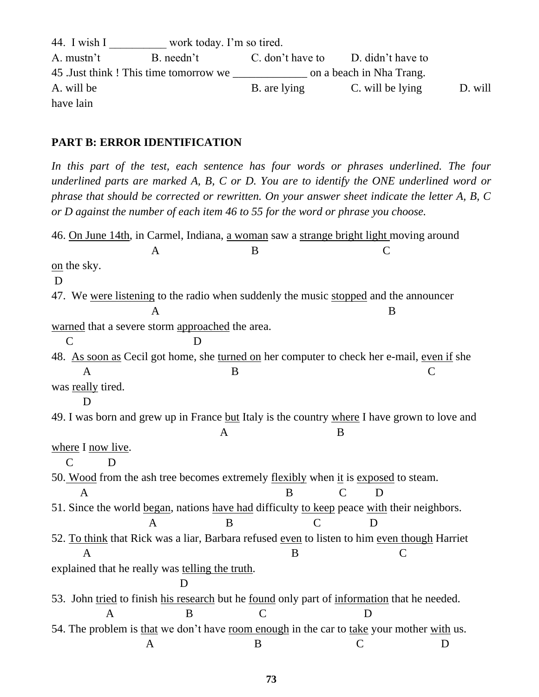44. I wish I work today. I'm so tired. A. mustn't B. needn't C. don't have to D. didn't have to 45 .Just think ! This time tomorrow we \_\_\_\_\_\_\_\_\_\_\_\_\_ on a beach in Nha Trang. A. will be B. are lying C. will be lying D. will have lain

#### **PART B: ERROR IDENTIFICATION**

In this part of the test, each sentence has four words or phrases underlined. The four *underlined parts are marked A, B, C or D. You are to identify the ONE underlined word or phrase that should be corrected or rewritten. On your answer sheet indicate the letter A, B, C or D against the number of each item 46 to 55 for the word or phrase you choose.*

46. On June 14th, in Carmel, Indiana, a woman saw a strange bright light moving around A B C on the sky. D 47. We were listening to the radio when suddenly the music stopped and the announcer  $\mathbf A$  B warned that a severe storm approached the area. C D 48. As soon as Cecil got home, she turned on her computer to check her e-mail, even if she A B C was really tired. D 49. I was born and grew up in France but Italy is the country where I have grown to love and A B where I now live. C D 50. Wood from the ash tree becomes extremely flexibly when it is exposed to steam. A B C D 51. Since the world began, nations have had difficulty to keep peace with their neighbors. A B C D 52. To think that Rick was a liar, Barbara refused even to listen to him even though Harriet A B C explained that he really was telling the truth. D 53. John tried to finish his research but he found only part of information that he needed. A B C D 54. The problem is that we don't have room enough in the car to take your mother with us. A B C D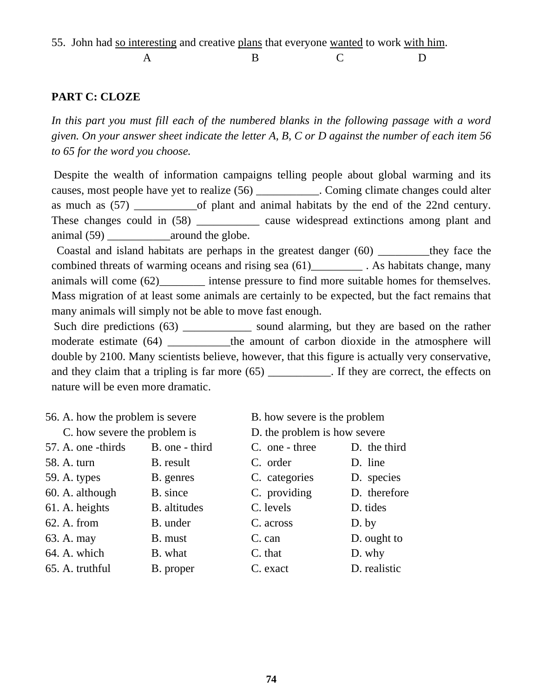55. John had so interesting and creative plans that everyone wanted to work with him.

A B C D

#### **PART C: CLOZE**

In this part you must fill each of the numbered blanks in the following passage with a word *given. On your answer sheet indicate the letter A, B, C or D against the number of each item 56 to 65 for the word you choose.*

Despite the wealth of information campaigns telling people about global warming and its causes, most people have yet to realize (56) \_\_\_\_\_\_\_\_\_\_\_. Coming climate changes could alter as much as (57) \_\_\_\_\_\_\_\_\_\_\_of plant and animal habitats by the end of the 22nd century. These changes could in (58) cause widespread extinctions among plant and animal (59) around the globe.

 Coastal and island habitats are perhaps in the greatest danger (60) \_\_\_\_\_\_\_\_\_they face the combined threats of warming oceans and rising sea (61)\_\_\_\_\_\_\_\_\_\_\_. As habitats change, many animals will come (62) intense pressure to find more suitable homes for themselves. Mass migration of at least some animals are certainly to be expected, but the fact remains that many animals will simply not be able to move fast enough.

Such dire predictions (63) \_\_\_\_\_\_\_\_\_\_\_\_\_\_ sound alarming, but they are based on the rather moderate estimate (64) \_\_\_\_\_\_\_\_\_the amount of carbon dioxide in the atmosphere will double by 2100. Many scientists believe, however, that this figure is actually very conservative, and they claim that a tripling is far more (65) \_\_\_\_\_\_\_\_\_\_. If they are correct, the effects on nature will be even more dramatic.

56. A. how the problem is severe B. how severe is the problem

| C. how severe the problem is |                     | D. the problem is how severe |              |  |  |
|------------------------------|---------------------|------------------------------|--------------|--|--|
| 57. A. one -thirds           | B. one - third      | C. one - three               | D. the third |  |  |
| 58. A. turn                  | B. result           | C. order                     | D. line      |  |  |
| 59. A. types                 | B. genres           | C. categories                | D. species   |  |  |
| 60. A. although              | B. since            | C. providing                 | D. therefore |  |  |
| 61. A. heights               | <b>B.</b> altitudes | C. levels                    | D. tides     |  |  |
| 62. A. from                  | B. under            | C. across                    | $D.$ by      |  |  |
| 63. A. may                   | B. must             | C. can                       | D. ought to  |  |  |
| 64. A. which                 | B. what             | C. that                      | D. why       |  |  |
| 65. A. truthful              | B. proper           | C. exact                     | D. realistic |  |  |
|                              |                     |                              |              |  |  |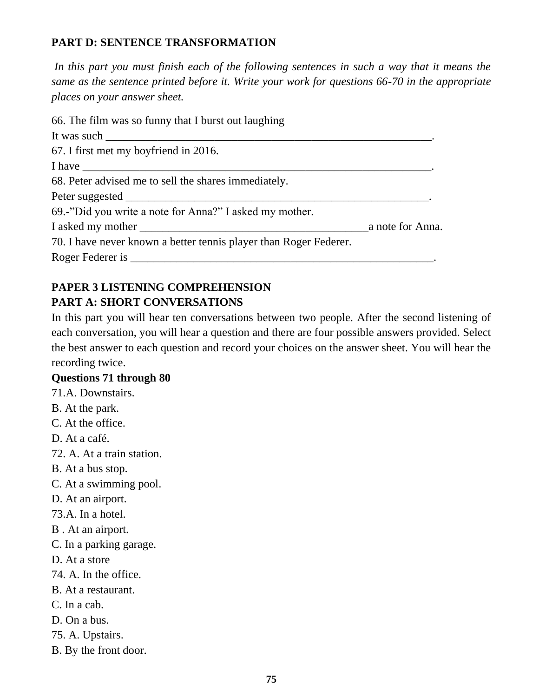# **PART D: SENTENCE TRANSFORMATION**

*In this part you must finish each of the following sentences in such a way that it means the same as the sentence printed before it. Write your work for questions 66-70 in the appropriate places on your answer sheet.*

| 66. The film was so funny that I burst out laughing                                                                                                                                                                                                                                                                                                                                                                    |                  |
|------------------------------------------------------------------------------------------------------------------------------------------------------------------------------------------------------------------------------------------------------------------------------------------------------------------------------------------------------------------------------------------------------------------------|------------------|
| It was such $\frac{1}{\sqrt{1-\frac{1}{\sqrt{1-\frac{1}{\sqrt{1-\frac{1}{\sqrt{1-\frac{1}{\sqrt{1-\frac{1}{\sqrt{1-\frac{1}{\sqrt{1-\frac{1}{\sqrt{1-\frac{1}{\sqrt{1-\frac{1}{\sqrt{1-\frac{1}{\sqrt{1-\frac{1}{\sqrt{1-\frac{1}{\sqrt{1-\frac{1}{\sqrt{1-\frac{1}{\sqrt{1-\frac{1}{\sqrt{1-\frac{1}{\sqrt{1-\frac{1}{\sqrt{1-\frac{1}{\sqrt{1-\frac{1}{\sqrt{1-\frac{1}{\sqrt{1-\frac{1}{\sqrt{1-\frac{1}{\sqrt{1-\$ |                  |
| 67. I first met my boyfriend in 2016.                                                                                                                                                                                                                                                                                                                                                                                  |                  |
|                                                                                                                                                                                                                                                                                                                                                                                                                        |                  |
| 68. Peter advised me to sell the shares immediately.                                                                                                                                                                                                                                                                                                                                                                   |                  |
|                                                                                                                                                                                                                                                                                                                                                                                                                        |                  |
| 69.-"Did you write a note for Anna?" I asked my mother.                                                                                                                                                                                                                                                                                                                                                                |                  |
|                                                                                                                                                                                                                                                                                                                                                                                                                        | a note for Anna. |
| 70. I have never known a better tennis player than Roger Federer.                                                                                                                                                                                                                                                                                                                                                      |                  |
|                                                                                                                                                                                                                                                                                                                                                                                                                        |                  |

# **PAPER 3 LISTENING COMPREHENSION PART A: SHORT CONVERSATIONS**

In this part you will hear ten conversations between two people. After the second listening of each conversation, you will hear a question and there are four possible answers provided. Select the best answer to each question and record your choices on the answer sheet. You will hear the recording twice.

#### **Questions 71 through 80**

71.A. Downstairs.

- B. At the park.
- C. At the office.

D. At a café.

72. A. At a train station.

- B. At a bus stop.
- C. At a swimming pool.
- D. At an airport.
- 73.A. In a hotel.
- B . At an airport.
- C. In a parking garage.
- D. At a store
- 74. A. In the office.
- B. At a restaurant.
- C. In a cab.
- D. On a bus.
- 75. A. Upstairs.
- B. By the front door.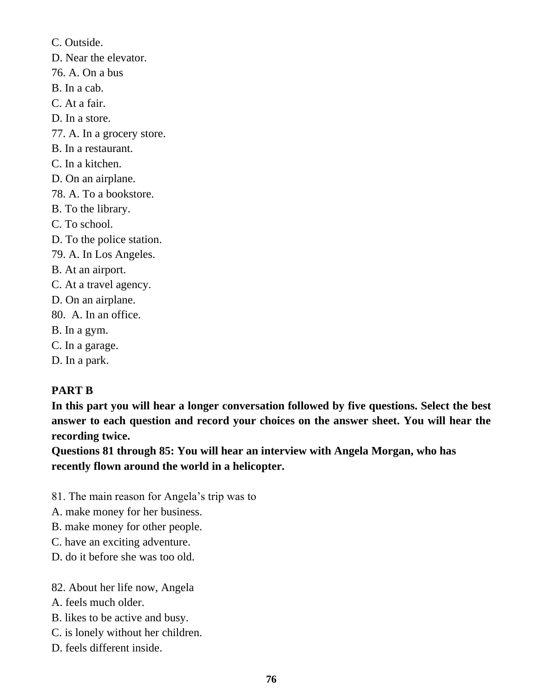C. Outside. D. Near the elevator. 76. A. On a bus B. In a cab. C. At a fair. D. In a store. 77. A. In a grocery store. B. In a restaurant. C. In a kitchen. D. On an airplane. 78. A. To a bookstore. B. To the library. C. To school. D. To the police station. 79. A. In Los Angeles. B. At an airport. C. At a travel agency. D. On an airplane. 80. A. In an office. B. In a gym. C. In a garage. D. In a park.

#### **PART B**

**In this part you will hear a longer conversation followed by five questions. Select the best answer to each question and record your choices on the answer sheet. You will hear the recording twice.**

**Questions 81 through 85: You will hear an interview with Angela Morgan, who has recently flown around the world in a helicopter.**

81. The main reason for Angela's trip was to

A. make money for her business.

B. make money for other people.

- C. have an exciting adventure.
- D. do it before she was too old.

82. About her life now, Angela

- A. feels much older.
- B. likes to be active and busy.
- C. is lonely without her children.
- D. feels different inside.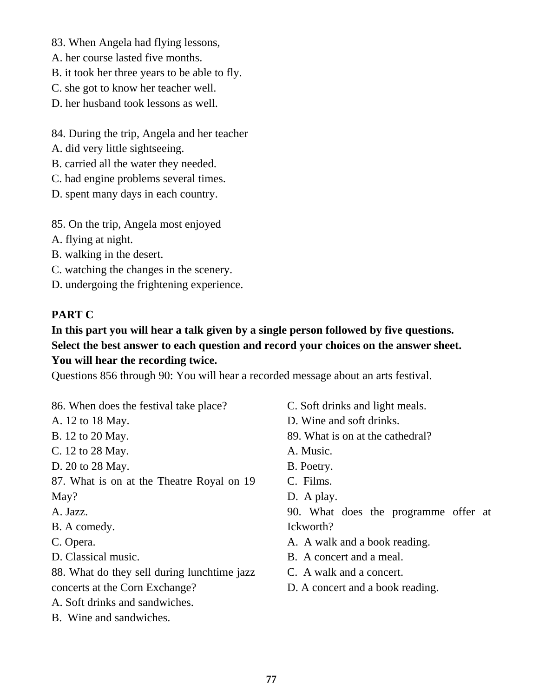83. When Angela had flying lessons,

- A. her course lasted five months.
- B. it took her three years to be able to fly.
- C. she got to know her teacher well.
- D. her husband took lessons as well.
- 84. During the trip, Angela and her teacher
- A. did very little sightseeing.
- B. carried all the water they needed.
- C. had engine problems several times.
- D. spent many days in each country.
- 85. On the trip, Angela most enjoyed
- A. flying at night.
- B. walking in the desert.
- C. watching the changes in the scenery.
- D. undergoing the frightening experience.

# **PART C**

# **In this part you will hear a talk given by a single person followed by five questions. Select the best answer to each question and record your choices on the answer sheet. You will hear the recording twice.**

Questions 856 through 90: You will hear a recorded message about an arts festival.

86. When does the festival take place?

- A. 12 to 18 May.
- B. 12 to 20 May.
- C. 12 to 28 May.
- D. 20 to 28 May.
- 87. What is on at the Theatre Royal on 19 May?
- A. Jazz.
- B. A comedy.
- C. Opera.
- D. Classical music.
- 88. What do they sell during lunchtime jazz concerts at the Corn Exchange?
- A. Soft drinks and sandwiches.
- B. Wine and sandwiches.
- C. Soft drinks and light meals.
- D. Wine and soft drinks.
- 89. What is on at the cathedral?
- A. Music.
- B. Poetry.
- C. Films.
- D. A play.

90. What does the programme offer at Ickworth?

- A. A walk and a book reading.
- B. A concert and a meal.
- C. A walk and a concert.
- D. A concert and a book reading.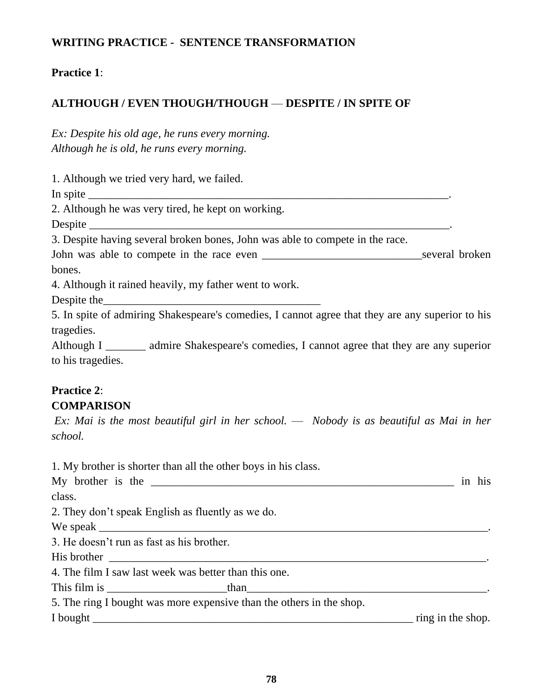### **WRITING PRACTICE - SENTENCE TRANSFORMATION**

#### **Practice 1**:

# **ALTHOUGH / EVEN THOUGH/THOUGH** — **DESPITE / IN SPITE OF**

*Ex: Despite his old age, he runs every morning. Although he is old, he runs every morning.*

1. Although we tried very hard, we failed.

In spite  $\Box$ 

2. Although he was very tired, he kept on working.

Despite \_\_\_\_\_\_\_\_\_\_\_\_\_\_\_\_\_\_\_\_\_\_\_\_\_\_\_\_\_\_\_\_\_\_\_\_\_\_\_\_\_\_\_\_\_\_\_\_\_\_\_\_\_\_\_\_\_\_\_\_\_\_\_.

3. Despite having several broken bones, John was able to compete in the race.

John was able to compete in the race even \_\_\_\_\_\_\_\_\_\_\_\_\_\_\_\_\_\_\_\_\_\_\_\_\_\_\_\_several broken bones.

4. Although it rained heavily, my father went to work.

Despite the

5. In spite of admiring Shakespeare's comedies, I cannot agree that they are any superior to his tragedies.

Although I \_\_\_\_\_\_\_ admire Shakespeare's comedies, I cannot agree that they are any superior to his tragedies.

#### **Practice 2**: **COMPARISON**

*Ex: Mai is the most beautiful girl in her school.* — *Nobody is as beautiful as Mai in her school.*

1. My brother is shorter than all the other boys in his class. My brother is the \_\_\_\_\_\_\_\_\_\_\_\_\_\_\_\_\_\_\_\_\_\_\_\_\_\_\_\_\_\_\_\_\_\_\_\_\_\_\_\_\_\_\_\_\_\_\_\_\_\_\_\_\_ in his class. 2. They don't speak English as fluently as we do. We speak  $\Box$ 3. He doesn't run as fast as his brother. His brother \_\_\_\_\_\_\_\_\_\_\_\_\_\_\_\_\_\_\_\_\_\_\_\_\_\_\_\_\_\_\_\_\_\_\_\_\_\_\_\_\_\_\_\_\_\_\_\_\_\_\_\_\_\_\_\_\_\_\_\_\_\_\_\_\_\_. 4. The film I saw last week was better than this one. This film is \_\_\_\_\_\_\_\_\_\_\_\_\_\_\_\_\_\_\_\_\_than\_\_\_\_\_\_\_\_\_\_\_\_\_\_\_\_\_\_\_\_\_\_\_\_\_\_\_\_\_\_\_\_\_\_\_\_\_\_\_\_\_\_. 5. The ring I bought was more expensive than the others in the shop. I bought \_\_\_\_\_\_\_\_\_\_\_\_\_\_\_\_\_\_\_\_\_\_\_\_\_\_\_\_\_\_\_\_\_\_\_\_\_\_\_\_\_\_\_\_\_\_\_\_\_\_\_\_\_\_\_\_ ring in the shop.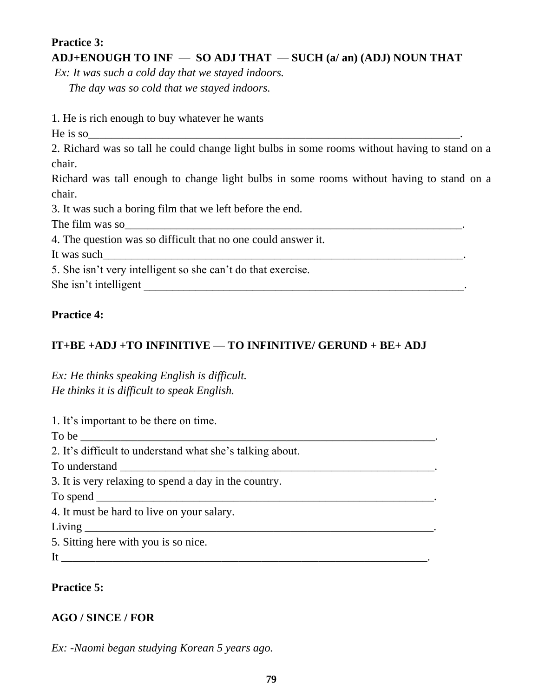# **Practice 3: ADJ+ENOUGH TO INF** — **SO ADJ THAT** — **SUCH (a/ an) (ADJ) NOUN THAT**

*Ex: It was such a cold day that we stayed indoors. The day was so cold that we stayed indoors.*

1. He is rich enough to buy whatever he wants

He is so

2. Richard was so tall he could change light bulbs in some rooms without having to stand on a chair.

Richard was tall enough to change light bulbs in some rooms without having to stand on a chair.

3. It was such a boring film that we left before the end.

The film was so

4. The question was so difficult that no one could answer it.

It was such

5. She isn't very intelligent so she can't do that exercise.

She isn't intelligent \_\_\_\_\_\_\_\_\_\_\_\_\_\_\_\_\_\_\_\_\_\_\_\_\_\_\_\_\_\_\_\_\_\_\_\_\_\_\_\_\_\_\_\_\_\_\_\_\_\_\_\_\_\_\_\_.

# **Practice 4:**

# **IT+BE +ADJ +TO INFINITIVE** — **TO INFINITIVE/ GERUND + BE+ ADJ**

*Ex: He thinks speaking English is difficult. He thinks it is difficult to speak English.*

1. It's important to be there on time.

To be

2. It's difficult to understand what she's talking about.

To understand \_\_\_\_\_\_\_\_\_\_\_\_\_\_\_\_\_\_\_\_\_\_\_\_\_\_\_\_\_\_\_\_\_\_\_\_\_\_\_\_\_\_\_\_\_\_\_\_\_\_\_\_\_\_\_.

3. It is very relaxing to spend a day in the country.

To spend

4. It must be hard to live on your salary.

 $Living$ 

5. Sitting here with you is so nice.

It \_\_\_\_\_\_\_\_\_\_\_\_\_\_\_\_\_\_\_\_\_\_\_\_\_\_\_\_\_\_\_\_\_\_\_\_\_\_\_\_\_\_\_\_\_\_\_\_\_\_\_\_\_\_\_\_\_\_\_\_\_\_\_\_.

# **Practice 5:**

# **AGO / SINCE / FOR**

*Ex: -Naomi began studying Korean 5 years ago.*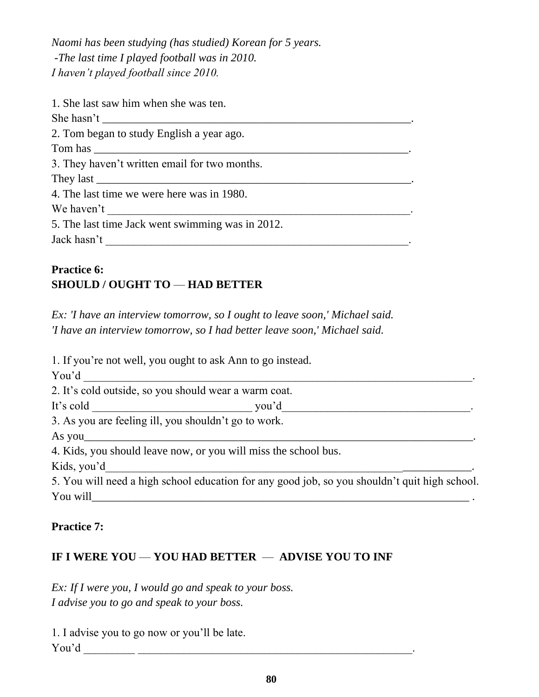*Naomi has been studying (has studied) Korean for 5 years. -The last time I played football was in 2010. I haven't played football since 2010.*

| 1. She last saw him when she was ten.            |
|--------------------------------------------------|
|                                                  |
| 2. Tom began to study English a year ago.        |
|                                                  |
| 3. They haven't written email for two months.    |
|                                                  |
| 4. The last time we were here was in 1980.       |
| We haven't                                       |
| 5. The last time Jack went swimming was in 2012. |
| Jack hasn't                                      |
|                                                  |

# **Practice 6: SHOULD / OUGHT TO** — **HAD BETTER**

*Ex: 'I have an interview tomorrow, so I ought to leave soon,' Michael said. 'I have an interview tomorrow, so I had better leave soon,' Michael said.*

1. If you're not well, you ought to ask Ann to go instead.

You'd \_\_\_\_\_\_\_\_\_\_\_\_\_\_\_\_\_\_\_\_\_\_\_\_\_\_\_\_\_\_\_\_\_\_\_\_\_\_\_\_\_\_\_\_\_\_\_\_\_\_\_\_\_\_\_\_\_\_\_\_\_\_\_\_\_\_\_\_.

2. It's cold outside, so you should wear a warm coat.

It's cold you'd

3. As you are feeling ill, you shouldn't go to work.

As you\_\_\_\_\_\_\_\_\_\_\_\_\_\_\_\_\_\_\_\_\_\_\_\_\_\_\_\_\_\_\_\_\_\_\_\_\_\_\_\_\_\_\_\_\_\_\_\_\_\_\_\_\_\_\_\_\_\_\_\_\_\_\_\_\_\_\_\_.

4. Kids, you should leave now, or you will miss the school bus.

Kids, you'd

5. You will need a high school education for any good job, so you shouldn't quit high school. You will\_\_\_\_\_\_\_\_\_\_\_\_\_\_\_\_\_\_\_\_\_\_\_\_\_\_\_\_\_\_\_\_\_\_\_\_\_\_\_\_\_\_\_\_\_\_\_\_\_\_\_\_\_\_\_\_\_\_\_\_\_\_\_\_\_\_ .

#### **Practice 7:**

# **IF I WERE YOU — YOU HAD BETTER — ADVISE YOU TO INF**

*Ex: If I were you, I would go and speak to your boss. I advise you to go and speak to your boss.*

1. I advise you to go now or you'll be late. You'd \_\_\_\_\_\_\_\_\_ \_\_\_\_\_\_\_\_\_\_\_\_\_\_\_\_\_\_\_\_\_\_\_\_\_\_\_\_\_\_\_\_\_\_\_\_\_\_\_\_\_\_\_\_\_\_\_\_.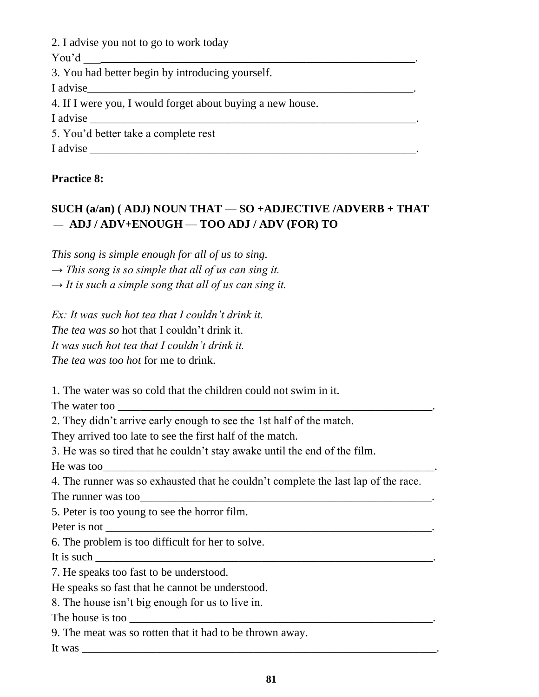| 2. I advise you not to go to work today                    |
|------------------------------------------------------------|
|                                                            |
| 3. You had better begin by introducing yourself.           |
|                                                            |
| 4. If I were you, I would forget about buying a new house. |
| I advise $\qquad \qquad$                                   |
| 5. You'd better take a complete rest                       |
| I advise                                                   |

#### **Practice 8:**

# **SUCH (a/an) ( ADJ) NOUN THAT** — **SO +ADJECTIVE /ADVERB + THAT** — **ADJ / ADV+ENOUGH** — **TOO ADJ / ADV (FOR) TO**

*This song is simple enough for all of us to sing.* 

*→ This song is so simple that all of us can sing it.*

*→ It is such a simple song that all of us can sing it.*

*Ex: It was such hot tea that I couldn't drink it. The tea was so* hot that I couldn't drink it. *It was such hot tea that I couldn't drink it. The tea was too hot* for me to drink.

1. The water was so cold that the children could not swim in it.

The water too

2. They didn't arrive early enough to see the 1st half of the match.

They arrived too late to see the first half of the match.

3. He was so tired that he couldn't stay awake until the end of the film.

He was too

4. The runner was so exhausted that he couldn't complete the last lap of the race.

The runner was too\_\_\_\_\_\_\_\_\_\_\_\_\_\_\_\_\_\_\_\_\_\_\_\_\_\_\_\_\_\_\_\_\_\_\_\_\_\_\_\_\_\_\_\_\_\_\_\_\_\_\_.

5. Peter is too young to see the horror film.

Peter is not

6. The problem is too difficult for her to solve.

It is such

7. He speaks too fast to be understood.

He speaks so fast that he cannot be understood.

8. The house isn't big enough for us to live in.

The house is too \_\_\_\_\_\_\_\_\_\_\_\_\_\_\_\_\_\_\_\_\_\_\_\_\_\_\_\_\_\_\_\_\_\_\_\_\_\_\_\_\_\_\_\_\_\_\_\_\_\_\_\_\_.

9. The meat was so rotten that it had to be thrown away.

It was \_\_\_\_\_\_\_\_\_\_\_\_\_\_\_\_\_\_\_\_\_\_\_\_\_\_\_\_\_\_\_\_\_\_\_\_\_\_\_\_\_\_\_\_\_\_\_\_\_\_\_\_\_\_\_\_\_\_\_\_\_\_.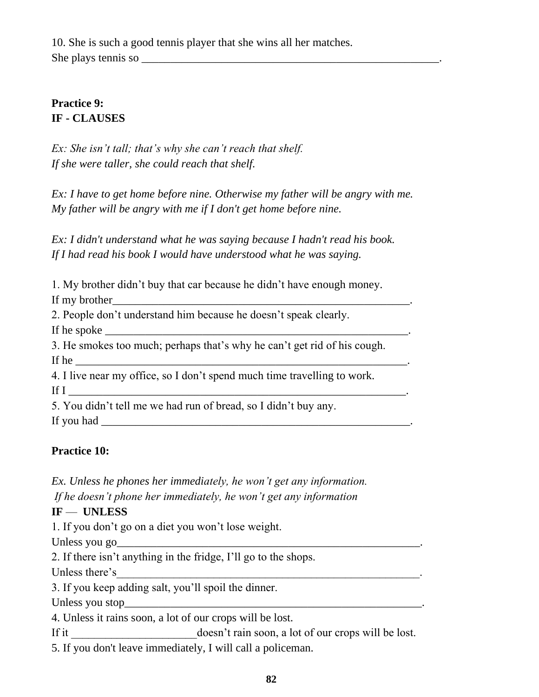10. She is such a good tennis player that she wins all her matches. She plays tennis so \_\_\_\_\_\_\_\_\_\_\_\_\_\_\_\_\_\_\_\_\_\_\_\_\_\_\_\_\_\_\_\_\_\_\_\_\_\_\_\_\_\_\_\_\_\_\_\_\_\_\_\_.

# **Practice 9: IF - CLAUSES**

*Ex: She isn't tall; that's why she can't reach that shelf. If she were taller, she could reach that shelf.*

*Ex: I have to get home before nine. Otherwise my father will be angry with me. My father will be angry with me if I don't get home before nine.*

*Ex: I didn't understand what he was saying because I hadn't read his book. If I had read his book I would have understood what he was saying.*

1. My brother didn't buy that car because he didn't have enough money.

If my brother

2. People don't understand him because he doesn't speak clearly.

If he spoke

3. He smokes too much; perhaps that's why he can't get rid of his cough. If he  $\Box$ 

4. I live near my office, so I don't spend much time travelling to work. If  $I$ 

5. You didn't tell me we had run of bread, so I didn't buy any.

If you had  $\Box$ 

# **Practice 10:**

*Ex. Unless he phones her immediately, he won't get any information.*

*If he doesn't phone her immediately, he won't get any information*

# **IF** — **UNLESS**

1. If you don't go on a diet you won't lose weight.

Unless you go\_\_\_\_\_\_\_\_\_\_\_\_\_\_\_\_\_\_\_\_\_\_\_\_\_\_\_\_\_\_\_\_\_\_\_\_\_\_\_\_\_\_\_\_\_\_\_\_\_\_\_\_\_.

2. If there isn't anything in the fridge, I'll go to the shops.

Unless there's

3. If you keep adding salt, you'll spoil the dinner.

Unless you stop\_\_\_\_\_\_\_\_\_\_\_\_\_\_\_\_\_\_\_\_\_\_\_\_\_\_\_\_\_\_\_\_\_\_\_\_\_\_\_\_\_\_\_\_\_\_\_\_\_\_\_\_.

4. Unless it rains soon, a lot of our crops will be lost.

If it doesn't rain soon, a lot of our crops will be lost.

5. If you don't leave immediately, I will call a policeman.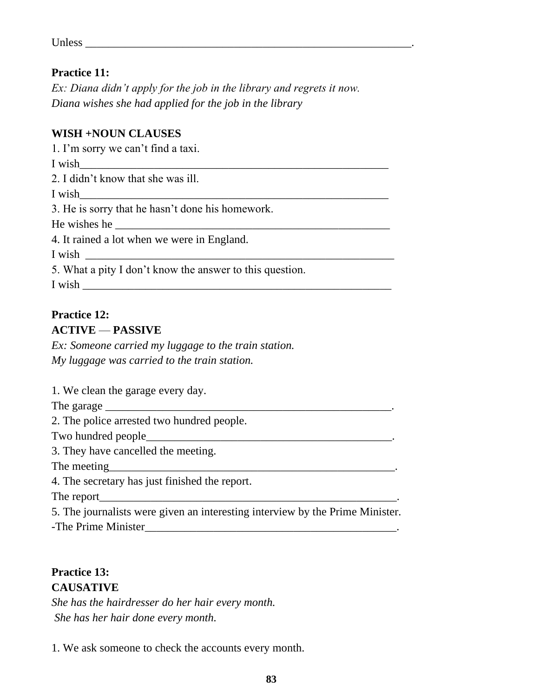| <b>TT</b><br>000c<br>оппоэ |  |
|----------------------------|--|
|                            |  |
|                            |  |

#### **Practice 11:**

*Ex: Diana didn't apply for the job in the library and regrets it now. Diana wishes she had applied for the job in the library*

#### **WISH +NOUN CLAUSES**

1. I'm sorry we can't find a taxi. I wish\_\_\_\_\_\_\_\_\_\_\_\_\_\_\_\_\_\_\_\_\_\_\_\_\_\_\_\_\_\_\_\_\_\_\_\_\_\_\_\_\_\_\_\_\_\_\_\_\_\_\_\_\_\_ 2. I didn't know that she was ill. I wish 3. He is sorry that he hasn't done his homework. He wishes he 4. It rained a lot when we were in England. I wish \_\_\_\_\_\_\_\_\_\_\_\_\_\_\_\_\_\_\_\_\_\_\_\_\_\_\_\_\_\_\_\_\_\_\_\_\_\_\_\_\_\_\_\_\_\_\_\_\_\_\_\_\_\_ 5. What a pity I don't know the answer to this question.  $I$  wish  $\_\_$ 

#### **Practice 12: ACTIVE** — **PASSIVE**

*Ex: Someone carried my luggage to the train station. My luggage was carried to the train station.*

1. We clean the garage every day.

The garage

2. The police arrested two hundred people.

Two hundred people\_

3. They have cancelled the meeting.

The meeting

4. The secretary has just finished the report.

The report\_\_\_\_\_\_\_\_\_\_\_\_\_\_\_\_\_\_\_\_\_\_\_\_\_\_\_\_\_\_\_\_\_\_\_\_\_\_\_\_\_\_\_\_\_\_\_\_\_\_\_\_.

5. The journalists were given an interesting interview by the Prime Minister. -The Prime Minister\_\_\_\_\_\_\_\_\_\_\_\_\_\_\_\_\_\_\_\_\_\_\_\_\_\_\_\_\_\_\_\_\_\_\_\_\_\_\_\_\_\_\_\_.

#### **Practice 13: CAUSATIVE**

*She has the hairdresser do her hair every month. She has her hair done every month.*

1. We ask someone to check the accounts every month.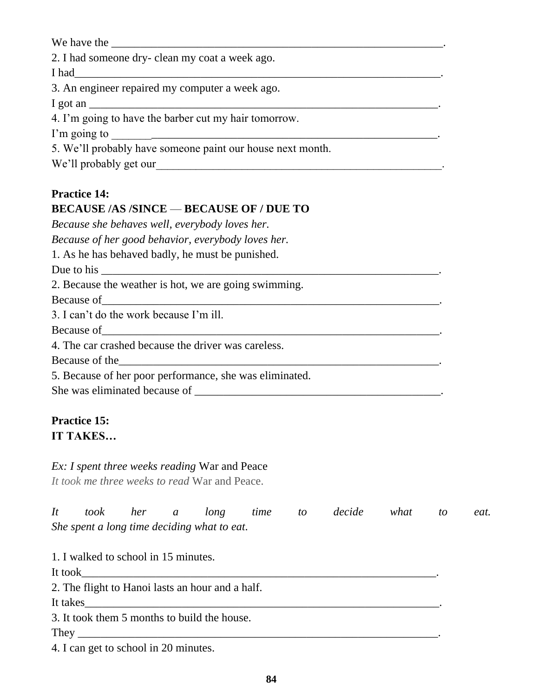We have the 2. I had someone dry- clean my coat a week ago. I had 3. An engineer repaired my computer a week ago. I got an 4. I'm going to have the barber cut my hair tomorrow. I'm going to \_\_\_\_\_\_\_\_\_\_\_\_\_\_\_\_\_\_\_\_\_\_\_\_\_\_\_\_\_\_\_\_\_\_\_\_\_\_\_\_\_\_\_\_\_\_\_\_\_\_\_\_\_\_\_\_\_. 5. We'll probably have someone paint our house next month. We'll probably get our **we'll probably get our Practice 14:** 

# **BECAUSE /AS /SINCE** — **BECAUSE OF / DUE TO** *Because she behaves well, everybody loves her. Because of her good behavior, everybody loves her.* 1. As he has behaved badly, he must be punished. Due to his 2. Because the weather is hot, we are going swimming. Because of 3. I can't do the work because I'm ill. Because of\_\_\_\_\_\_\_\_\_\_\_\_\_\_\_\_\_\_\_\_\_\_\_\_\_\_\_\_\_\_\_\_\_\_\_\_\_\_\_\_\_\_\_\_\_\_\_\_\_\_\_\_\_\_\_\_\_\_\_. 4. The car crashed because the driver was careless. Because of the 5. Because of her poor performance, she was eliminated. She was eliminated because of \_\_\_\_\_\_\_\_\_\_\_\_\_\_\_\_\_\_\_\_\_\_\_\_\_\_\_\_\_\_\_\_\_\_\_\_\_\_\_\_\_\_\_.

# **Practice 15: IT TAKES…**

# *Ex: I spent three weeks reading* War and Peace

*It took me three weeks to read* War and Peace.

|                                             |  |  | It took her a long time to decide what to |  | eat. |
|---------------------------------------------|--|--|-------------------------------------------|--|------|
| She spent a long time deciding what to eat. |  |  |                                           |  |      |

1. I walked to school in 15 minutes.

It took\_\_\_\_\_\_\_\_\_\_\_\_\_\_\_\_\_\_\_\_\_\_\_\_\_\_\_\_\_\_\_\_\_\_\_\_\_\_\_\_\_\_\_\_\_\_\_\_\_\_\_\_\_\_\_\_\_\_\_\_\_\_.

2. The flight to Hanoi lasts an hour and a half.

It takes

3. It took them 5 months to build the house.

They \_\_\_\_\_\_\_\_\_\_\_\_\_\_\_\_\_\_\_\_\_\_\_\_\_\_\_\_\_\_\_\_\_\_\_\_\_\_\_\_\_\_\_\_\_\_\_\_\_\_\_\_\_\_\_\_\_\_\_\_\_\_\_.

4. I can get to school in 20 minutes.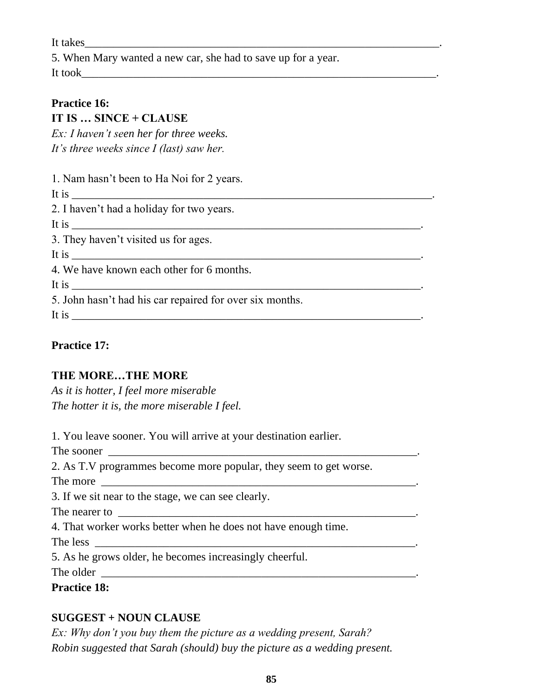It takes

5. When Mary wanted a new car, she had to save up for a year.

It took

# **Practice 16:**

# **IT IS … SINCE + CLAUSE**

*Ex: I haven't seen her for three weeks. It's three weeks since I (last) saw her.*

1. Nam hasn't been to Ha Noi for 2 years.

It is 2. I haven't had a holiday for two years.

It is  $\frac{1}{2}$  is  $\frac{1}{2}$  is  $\frac{1}{2}$  is  $\frac{1}{2}$  is  $\frac{1}{2}$  is  $\frac{1}{2}$  is  $\frac{1}{2}$  is  $\frac{1}{2}$  is  $\frac{1}{2}$  is  $\frac{1}{2}$  is  $\frac{1}{2}$  is  $\frac{1}{2}$  is  $\frac{1}{2}$  is  $\frac{1}{2}$  is  $\frac{1}{2}$  is  $\frac{1}{2}$  is  $\frac{1}{2$ 

3. They haven't visited us for ages.

It is

4. We have known each other for 6 months.

It is  $\blacksquare$ 

5. John hasn't had his car repaired for over six months.

It is \_\_\_\_\_\_\_\_\_\_\_\_\_\_\_\_\_\_\_\_\_\_\_\_\_\_\_\_\_\_\_\_\_\_\_\_\_\_\_\_\_\_\_\_\_\_\_\_\_\_\_\_\_\_\_\_\_\_\_\_\_.

# **Practice 17:**

# **THE MORE…THE MORE**

*As it is hotter, I feel more miserable The hotter it is, the more miserable I feel.*

1. You leave sooner. You will arrive at your destination earlier.

The sooner \_\_\_\_\_\_\_\_\_\_\_\_\_\_\_\_\_\_\_\_\_\_\_\_\_\_\_\_\_\_\_\_\_\_\_\_\_\_\_\_\_\_\_\_\_\_\_\_\_\_\_\_\_\_.

2. As T.V programmes become more popular, they seem to get worse.

The more \_\_\_\_\_\_\_\_\_\_\_\_\_\_\_\_\_\_\_\_\_\_\_\_\_\_\_\_\_\_\_\_\_\_\_\_\_\_\_\_\_\_\_\_\_\_\_\_\_\_\_\_\_\_\_.

3. If we sit near to the stage, we can see clearly.

The nearer to \_\_\_\_\_\_\_\_\_\_\_\_\_\_\_\_\_\_\_\_\_\_\_\_\_\_\_\_\_\_\_\_\_\_\_\_\_\_\_\_\_\_\_\_\_\_\_\_\_\_\_\_.

4. That worker works better when he does not have enough time.

The less \_\_\_\_\_\_\_\_\_\_\_\_\_\_\_\_\_\_\_\_\_\_\_\_\_\_\_\_\_\_\_\_\_\_\_\_\_\_\_\_\_\_\_\_\_\_\_\_\_\_\_\_\_\_\_\_.

5. As he grows older, he becomes increasingly cheerful.

The older

**Practice 18:** 

# **SUGGEST + NOUN CLAUSE**

*Ex: Why don't you buy them the picture as a wedding present, Sarah? Robin suggested that Sarah (should) buy the picture as a wedding present.*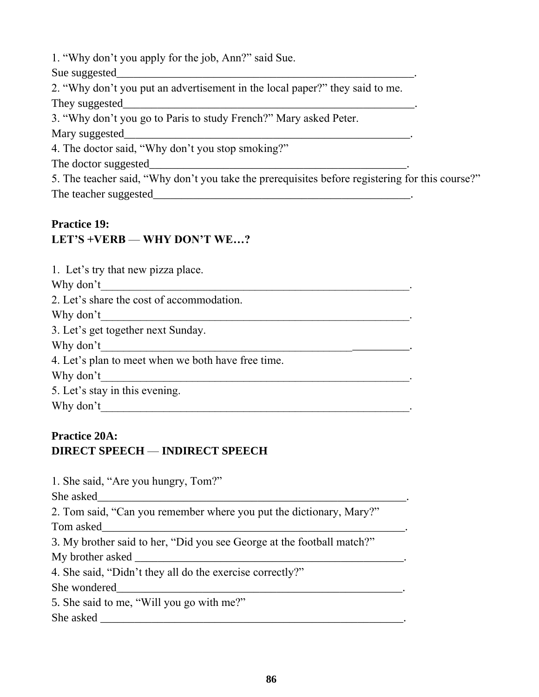1. "Why don't you apply for the job, Ann?" said Sue.

Sue suggested

2. "Why don't you put an advertisement in the local paper?" they said to me. They suggested

3. "Why don't you go to Paris to study French?" Mary asked Peter.

Mary suggested

4. The doctor said, "Why don't you stop smoking?"

The doctor suggested\_\_\_\_\_\_\_\_\_\_\_\_\_\_\_\_\_\_\_\_\_\_\_\_\_\_\_\_\_\_\_\_\_\_\_\_\_\_\_\_\_\_\_\_\_.

5. The teacher said, "Why don't you take the prerequisites before registering for this course?" The teacher suggested

#### **Practice 19:**

# **LET'S +VERB** — **WHY DON'T WE…?**

| 1. Let's try that new pizza place.                 |
|----------------------------------------------------|
| Why don't                                          |
| 2. Let's share the cost of accommodation.          |
| Why don't                                          |
| 3. Let's get together next Sunday.                 |
| Why don't                                          |
| 4. Let's plan to meet when we both have free time. |
| Why don't                                          |
| 5. Let's stay in this evening.                     |
| Why don't                                          |

# **Practice 20A: DIRECT SPEECH** — **INDIRECT SPEECH**

1. She said, "Are you hungry, Tom?"

She asked\_\_\_\_\_\_\_\_\_\_\_\_\_\_\_\_\_\_\_\_\_\_\_\_\_\_\_\_\_\_\_\_\_\_\_\_\_\_\_\_\_\_\_\_\_\_\_\_\_\_\_\_\_\_.

2. Tom said, "Can you remember where you put the dictionary, Mary?"

Tom asked\_\_\_\_\_\_\_\_\_\_\_\_\_\_\_\_\_\_\_\_\_\_\_\_\_\_\_\_\_\_\_\_\_\_\_\_\_\_\_\_\_\_\_\_\_\_\_\_\_\_\_\_\_.

3. My brother said to her, "Did you see George at the football match?"

My brother asked \_\_\_\_\_\_\_\_\_\_\_\_\_\_\_\_\_\_\_\_\_\_\_\_\_\_\_\_\_\_\_\_\_\_\_\_\_\_\_\_\_\_\_\_\_\_\_.

4. She said, "Didn't they all do the exercise correctly?"

She wondered

5. She said to me, "Will you go with me?"

She asked  $\Box$